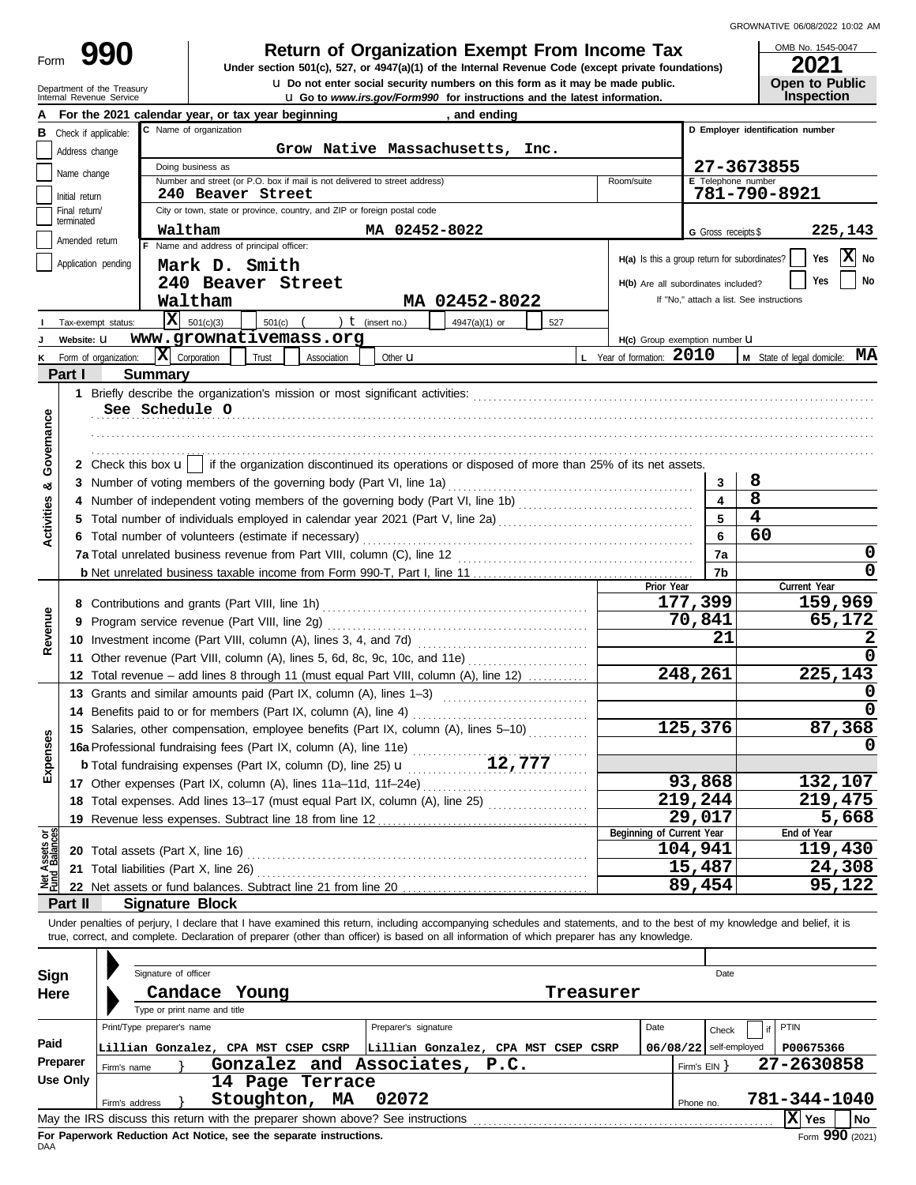# **990 a** Return of Organization Exempt From Income Tax **1945-0 2021 2021 2021**

u **Do not enter social security numbers on this form as it may be made public. Open to Public Under section 501(c), 527, or 4947(a)(1) of the Internal Revenue Code (except private foundations)**

OMB No. 1545-0047

|                                |                                 | Department of the Treasury<br>Internal Revenue Service              |                                     |                                                                                                                                                                            |             |                      |               | <b>U</b> Do not enter social security numbers on this form as it may be made public.<br><b>u</b> Go to www.irs.gov/Form990 for instructions and the latest information. |           |                                                             |                      |                          |                                          | Open to Public<br><b>Inspection</b> |         |
|--------------------------------|---------------------------------|---------------------------------------------------------------------|-------------------------------------|----------------------------------------------------------------------------------------------------------------------------------------------------------------------------|-------------|----------------------|---------------|-------------------------------------------------------------------------------------------------------------------------------------------------------------------------|-----------|-------------------------------------------------------------|----------------------|--------------------------|------------------------------------------|-------------------------------------|---------|
|                                |                                 |                                                                     |                                     | For the 2021 calendar year, or tax year beginning                                                                                                                          |             |                      | , and ending  |                                                                                                                                                                         |           |                                                             |                      |                          |                                          |                                     |         |
| в                              | Check if applicable:            |                                                                     | C Name of organization              |                                                                                                                                                                            |             |                      |               |                                                                                                                                                                         |           |                                                             |                      |                          |                                          | D Employer identification number    |         |
|                                | Address change                  |                                                                     |                                     |                                                                                                                                                                            |             |                      |               | Grow Native Massachusetts, Inc.                                                                                                                                         |           |                                                             |                      |                          |                                          |                                     |         |
|                                | Name change                     |                                                                     | Doing business as                   |                                                                                                                                                                            |             |                      |               |                                                                                                                                                                         |           |                                                             |                      |                          | 27-3673855                               |                                     |         |
|                                |                                 |                                                                     |                                     | Number and street (or P.O. box if mail is not delivered to street address)                                                                                                 |             |                      |               |                                                                                                                                                                         |           | Room/suite                                                  |                      |                          | E Telephone number                       |                                     |         |
|                                | Initial return<br>Final return/ |                                                                     |                                     | 240 Beaver Street<br>City or town, state or province, country, and ZIP or foreign postal code                                                                              |             |                      |               |                                                                                                                                                                         |           |                                                             |                      |                          | 781-790-8921                             |                                     |         |
|                                | terminated                      |                                                                     |                                     |                                                                                                                                                                            |             |                      |               |                                                                                                                                                                         |           |                                                             |                      |                          |                                          |                                     |         |
|                                | Amended return                  |                                                                     | Waltham                             | F Name and address of principal officer:                                                                                                                                   |             | MA 02452-8022        |               |                                                                                                                                                                         |           |                                                             |                      | G Gross receipts \$      |                                          |                                     | 225,143 |
|                                | Application pending             |                                                                     |                                     |                                                                                                                                                                            |             |                      |               |                                                                                                                                                                         |           | H(a) Is this a group return for subordinates?               |                      |                          |                                          | Yes                                 | X No    |
|                                |                                 |                                                                     |                                     | Mark D. Smith                                                                                                                                                              |             |                      |               |                                                                                                                                                                         |           |                                                             |                      |                          |                                          | Yes                                 | No      |
|                                |                                 |                                                                     | Waltham                             | 240 Beaver Street                                                                                                                                                          |             |                      |               |                                                                                                                                                                         |           | H(b) Are all subordinates included?                         |                      |                          | If "No," attach a list. See instructions |                                     |         |
|                                |                                 |                                                                     | $X = 501(c)(3)$                     |                                                                                                                                                                            |             |                      | MA 02452-8022 |                                                                                                                                                                         |           |                                                             |                      |                          |                                          |                                     |         |
|                                |                                 | Tax-exempt status:                                                  |                                     | 501(c)<br>www.grownativemass.org                                                                                                                                           |             | ) $t$ (insert no.)   | 4947(a)(1) or | 527                                                                                                                                                                     |           |                                                             |                      |                          |                                          |                                     |         |
|                                | Website: U                      |                                                                     | $ \mathbf{X} $ Corporation          |                                                                                                                                                                            |             |                      |               |                                                                                                                                                                         |           | H(c) Group exemption number LI<br>L Year of formation: 2010 |                      |                          |                                          | M State of legal domicile: MA       |         |
| κ                              | Part I                          | Form of organization:                                               | <b>Summary</b>                      | Trust                                                                                                                                                                      | Association | Other $\mathbf u$    |               |                                                                                                                                                                         |           |                                                             |                      |                          |                                          |                                     |         |
|                                |                                 |                                                                     |                                     |                                                                                                                                                                            |             |                      |               |                                                                                                                                                                         |           |                                                             |                      |                          |                                          |                                     |         |
|                                |                                 | See Schedule O                                                      |                                     |                                                                                                                                                                            |             |                      |               |                                                                                                                                                                         |           |                                                             |                      |                          |                                          |                                     |         |
| Governance                     |                                 |                                                                     |                                     |                                                                                                                                                                            |             |                      |               |                                                                                                                                                                         |           |                                                             |                      |                          |                                          |                                     |         |
|                                |                                 |                                                                     |                                     |                                                                                                                                                                            |             |                      |               |                                                                                                                                                                         |           |                                                             |                      |                          |                                          |                                     |         |
|                                |                                 |                                                                     |                                     | 2 Check this box <b>u</b>   if the organization discontinued its operations or disposed of more than 25% of its net assets.                                                |             |                      |               |                                                                                                                                                                         |           |                                                             |                      |                          |                                          |                                     |         |
|                                |                                 |                                                                     |                                     | 3 Number of voting members of the governing body (Part VI, line 1a)                                                                                                        |             |                      |               |                                                                                                                                                                         |           |                                                             |                      | 3                        | 8                                        |                                     |         |
| œ                              |                                 |                                                                     |                                     |                                                                                                                                                                            |             |                      |               |                                                                                                                                                                         |           |                                                             |                      |                          | $\overline{8}$                           |                                     |         |
| Activities                     |                                 |                                                                     |                                     |                                                                                                                                                                            |             |                      |               |                                                                                                                                                                         |           |                                                             |                      | 5                        | $\overline{\mathbf{4}}$                  |                                     |         |
|                                |                                 |                                                                     |                                     | 6 Total number of volunteers (estimate if necessary)                                                                                                                       |             |                      |               |                                                                                                                                                                         |           |                                                             |                      | 6                        | 60                                       |                                     |         |
|                                |                                 |                                                                     |                                     |                                                                                                                                                                            |             |                      | 7a            |                                                                                                                                                                         |           | 0                                                           |                      |                          |                                          |                                     |         |
|                                |                                 |                                                                     |                                     |                                                                                                                                                                            |             |                      |               |                                                                                                                                                                         |           |                                                             |                      | 7b                       |                                          |                                     | 0       |
|                                |                                 |                                                                     |                                     |                                                                                                                                                                            |             |                      |               |                                                                                                                                                                         |           | Prior Year                                                  |                      |                          |                                          | Current Year                        |         |
|                                |                                 |                                                                     |                                     |                                                                                                                                                                            |             |                      |               |                                                                                                                                                                         |           |                                                             | 177,399              |                          |                                          |                                     | 159,969 |
| Revenue                        | 9                               |                                                                     |                                     |                                                                                                                                                                            |             |                      |               |                                                                                                                                                                         |           |                                                             | 70,841               |                          |                                          |                                     | 65,172  |
|                                |                                 |                                                                     |                                     |                                                                                                                                                                            |             |                      |               |                                                                                                                                                                         |           |                                                             |                      | 21                       |                                          |                                     | 2       |
|                                |                                 |                                                                     |                                     | 11 Other revenue (Part VIII, column (A), lines 5, 6d, 8c, 9c, 10c, and 11e)                                                                                                |             |                      |               |                                                                                                                                                                         |           |                                                             |                      |                          |                                          |                                     |         |
|                                |                                 |                                                                     |                                     | 12 Total revenue - add lines 8 through 11 (must equal Part VIII, column (A), line 12)                                                                                      |             |                      |               |                                                                                                                                                                         |           |                                                             | $\overline{248,261}$ |                          |                                          |                                     | 225,143 |
|                                |                                 | 13 Grants and similar amounts paid (Part IX, column (A), lines 1-3) |                                     |                                                                                                                                                                            |             |                      |               | 0                                                                                                                                                                       |           |                                                             |                      |                          |                                          |                                     |         |
|                                |                                 | 14 Benefits paid to or for members (Part IX, column (A), line 4)    |                                     |                                                                                                                                                                            |             |                      |               |                                                                                                                                                                         |           |                                                             |                      |                          |                                          |                                     |         |
|                                |                                 |                                                                     |                                     | 15 Salaries, other compensation, employee benefits (Part IX, column (A), lines 5-10)                                                                                       |             |                      |               |                                                                                                                                                                         |           |                                                             | 125,376              |                          |                                          |                                     | 87,368  |
| nses                           |                                 |                                                                     |                                     | 16a Professional fundraising fees (Part IX, column (A), line 11e)                                                                                                          |             |                      |               |                                                                                                                                                                         |           |                                                             |                      |                          |                                          |                                     | 0       |
| Exper                          |                                 |                                                                     |                                     |                                                                                                                                                                            |             |                      |               |                                                                                                                                                                         |           |                                                             |                      |                          |                                          |                                     |         |
|                                |                                 |                                                                     |                                     |                                                                                                                                                                            |             |                      |               |                                                                                                                                                                         |           |                                                             | 93,868               |                          |                                          |                                     | 132,107 |
|                                |                                 |                                                                     |                                     | 18 Total expenses. Add lines 13-17 (must equal Part IX, column (A), line 25) [                                                                                             |             |                      |               |                                                                                                                                                                         |           |                                                             | 219,244              |                          |                                          |                                     | 219,475 |
|                                |                                 |                                                                     |                                     |                                                                                                                                                                            |             |                      |               |                                                                                                                                                                         |           |                                                             | 29,017               |                          |                                          | End of Year                         | 5,668   |
|                                |                                 |                                                                     |                                     |                                                                                                                                                                            |             |                      |               |                                                                                                                                                                         |           | Beginning of Current Year                                   | 104,941              |                          |                                          |                                     | 119,430 |
|                                | 21                              | Total liabilities (Part X, line 26)                                 |                                     |                                                                                                                                                                            |             |                      |               |                                                                                                                                                                         |           |                                                             | 15,487               |                          |                                          |                                     | 24,308  |
| Net Assets or<br>Fund Balances |                                 |                                                                     |                                     |                                                                                                                                                                            |             |                      |               |                                                                                                                                                                         |           |                                                             | 89,454               |                          |                                          |                                     | 95,122  |
|                                | Part II                         |                                                                     | <b>Signature Block</b>              |                                                                                                                                                                            |             |                      |               |                                                                                                                                                                         |           |                                                             |                      |                          |                                          |                                     |         |
|                                |                                 |                                                                     |                                     | Under penalties of perjury, I declare that I have examined this return, including accompanying schedules and statements, and to the best of my knowledge and belief, it is |             |                      |               |                                                                                                                                                                         |           |                                                             |                      |                          |                                          |                                     |         |
|                                |                                 |                                                                     |                                     | true, correct, and complete. Declaration of preparer (other than officer) is based on all information of which preparer has any knowledge.                                 |             |                      |               |                                                                                                                                                                         |           |                                                             |                      |                          |                                          |                                     |         |
|                                |                                 |                                                                     |                                     |                                                                                                                                                                            |             |                      |               |                                                                                                                                                                         |           |                                                             |                      |                          |                                          |                                     |         |
| <b>Sign</b>                    |                                 |                                                                     | Signature of officer                |                                                                                                                                                                            |             |                      |               |                                                                                                                                                                         |           |                                                             |                      | Date                     |                                          |                                     |         |
| Here                           |                                 |                                                                     | Candace                             | Young                                                                                                                                                                      |             |                      |               |                                                                                                                                                                         | Treasurer |                                                             |                      |                          |                                          |                                     |         |
|                                |                                 |                                                                     | Type or print name and title        |                                                                                                                                                                            |             |                      |               |                                                                                                                                                                         |           |                                                             |                      |                          |                                          |                                     |         |
|                                |                                 | Print/Type preparer's name                                          |                                     |                                                                                                                                                                            |             | Preparer's signature |               |                                                                                                                                                                         |           | Date                                                        |                      | Check                    |                                          | PTIN                                |         |
| Paid                           |                                 |                                                                     |                                     | Lillian Gonzalez, CPA MST CSEP CSRP                                                                                                                                        |             |                      |               | Lillian Gonzalez, CPA MST CSEP CSRP                                                                                                                                     |           |                                                             |                      | $06/08/22$ self-employed |                                          | P00675366                           |         |
|                                | Preparer                        | Firm's name                                                         | Gonzalez and<br>Associates,<br>P.C. |                                                                                                                                                                            |             |                      |               |                                                                                                                                                                         |           |                                                             |                      | 27-2630858<br>Firm's EIN |                                          |                                     |         |
|                                | <b>Use Only</b>                 |                                                                     |                                     | 14 Page Terrace                                                                                                                                                            |             |                      |               |                                                                                                                                                                         |           |                                                             |                      |                          |                                          |                                     |         |
|                                |                                 | Firm's address                                                      |                                     | Stoughton,                                                                                                                                                                 | ΜA          | 02072                |               |                                                                                                                                                                         |           |                                                             | Phone no.            |                          |                                          | 781-344-1040                        |         |
|                                |                                 |                                                                     |                                     |                                                                                                                                                                            |             |                      |               |                                                                                                                                                                         |           |                                                             |                      |                          |                                          | $ X $ Yes                           | No      |

| Sign     |                            | Signature of officer         |                                                                                 |                                     |      |              | Date                     |                                     |           |
|----------|----------------------------|------------------------------|---------------------------------------------------------------------------------|-------------------------------------|------|--------------|--------------------------|-------------------------------------|-----------|
| Here     | Candace                    |                              |                                                                                 |                                     |      |              |                          |                                     |           |
|          |                            | Type or print name and title |                                                                                 |                                     |      |              |                          |                                     |           |
|          | Print/Type preparer's name |                              |                                                                                 | Preparer's signature                | Date |              | Check                    | PTIN                                |           |
| Paid     |                            |                              | Lillian Gonzalez, CPA MST CSEP CSRP                                             | Lillian Gonzalez, CPA MST CSEP CSRP |      |              | $06/08/22$ self-employed | P00675366                           |           |
| Preparer | Firm's name                |                              |                                                                                 | Gonzalez and Associates, P.C.       |      | Firm's $EIN$ |                          | 27-2630858                          |           |
| Use Only |                            |                              | 14 Page Terrace                                                                 |                                     |      |              |                          |                                     |           |
|          | Firm's address             |                              | Stoughton, MA                                                                   | 02072                               |      | Phone no.    |                          | 781-344-1040                        |           |
|          |                            |                              | May the IRS discuss this return with the preparer shown above? See instructions |                                     |      |              |                          | ΙxΙ<br>Yes                          | <b>No</b> |
|          |                            |                              | For Panerwork Reduction Act Notice, see the senarate instructions               |                                     |      |              |                          | $F_{\text{max}}$ QQ0 $\overline{O}$ |           |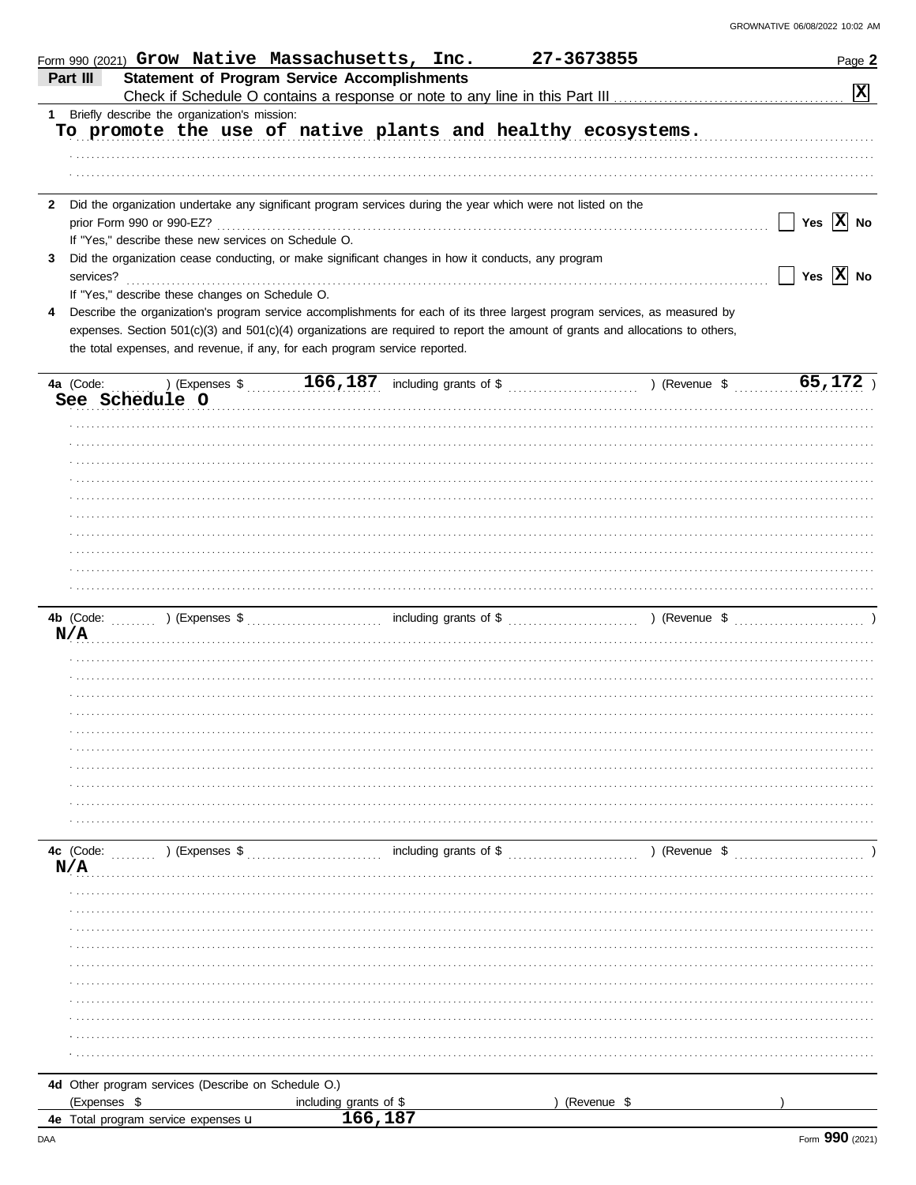|              | 27-3673855<br>Form 990 (2021) Grow Native Massachusetts, Inc.                                                                             | Page 2                                |
|--------------|-------------------------------------------------------------------------------------------------------------------------------------------|---------------------------------------|
| Part III     | <b>Statement of Program Service Accomplishments</b>                                                                                       |                                       |
|              |                                                                                                                                           | $\mathbf{x}$                          |
| $\mathbf{1}$ | Briefly describe the organization's mission:                                                                                              |                                       |
|              | To promote the use of native plants and healthy ecosystems.                                                                               |                                       |
|              |                                                                                                                                           |                                       |
|              |                                                                                                                                           |                                       |
|              |                                                                                                                                           |                                       |
| $\mathbf{2}$ | Did the organization undertake any significant program services during the year which were not listed on the<br>prior Form 990 or 990-EZ? | Yes $\overline{X}$ No<br>$\mathsf{L}$ |
|              | If "Yes," describe these new services on Schedule O.                                                                                      |                                       |
| 3            | Did the organization cease conducting, or make significant changes in how it conducts, any program                                        |                                       |
|              | services?                                                                                                                                 | $\Box$ Yes $\boxed{\mathbf{X}}$ No    |
|              | If "Yes," describe these changes on Schedule O.                                                                                           |                                       |
| 4            | Describe the organization's program service accomplishments for each of its three largest program services, as measured by                |                                       |
|              | expenses. Section 501(c)(3) and 501(c)(4) organizations are required to report the amount of grants and allocations to others,            |                                       |
|              | the total expenses, and revenue, if any, for each program service reported.                                                               |                                       |
|              |                                                                                                                                           |                                       |
|              | $(166, 187)$ (Expenses \$ \bubble 166, 187) including grants of \$ \bubble 1.1 (Revenue \$ \bubble 1.1.1.1.1)<br>4a (Code:                | 65,172                                |
|              | See Schedule O                                                                                                                            |                                       |
|              |                                                                                                                                           |                                       |
|              |                                                                                                                                           |                                       |
|              |                                                                                                                                           |                                       |
|              |                                                                                                                                           |                                       |
|              |                                                                                                                                           |                                       |
|              |                                                                                                                                           |                                       |
|              |                                                                                                                                           |                                       |
|              |                                                                                                                                           |                                       |
|              |                                                                                                                                           |                                       |
|              |                                                                                                                                           |                                       |
|              |                                                                                                                                           |                                       |
|              |                                                                                                                                           |                                       |
| N/A          |                                                                                                                                           |                                       |
|              |                                                                                                                                           |                                       |
|              |                                                                                                                                           |                                       |
|              |                                                                                                                                           |                                       |
|              |                                                                                                                                           |                                       |
|              |                                                                                                                                           |                                       |
|              |                                                                                                                                           |                                       |
|              |                                                                                                                                           |                                       |
|              |                                                                                                                                           |                                       |
|              |                                                                                                                                           |                                       |
|              |                                                                                                                                           |                                       |
|              | including grants of \$<br>4c (Code:<br>) (Revenue \$<br>) (Expenses \$                                                                    |                                       |
| N/A          |                                                                                                                                           |                                       |
|              |                                                                                                                                           |                                       |
|              |                                                                                                                                           |                                       |
|              |                                                                                                                                           |                                       |
|              |                                                                                                                                           |                                       |
|              |                                                                                                                                           |                                       |
|              |                                                                                                                                           |                                       |
|              |                                                                                                                                           |                                       |
|              |                                                                                                                                           |                                       |
|              |                                                                                                                                           |                                       |
|              |                                                                                                                                           |                                       |
|              |                                                                                                                                           |                                       |
|              | 4d Other program services (Describe on Schedule O.)                                                                                       |                                       |
|              | (Expenses \$<br>(Revenue \$<br>including grants of \$<br>166, 187                                                                         |                                       |
|              | 4e Total program service expenses u                                                                                                       |                                       |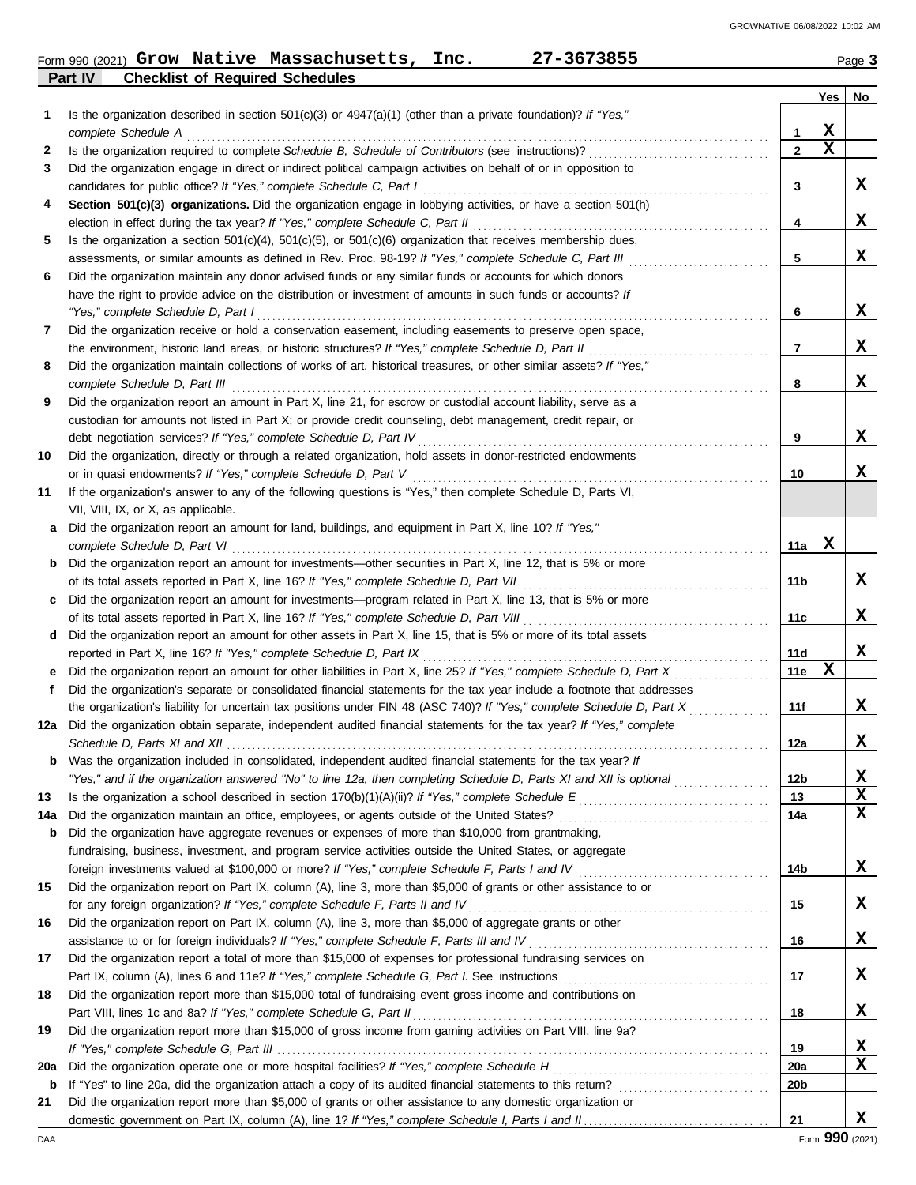## **Part IV Checklist of Required Schedules** Form 990 (2021) Page **3 Grow Native Massachusetts, Inc. 27-3673855**

|        | ו מונו ש<br>criecking or required ocriedules                                                                                                                                                                  |                   |     |        |
|--------|---------------------------------------------------------------------------------------------------------------------------------------------------------------------------------------------------------------|-------------------|-----|--------|
|        |                                                                                                                                                                                                               |                   | Yes | No     |
| 1      | Is the organization described in section $501(c)(3)$ or $4947(a)(1)$ (other than a private foundation)? If "Yes,"                                                                                             |                   | x   |        |
|        | complete Schedule A<br>Is the organization required to complete Schedule B, Schedule of Contributors (see instructions)?                                                                                      | 1<br>$\mathbf{2}$ | X   |        |
| 2<br>3 | Did the organization engage in direct or indirect political campaign activities on behalf of or in opposition to                                                                                              |                   |     |        |
|        | candidates for public office? If "Yes," complete Schedule C, Part I                                                                                                                                           | 3                 |     | X      |
| 4      | Section 501(c)(3) organizations. Did the organization engage in lobbying activities, or have a section 501(h)                                                                                                 |                   |     |        |
|        | election in effect during the tax year? If "Yes," complete Schedule C, Part II                                                                                                                                | 4                 |     | x      |
| 5      | Is the organization a section $501(c)(4)$ , $501(c)(5)$ , or $501(c)(6)$ organization that receives membership dues,                                                                                          |                   |     |        |
|        | assessments, or similar amounts as defined in Rev. Proc. 98-19? If "Yes," complete Schedule C, Part III                                                                                                       | 5                 |     | x      |
| 6      | Did the organization maintain any donor advised funds or any similar funds or accounts for which donors                                                                                                       |                   |     |        |
|        | have the right to provide advice on the distribution or investment of amounts in such funds or accounts? If                                                                                                   |                   |     |        |
|        | "Yes," complete Schedule D, Part I                                                                                                                                                                            | 6                 |     | x      |
| 7      | Did the organization receive or hold a conservation easement, including easements to preserve open space,                                                                                                     |                   |     |        |
|        | the environment, historic land areas, or historic structures? If "Yes," complete Schedule D, Part II                                                                                                          | 7                 |     | x      |
| 8      | Did the organization maintain collections of works of art, historical treasures, or other similar assets? If "Yes,"                                                                                           |                   |     |        |
|        | complete Schedule D, Part III                                                                                                                                                                                 | 8                 |     | X      |
| 9      | Did the organization report an amount in Part X, line 21, for escrow or custodial account liability, serve as a                                                                                               |                   |     |        |
|        | custodian for amounts not listed in Part X; or provide credit counseling, debt management, credit repair, or                                                                                                  |                   |     |        |
|        | debt negotiation services? If "Yes," complete Schedule D, Part IV                                                                                                                                             | 9                 |     | x      |
| 10     | Did the organization, directly or through a related organization, hold assets in donor-restricted endowments                                                                                                  |                   |     | x      |
|        | or in quasi endowments? If "Yes," complete Schedule D, Part V                                                                                                                                                 | 10                |     |        |
| 11     | If the organization's answer to any of the following questions is "Yes," then complete Schedule D, Parts VI,<br>VII, VIII, IX, or X, as applicable.                                                           |                   |     |        |
| a      | Did the organization report an amount for land, buildings, and equipment in Part X, line 10? If "Yes,"                                                                                                        |                   |     |        |
|        | complete Schedule D, Part VI                                                                                                                                                                                  | 11a               | х   |        |
|        | <b>b</b> Did the organization report an amount for investments—other securities in Part X, line 12, that is 5% or more                                                                                        |                   |     |        |
|        | of its total assets reported in Part X, line 16? If "Yes," complete Schedule D, Part VII                                                                                                                      | 11 b              |     | x      |
|        | c Did the organization report an amount for investments—program related in Part X, line 13, that is 5% or more                                                                                                |                   |     |        |
|        | of its total assets reported in Part X, line 16? If "Yes," complete Schedule D, Part VIII                                                                                                                     | 11c               |     | X      |
|        | d Did the organization report an amount for other assets in Part X, line 15, that is 5% or more of its total assets                                                                                           |                   |     |        |
|        | reported in Part X, line 16? If "Yes," complete Schedule D, Part IX                                                                                                                                           | 11d               |     | x      |
|        | e Did the organization report an amount for other liabilities in Part X, line 25? If "Yes," complete Schedule D, Part X                                                                                       | 11e               | х   |        |
| f      | Did the organization's separate or consolidated financial statements for the tax year include a footnote that addresses                                                                                       |                   |     |        |
|        | the organization's liability for uncertain tax positions under FIN 48 (ASC 740)? If "Yes," complete Schedule D, Part X                                                                                        | 11f               |     | x      |
|        | 12a Did the organization obtain separate, independent audited financial statements for the tax year? If "Yes," complete                                                                                       |                   |     |        |
|        |                                                                                                                                                                                                               | 12a               |     | x      |
|        | Was the organization included in consolidated, independent audited financial statements for the tax year? If                                                                                                  |                   |     |        |
|        | "Yes," and if the organization answered "No" to line 12a, then completing Schedule D, Parts XI and XII is optional                                                                                            | 12 <sub>b</sub>   |     | X      |
| 13     |                                                                                                                                                                                                               | 13                |     | X<br>X |
| 14a    | Did the organization maintain an office, employees, or agents outside of the United States?                                                                                                                   | 14a               |     |        |
| b      | Did the organization have aggregate revenues or expenses of more than \$10,000 from grantmaking,<br>fundraising, business, investment, and program service activities outside the United States, or aggregate |                   |     |        |
|        |                                                                                                                                                                                                               | 14b               |     | x      |
| 15     | Did the organization report on Part IX, column (A), line 3, more than \$5,000 of grants or other assistance to or                                                                                             |                   |     |        |
|        | for any foreign organization? If "Yes," complete Schedule F, Parts II and IV                                                                                                                                  | 15                |     | x      |
| 16     | Did the organization report on Part IX, column (A), line 3, more than \$5,000 of aggregate grants or other                                                                                                    |                   |     |        |
|        | assistance to or for foreign individuals? If "Yes," complete Schedule F, Parts III and IV                                                                                                                     | 16                |     | x      |
| 17     | Did the organization report a total of more than \$15,000 of expenses for professional fundraising services on                                                                                                |                   |     |        |
|        |                                                                                                                                                                                                               | 17                |     | x      |
| 18     | Did the organization report more than \$15,000 total of fundraising event gross income and contributions on                                                                                                   |                   |     |        |
|        | Part VIII, lines 1c and 8a? If "Yes," complete Schedule G, Part II                                                                                                                                            | 18                |     | x      |
| 19     | Did the organization report more than \$15,000 of gross income from gaming activities on Part VIII, line 9a?                                                                                                  |                   |     |        |
|        |                                                                                                                                                                                                               | 19                |     | X      |
| 20a    |                                                                                                                                                                                                               | 20a               |     | X      |
| b      |                                                                                                                                                                                                               | 20 <sub>b</sub>   |     |        |
| 21     | Did the organization report more than \$5,000 of grants or other assistance to any domestic organization or                                                                                                   |                   |     |        |
|        |                                                                                                                                                                                                               | 21                |     | x      |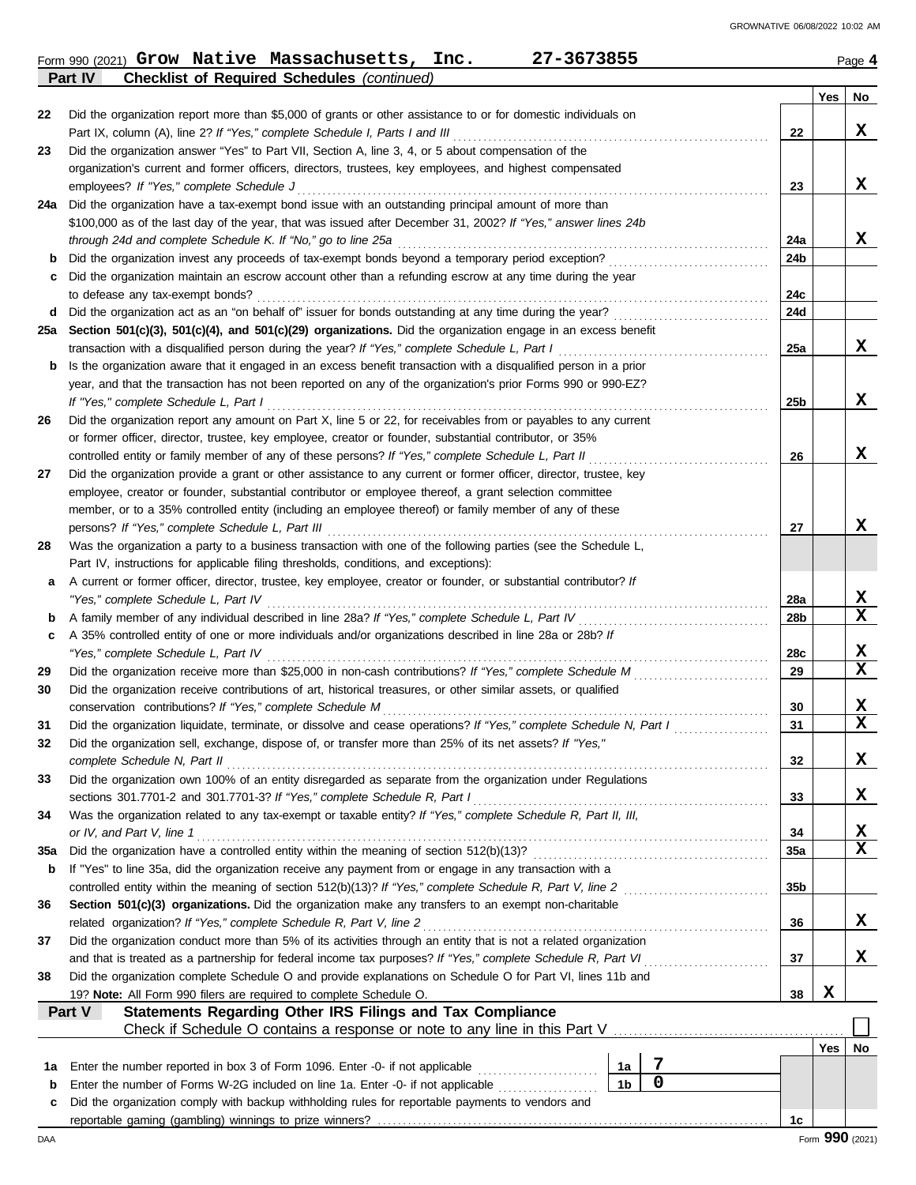|     | 27-3673855<br>Form 990 (2021) Grow Native Massachusetts, Inc.                                                                                                                      |             |     |     | Page 4                  |
|-----|------------------------------------------------------------------------------------------------------------------------------------------------------------------------------------|-------------|-----|-----|-------------------------|
|     | <b>Checklist of Required Schedules (continued)</b><br>Part IV                                                                                                                      |             |     |     |                         |
|     |                                                                                                                                                                                    |             |     | Yes | No                      |
| 22  | Did the organization report more than \$5,000 of grants or other assistance to or for domestic individuals on                                                                      |             |     |     | X                       |
| 23  | Part IX, column (A), line 2? If "Yes," complete Schedule I, Parts I and III<br>Did the organization answer "Yes" to Part VII, Section A, line 3, 4, or 5 about compensation of the |             | 22  |     |                         |
|     | organization's current and former officers, directors, trustees, key employees, and highest compensated                                                                            |             |     |     |                         |
|     | employees? If "Yes," complete Schedule J                                                                                                                                           |             | 23  |     | x                       |
|     | 24a Did the organization have a tax-exempt bond issue with an outstanding principal amount of more than                                                                            |             |     |     |                         |
|     | \$100,000 as of the last day of the year, that was issued after December 31, 2002? If "Yes," answer lines 24b                                                                      |             |     |     |                         |
|     | through 24d and complete Schedule K. If "No," go to line 25a                                                                                                                       |             | 24a |     | x                       |
| b   | Did the organization invest any proceeds of tax-exempt bonds beyond a temporary period exception?                                                                                  |             | 24b |     |                         |
| с   | Did the organization maintain an escrow account other than a refunding escrow at any time during the year                                                                          |             |     |     |                         |
|     | to defease any tax-exempt bonds?                                                                                                                                                   |             | 24c |     |                         |
|     | d Did the organization act as an "on behalf of" issuer for bonds outstanding at any time during the year?                                                                          |             | 24d |     |                         |
|     | 25a Section 501(c)(3), 501(c)(4), and 501(c)(29) organizations. Did the organization engage in an excess benefit                                                                   |             |     |     |                         |
|     | transaction with a disqualified person during the year? If "Yes," complete Schedule L, Part I                                                                                      |             | 25a |     | x                       |
| b   | Is the organization aware that it engaged in an excess benefit transaction with a disqualified person in a prior                                                                   |             |     |     |                         |
|     | year, and that the transaction has not been reported on any of the organization's prior Forms 990 or 990-EZ?                                                                       |             |     |     |                         |
|     | If "Yes," complete Schedule L, Part I                                                                                                                                              |             | 25b |     | X                       |
| 26  | Did the organization report any amount on Part X, line 5 or 22, for receivables from or payables to any current                                                                    |             |     |     |                         |
|     | or former officer, director, trustee, key employee, creator or founder, substantial contributor, or 35%                                                                            |             |     |     |                         |
|     | controlled entity or family member of any of these persons? If "Yes," complete Schedule L, Part II                                                                                 |             | 26  |     | X                       |
| 27  | Did the organization provide a grant or other assistance to any current or former officer, director, trustee, key                                                                  |             |     |     |                         |
|     | employee, creator or founder, substantial contributor or employee thereof, a grant selection committee                                                                             |             |     |     |                         |
|     | member, or to a 35% controlled entity (including an employee thereof) or family member of any of these                                                                             |             |     |     |                         |
|     | persons? If "Yes," complete Schedule L, Part III                                                                                                                                   |             | 27  |     | X                       |
| 28  | Was the organization a party to a business transaction with one of the following parties (see the Schedule L,                                                                      |             |     |     |                         |
|     | Part IV, instructions for applicable filing thresholds, conditions, and exceptions):                                                                                               |             |     |     |                         |
| а   | A current or former officer, director, trustee, key employee, creator or founder, or substantial contributor? If                                                                   |             |     |     |                         |
|     | "Yes," complete Schedule L, Part IV                                                                                                                                                |             | 28a |     | X<br>$\mathbf x$        |
| b   | A family member of any individual described in line 28a? If "Yes," complete Schedule L, Part IV                                                                                    |             | 28b |     |                         |
| С   | A 35% controlled entity of one or more individuals and/or organizations described in line 28a or 28b? If<br>"Yes," complete Schedule L, Part IV                                    |             | 28c |     | X                       |
| 29  | Did the organization receive more than \$25,000 in non-cash contributions? If "Yes," complete Schedule M                                                                           |             | 29  |     | $\mathbf x$             |
| 30  | Did the organization receive contributions of art, historical treasures, or other similar assets, or qualified                                                                     |             |     |     |                         |
|     | conservation contributions? If "Yes," complete Schedule M                                                                                                                          |             | 30  |     | X                       |
| 31  | Did the organization liquidate, terminate, or dissolve and cease operations? If "Yes," complete Schedule N, Part I                                                                 |             | 31  |     | $\overline{\textbf{X}}$ |
| 32  | Did the organization sell, exchange, dispose of, or transfer more than 25% of its net assets? If "Yes,"                                                                            |             |     |     |                         |
|     | complete Schedule N, Part II                                                                                                                                                       |             | 32  |     | X                       |
| 33  | Did the organization own 100% of an entity disregarded as separate from the organization under Regulations                                                                         |             |     |     |                         |
|     | sections 301.7701-2 and 301.7701-3? If "Yes," complete Schedule R, Part I                                                                                                          |             | 33  |     | X                       |
| 34  | Was the organization related to any tax-exempt or taxable entity? If "Yes," complete Schedule R, Part II, III,                                                                     |             |     |     |                         |
|     | or IV, and Part V, line 1                                                                                                                                                          |             | 34  |     | X                       |
| 35a | Did the organization have a controlled entity within the meaning of section 512(b)(13)?                                                                                            |             | 35a |     | $\mathbf x$             |
| b   | If "Yes" to line 35a, did the organization receive any payment from or engage in any transaction with a                                                                            |             |     |     |                         |
|     | controlled entity within the meaning of section 512(b)(13)? If "Yes," complete Schedule R, Part V, line 2                                                                          |             | 35b |     |                         |
| 36  | Section 501(c)(3) organizations. Did the organization make any transfers to an exempt non-charitable                                                                               |             |     |     |                         |
|     | related organization? If "Yes," complete Schedule R, Part V, line 2                                                                                                                |             | 36  |     | X                       |
| 37  | Did the organization conduct more than 5% of its activities through an entity that is not a related organization                                                                   |             |     |     |                         |
|     | and that is treated as a partnership for federal income tax purposes? If "Yes," complete Schedule R, Part VI                                                                       |             | 37  |     | х                       |
| 38  | Did the organization complete Schedule O and provide explanations on Schedule O for Part VI, lines 11b and                                                                         |             |     |     |                         |
|     | 19? Note: All Form 990 filers are required to complete Schedule O.                                                                                                                 |             | 38  | X   |                         |
|     | Part V<br><b>Statements Regarding Other IRS Filings and Tax Compliance</b>                                                                                                         |             |     |     |                         |
|     | Check if Schedule O contains a response or note to any line in this Part V                                                                                                         |             |     |     |                         |
|     |                                                                                                                                                                                    |             |     | Yes | No                      |
| 1a  | Enter the number reported in box 3 of Form 1096. Enter -0- if not applicable<br>1a                                                                                                 | 7           |     |     |                         |
| b   | 1 <sub>b</sub><br>Enter the number of Forms W-2G included on line 1a. Enter -0- if not applicable                                                                                  | $\mathbf 0$ |     |     |                         |
| c   | Did the organization comply with backup withholding rules for reportable payments to vendors and                                                                                   |             |     |     |                         |
|     |                                                                                                                                                                                    |             | 1c  |     |                         |
| DAA |                                                                                                                                                                                    |             |     |     | Form 990 (2021)         |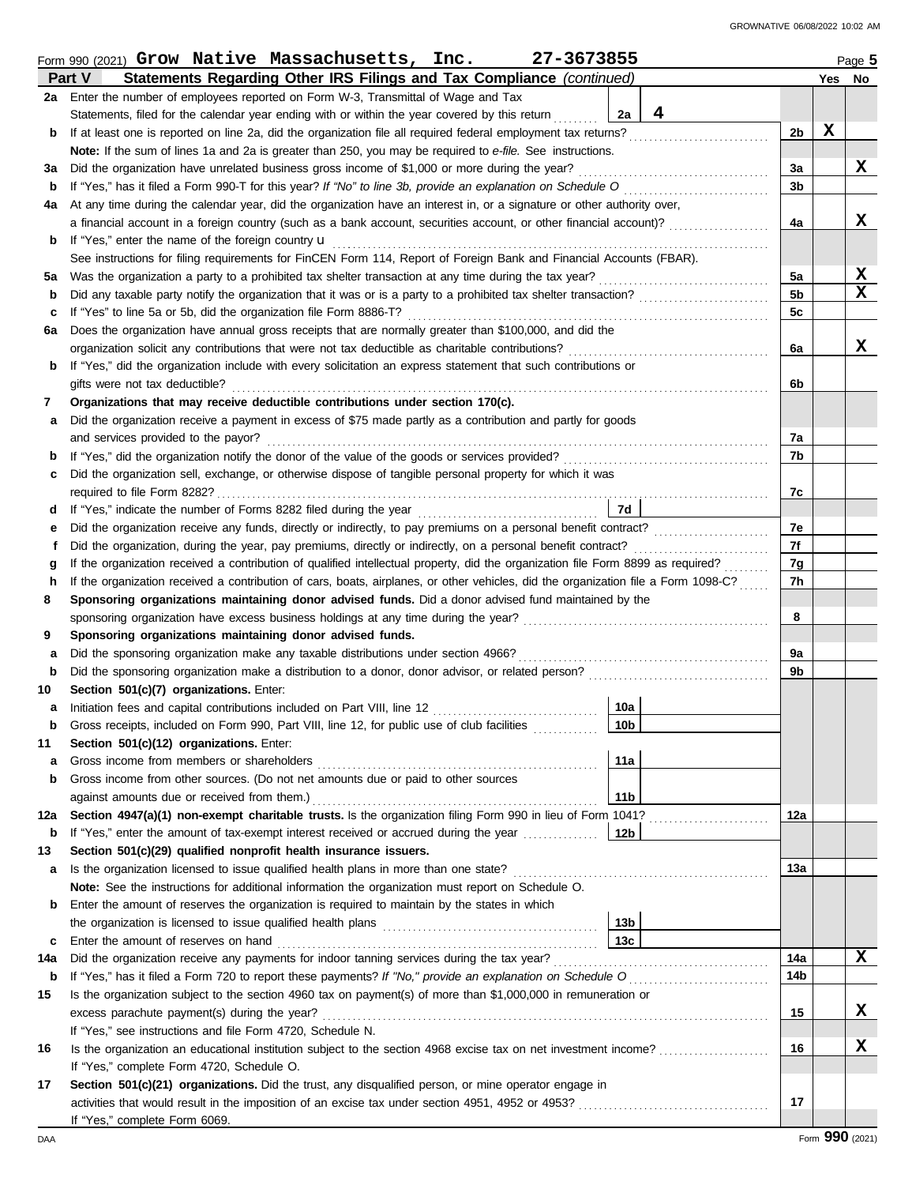|             | 27-3673855<br>Form 990 (2021) $Grow$ Native Massachusetts, Inc.                                                                                                                                                                                  |                 |          |        | Page 5 |
|-------------|--------------------------------------------------------------------------------------------------------------------------------------------------------------------------------------------------------------------------------------------------|-----------------|----------|--------|--------|
|             | Part V<br>Statements Regarding Other IRS Filings and Tax Compliance (continued)                                                                                                                                                                  |                 |          | Yes No |        |
|             | 2a Enter the number of employees reported on Form W-3, Transmittal of Wage and Tax                                                                                                                                                               |                 |          |        |        |
|             | Statements, filed for the calendar year ending with or within the year covered by this return                                                                                                                                                    | 4<br>2a         |          |        |        |
| b           | If at least one is reported on line 2a, did the organization file all required federal employment tax returns?                                                                                                                                   |                 | 2b       | X      |        |
|             | Note: If the sum of lines 1a and 2a is greater than 250, you may be required to e-file. See instructions.                                                                                                                                        |                 |          |        |        |
| За          | Did the organization have unrelated business gross income of \$1,000 or more during the year?                                                                                                                                                    |                 | За       |        | X      |
| b           | If "Yes," has it filed a Form 990-T for this year? If "No" to line 3b, provide an explanation on Schedule O                                                                                                                                      |                 | 3b       |        |        |
| 4a          | At any time during the calendar year, did the organization have an interest in, or a signature or other authority over,                                                                                                                          |                 |          |        |        |
|             | a financial account in a foreign country (such as a bank account, securities account, or other financial account)?                                                                                                                               |                 | 4a       |        | x      |
| b           | If "Yes," enter the name of the foreign country <b>u</b>                                                                                                                                                                                         |                 |          |        |        |
|             | See instructions for filing requirements for FinCEN Form 114, Report of Foreign Bank and Financial Accounts (FBAR).                                                                                                                              |                 |          |        |        |
| 5а          | Was the organization a party to a prohibited tax shelter transaction at any time during the tax year?                                                                                                                                            |                 | 5a       |        | X      |
| b           | Did any taxable party notify the organization that it was or is a party to a prohibited tax shelter transaction?                                                                                                                                 |                 | 5b       |        | X      |
| c           | If "Yes" to line 5a or 5b, did the organization file Form 8886-T?                                                                                                                                                                                |                 | 5c       |        |        |
| 6а          | Does the organization have annual gross receipts that are normally greater than \$100,000, and did the                                                                                                                                           |                 |          |        |        |
|             | organization solicit any contributions that were not tax deductible as charitable contributions?                                                                                                                                                 |                 | 6a       |        | X      |
| b           | If "Yes," did the organization include with every solicitation an express statement that such contributions or                                                                                                                                   |                 |          |        |        |
|             | gifts were not tax deductible?                                                                                                                                                                                                                   |                 | 6b       |        |        |
| 7           | Organizations that may receive deductible contributions under section 170(c).                                                                                                                                                                    |                 |          |        |        |
| а           | Did the organization receive a payment in excess of \$75 made partly as a contribution and partly for goods                                                                                                                                      |                 |          |        |        |
|             | and services provided to the payor?                                                                                                                                                                                                              |                 | 7a       |        |        |
| b           |                                                                                                                                                                                                                                                  |                 | 7b       |        |        |
| c           | Did the organization sell, exchange, or otherwise dispose of tangible personal property for which it was                                                                                                                                         |                 |          |        |        |
|             | required to file Form 8282?                                                                                                                                                                                                                      |                 | 7c       |        |        |
| d           | If "Yes," indicate the number of Forms 8282 filed during the year                                                                                                                                                                                | 7d              |          |        |        |
| е           | Did the organization receive any funds, directly or indirectly, to pay premiums on a personal benefit contract?                                                                                                                                  |                 | 7e<br>7f |        |        |
| f           | Did the organization, during the year, pay premiums, directly or indirectly, on a personal benefit contract?<br>If the organization received a contribution of qualified intellectual property, did the organization file Form 8899 as required? |                 |          |        |        |
| g<br>h      | If the organization received a contribution of cars, boats, airplanes, or other vehicles, did the organization file a Form 1098-C?                                                                                                               |                 | 7g<br>7h |        |        |
| 8           | Sponsoring organizations maintaining donor advised funds. Did a donor advised fund maintained by the                                                                                                                                             |                 |          |        |        |
|             | sponsoring organization have excess business holdings at any time during the year?                                                                                                                                                               |                 | 8        |        |        |
| 9           | Sponsoring organizations maintaining donor advised funds.                                                                                                                                                                                        |                 |          |        |        |
| a           | Did the sponsoring organization make any taxable distributions under section 4966?                                                                                                                                                               |                 | 9a       |        |        |
| b           | Did the sponsoring organization make a distribution to a donor, donor advisor, or related person?                                                                                                                                                |                 | 9b       |        |        |
| 10          | Section 501(c)(7) organizations. Enter:                                                                                                                                                                                                          |                 |          |        |        |
| а           | Initiation fees and capital contributions included on Part VIII, line 12 [100] [100] [100] [100] [100] [100] [100] [100] [100] [100] [100] [100] [100] [100] [100] [100] [100] [100] [100] [100] [100] [100] [100] [100] [100]                   | 10a             |          |        |        |
|             | Gross receipts, included on Form 990, Part VIII, line 12, for public use of club facilities                                                                                                                                                      | 10 <sub>b</sub> |          |        |        |
| 11          | Section 501(c)(12) organizations. Enter:                                                                                                                                                                                                         |                 |          |        |        |
| а           | Gross income from members or shareholders                                                                                                                                                                                                        | 11a             |          |        |        |
| b           | Gross income from other sources. (Do not net amounts due or paid to other sources                                                                                                                                                                |                 |          |        |        |
|             | against amounts due or received from them.)                                                                                                                                                                                                      | 11 <sub>b</sub> |          |        |        |
| 12a         | Section 4947(a)(1) non-exempt charitable trusts. Is the organization filing Form 990 in lieu of Form 1041?                                                                                                                                       |                 | 12a      |        |        |
|             | <b>b</b> If "Yes," enter the amount of tax-exempt interest received or accrued during the year                                                                                                                                                   | l 12b           |          |        |        |
| 13          | Section 501(c)(29) qualified nonprofit health insurance issuers.                                                                                                                                                                                 |                 |          |        |        |
| a           | Is the organization licensed to issue qualified health plans in more than one state?                                                                                                                                                             |                 | 13a      |        |        |
|             | Note: See the instructions for additional information the organization must report on Schedule O.                                                                                                                                                |                 |          |        |        |
| b           | Enter the amount of reserves the organization is required to maintain by the states in which                                                                                                                                                     |                 |          |        |        |
|             |                                                                                                                                                                                                                                                  | 13b             |          |        |        |
| C           | Enter the amount of reserves on hand                                                                                                                                                                                                             | 13 <sub>c</sub> |          |        |        |
| 14a         | Did the organization receive any payments for indoor tanning services during the tax year?                                                                                                                                                       |                 | 14a      |        | X      |
| $\mathbf b$ | If "Yes," has it filed a Form 720 to report these payments? If "No," provide an explanation on Schedule O                                                                                                                                        |                 | 14b      |        |        |
| 15          | Is the organization subject to the section 4960 tax on payment(s) of more than \$1,000,000 in remuneration or                                                                                                                                    |                 |          |        |        |
|             | excess parachute payment(s) during the year?                                                                                                                                                                                                     |                 | 15       |        | х      |
|             | If "Yes," see instructions and file Form 4720, Schedule N.                                                                                                                                                                                       |                 |          |        |        |
| 16          | Is the organization an educational institution subject to the section 4968 excise tax on net investment income?                                                                                                                                  |                 | 16       |        | х      |
|             | If "Yes," complete Form 4720, Schedule O.                                                                                                                                                                                                        |                 |          |        |        |
| 17          | Section 501(c)(21) organizations. Did the trust, any disqualified person, or mine operator engage in                                                                                                                                             |                 |          |        |        |
|             | activities that would result in the imposition of an excise tax under section 4951, 4952 or 4953?                                                                                                                                                |                 | 17       |        |        |
|             | If "Yes," complete Form 6069.                                                                                                                                                                                                                    |                 |          |        |        |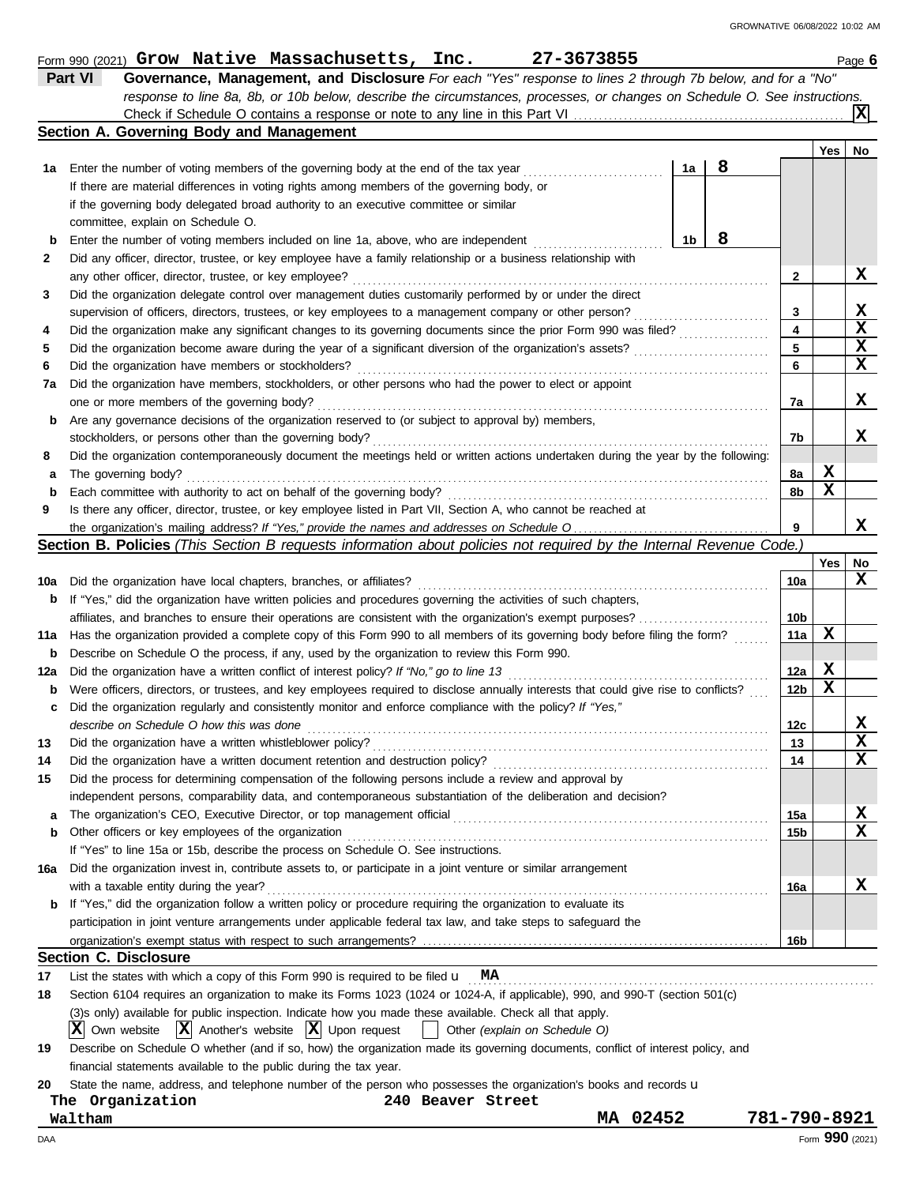|             | Part VI<br>Governance, Management, and Disclosure For each "Yes" response to lines 2 through 7b below, and for a "No"                |                 |                 |             |
|-------------|--------------------------------------------------------------------------------------------------------------------------------------|-----------------|-----------------|-------------|
|             | response to line 8a, 8b, or 10b below, describe the circumstances, processes, or changes on Schedule O. See instructions.            |                 |                 |             |
|             |                                                                                                                                      |                 |                 | ΙXΙ         |
|             | Section A. Governing Body and Management                                                                                             |                 |                 |             |
|             |                                                                                                                                      |                 | Yes             | No          |
| 1а          | 8<br>Enter the number of voting members of the governing body at the end of the tax year<br>1a                                       |                 |                 |             |
|             | If there are material differences in voting rights among members of the governing body, or                                           |                 |                 |             |
|             | if the governing body delegated broad authority to an executive committee or similar                                                 |                 |                 |             |
|             | committee, explain on Schedule O.                                                                                                    |                 |                 |             |
| b           | 8<br>1b<br>Enter the number of voting members included on line 1a, above, who are independent                                        |                 |                 |             |
| 2           | Did any officer, director, trustee, or key employee have a family relationship or a business relationship with                       |                 |                 |             |
|             | any other officer, director, trustee, or key employee?                                                                               | 2               |                 | X           |
|             |                                                                                                                                      |                 |                 |             |
| 3           | Did the organization delegate control over management duties customarily performed by or under the direct                            |                 |                 |             |
|             | supervision of officers, directors, trustees, or key employees to a management company or other person?                              | 3               |                 | X           |
| 4           | Did the organization make any significant changes to its governing documents since the prior Form 990 was filed?                     | 4               |                 | $\mathbf x$ |
| 5           |                                                                                                                                      | 5               |                 | X           |
| 6           | Did the organization have members or stockholders?                                                                                   | 6               |                 | X           |
| 7a          | Did the organization have members, stockholders, or other persons who had the power to elect or appoint                              |                 |                 |             |
|             | one or more members of the governing body?                                                                                           | 7a              |                 | X           |
| b           | Are any governance decisions of the organization reserved to (or subject to approval by) members,                                    |                 |                 |             |
|             | stockholders, or persons other than the governing body?                                                                              | 7b              |                 | x           |
| 8           | Did the organization contemporaneously document the meetings held or written actions undertaken during the year by the following:    |                 |                 |             |
| а           | The governing body?                                                                                                                  | 8a              | X               |             |
| $\mathbf b$ | Each committee with authority to act on behalf of the governing body?                                                                | 8b              | X               |             |
| 9           | Is there any officer, director, trustee, or key employee listed in Part VII, Section A, who cannot be reached at                     |                 |                 |             |
|             |                                                                                                                                      | 9               |                 | х           |
|             |                                                                                                                                      |                 |                 |             |
|             | Section B. Policies (This Section B requests information about policies not required by the Internal Revenue Code.)                  |                 |                 |             |
|             |                                                                                                                                      |                 | Yes             | No          |
| 10a         | Did the organization have local chapters, branches, or affiliates?                                                                   | 10a             |                 | x           |
| b           | If "Yes," did the organization have written policies and procedures governing the activities of such chapters,                       |                 |                 |             |
|             | affiliates, and branches to ensure their operations are consistent with the organization's exempt purposes?                          | 10b             |                 |             |
| 11a         | Has the organization provided a complete copy of this Form 990 to all members of its governing body before filing the form?          | 11a             | х               |             |
| b           | Describe on Schedule O the process, if any, used by the organization to review this Form 990.                                        |                 |                 |             |
| 12a         | Did the organization have a written conflict of interest policy? If "No," go to line 13                                              | 12a             | X               |             |
| b           | Were officers, directors, or trustees, and key employees required to disclose annually interests that could give rise to conflicts?  | 12 <sub>b</sub> | X               |             |
| c           | Did the organization regularly and consistently monitor and enforce compliance with the policy? If "Yes,"                            |                 |                 |             |
|             | describe on Schedule O how this was done                                                                                             | 12c             |                 | x           |
| 13          | Did the organization have a written whistleblower policy?                                                                            | 13              |                 | X<br>43.    |
| 14          | Did the organization have a written document retention and destruction policy?                                                       | 14              |                 | X           |
| 15          | Did the process for determining compensation of the following persons include a review and approval by                               |                 |                 |             |
|             |                                                                                                                                      |                 |                 |             |
|             | independent persons, comparability data, and contemporaneous substantiation of the deliberation and decision?                        |                 |                 |             |
| а           |                                                                                                                                      | 15a             |                 | х           |
| b           | Other officers or key employees of the organization                                                                                  | 15b             |                 | X           |
|             | If "Yes" to line 15a or 15b, describe the process on Schedule O. See instructions.                                                   |                 |                 |             |
| 16а         | Did the organization invest in, contribute assets to, or participate in a joint venture or similar arrangement                       |                 |                 |             |
|             | with a taxable entity during the year?                                                                                               | 16a             |                 | X           |
| b           | If "Yes," did the organization follow a written policy or procedure requiring the organization to evaluate its                       |                 |                 |             |
|             | participation in joint venture arrangements under applicable federal tax law, and take steps to safeguard the                        |                 |                 |             |
|             |                                                                                                                                      | 16b             |                 |             |
|             | <b>Section C. Disclosure</b>                                                                                                         |                 |                 |             |
| 17          | List the states with which a copy of this Form 990 is required to be filed $\mathbf{u}$ MA                                           |                 |                 |             |
| 18          | Section 6104 requires an organization to make its Forms 1023 (1024 or 1024-A, if applicable), 990, and 990-T (section 501(c)         |                 |                 |             |
|             | (3)s only) available for public inspection. Indicate how you made these available. Check all that apply.                             |                 |                 |             |
|             | Own website $ \mathbf{X} $ Another's website $ \mathbf{X} $ Upon request<br>ΧI<br>Other (explain on Schedule O)<br><b>TELEVISION</b> |                 |                 |             |
|             |                                                                                                                                      |                 |                 |             |
| 19          | Describe on Schedule O whether (and if so, how) the organization made its governing documents, conflict of interest policy, and      |                 |                 |             |
|             | financial statements available to the public during the tax year.                                                                    |                 |                 |             |
| 20          | State the name, address, and telephone number of the person who possesses the organization's books and records u                     |                 |                 |             |
|             | The Organization<br>240 Beaver Street                                                                                                |                 |                 |             |
|             | MA 02452<br>Waltham                                                                                                                  | 781-790-8921    |                 |             |
| DAA         |                                                                                                                                      |                 | Form 990 (2021) |             |

Form 990 (2021) **Grow Native Massachusetts, Inc. 27-3673855** Page **6** Page **6** 

**Grow Native Massachusetts, Inc. 27-3673855**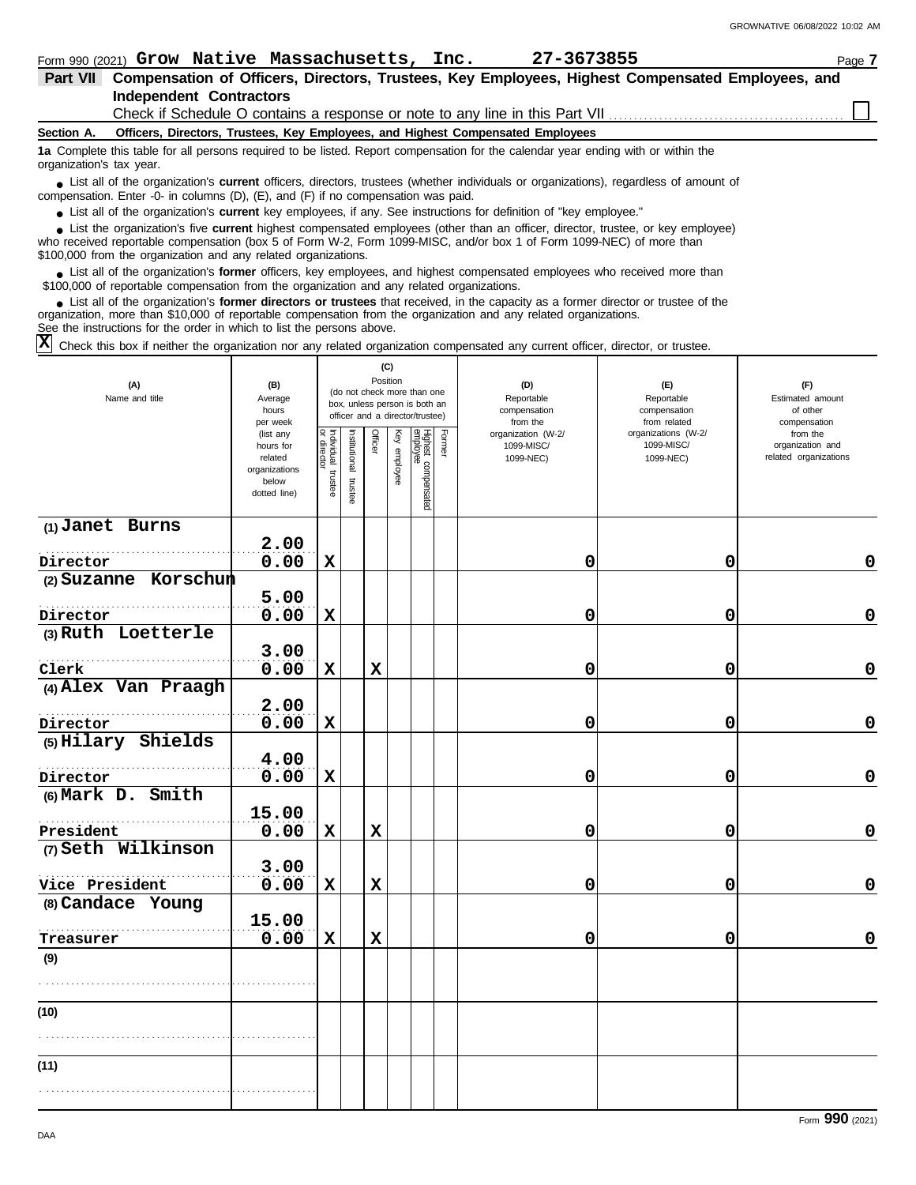Check if Schedule O contains a response or note to any line in this Part VII

#### **Section A. Officers, Directors, Trustees, Key Employees, and Highest Compensated Employees**

**1a** Complete this table for all persons required to be listed. Report compensation for the calendar year ending with or within the organization's tax year.

■ List all of the organization's **current** officers, directors, trustees (whether individuals or organizations), regardless of amount of the companies of amount of compensation. Enter -0- in columns (D),  $(E)$ , and  $(F)$  if no compensation was paid.

● List all of the organization's **current** key employees, if any. See instructions for definition of "key employee."

■ List the organization's five **current** highest compensated employees (other than an officer, director, trustee, or key employee)<br> **•** Propised reportable compensation (box 5 of Form M/2, Form 1000 MISC, and/or box 1 of

who received reportable compensation (box 5 of Form W-2, Form 1099-MISC, and/or box 1 of Form 1099-NEC) of more than \$100,000 from the organization and any related organizations.

■ List all of the organization's **former** officers, key employees, and highest compensated employees who received more than<br> **•** 00,000 of reportable compensation from the ergonization and any related ergonizations \$100,000 of reportable compensation from the organization and any related organizations.

■ List all of the organization's **former directors or trustees** that received, in the capacity as a former director or trustee of the<br>paization, more than \$10,000 of reportable compensation from the organization and any r organization, more than \$10,000 of reportable compensation from the organization and any related organizations. See the instructions for the order in which to list the persons above.

 $\overline{X}$  Check this box if neither the organization nor any related organization compensated any current officer, director, or trustee.

| (A)<br>Name and title | (B)<br>Average<br>hours<br>per week                                         | (C)<br>Position<br>(do not check more than one<br>box, unless person is both an<br>officer and a director/trustee) |                      |             |              |                                 |               | (D)<br>Reportable<br>compensation<br>from the | (F)<br>Reportable<br>compensation<br>from related | (F)<br>Estimated amount<br>of other<br>compensation   |  |  |
|-----------------------|-----------------------------------------------------------------------------|--------------------------------------------------------------------------------------------------------------------|----------------------|-------------|--------------|---------------------------------|---------------|-----------------------------------------------|---------------------------------------------------|-------------------------------------------------------|--|--|
|                       | (list any<br>hours for<br>related<br>organizations<br>below<br>dotted line) | Individual trustee<br>or director                                                                                  | nstitutional trustee | Officer     | Key employee | Highest compensated<br>employee | <b>Former</b> | organization (W-2/<br>1099-MISC/<br>1099-NEC) | organizations (W-2/<br>1099-MISC/<br>1099-NEC)    | from the<br>organization and<br>related organizations |  |  |
| $(1)$ Janet Burns     |                                                                             |                                                                                                                    |                      |             |              |                                 |               |                                               |                                                   |                                                       |  |  |
| Director              | 2.00<br>0.00                                                                | $\mathbf x$                                                                                                        |                      |             |              |                                 |               | 0                                             | 0                                                 | $\Omega$                                              |  |  |
| (2) Suzanne Korschun  |                                                                             |                                                                                                                    |                      |             |              |                                 |               |                                               |                                                   |                                                       |  |  |
|                       | 5.00                                                                        |                                                                                                                    |                      |             |              |                                 |               |                                               |                                                   |                                                       |  |  |
| Director              | 0.00                                                                        | $\mathbf x$                                                                                                        |                      |             |              |                                 |               | 0                                             | 0                                                 | $\mathbf 0$                                           |  |  |
| (3) Ruth Loetterle    |                                                                             |                                                                                                                    |                      |             |              |                                 |               |                                               |                                                   |                                                       |  |  |
|                       | 3.00                                                                        |                                                                                                                    |                      |             |              |                                 |               |                                               |                                                   |                                                       |  |  |
| Clerk                 | 0.00                                                                        | $\mathbf x$                                                                                                        |                      | $\mathbf x$ |              |                                 |               | 0                                             | 0                                                 | $\mathbf 0$                                           |  |  |
| (4) Alex Van Praagh   | 2.00                                                                        |                                                                                                                    |                      |             |              |                                 |               |                                               |                                                   |                                                       |  |  |
| Director              | 0.00                                                                        | $\mathbf x$                                                                                                        |                      |             |              |                                 |               | 0                                             | 0                                                 | $\mathbf 0$                                           |  |  |
| (5) Hilary Shields    |                                                                             |                                                                                                                    |                      |             |              |                                 |               |                                               |                                                   |                                                       |  |  |
|                       | 4.00                                                                        |                                                                                                                    |                      |             |              |                                 |               |                                               |                                                   |                                                       |  |  |
| Director              | 0.00                                                                        | $\mathbf x$                                                                                                        |                      |             |              |                                 |               | 0                                             | 0                                                 | $\mathbf 0$                                           |  |  |
| (6) Mark D. Smith     |                                                                             |                                                                                                                    |                      |             |              |                                 |               |                                               |                                                   |                                                       |  |  |
|                       | 15.00                                                                       |                                                                                                                    |                      |             |              |                                 |               |                                               |                                                   |                                                       |  |  |
| President             | 0.00                                                                        | $\mathbf x$                                                                                                        |                      | $\mathbf x$ |              |                                 |               | 0                                             | 0                                                 | 0                                                     |  |  |
| (7) Seth Wilkinson    | 3.00                                                                        |                                                                                                                    |                      |             |              |                                 |               |                                               |                                                   |                                                       |  |  |
| Vice President        | 0.00                                                                        | $\mathbf x$                                                                                                        |                      | $\mathbf x$ |              |                                 |               | 0                                             | 0                                                 | $\mathbf 0$                                           |  |  |
| (8) Candace Young     |                                                                             |                                                                                                                    |                      |             |              |                                 |               |                                               |                                                   |                                                       |  |  |
|                       | 15.00                                                                       |                                                                                                                    |                      |             |              |                                 |               |                                               |                                                   |                                                       |  |  |
| Treasurer             | 0.00                                                                        | $\mathbf x$                                                                                                        |                      | $\mathbf x$ |              |                                 |               | 0                                             | 0                                                 | $\mathbf 0$                                           |  |  |
| (9)                   |                                                                             |                                                                                                                    |                      |             |              |                                 |               |                                               |                                                   |                                                       |  |  |
|                       |                                                                             |                                                                                                                    |                      |             |              |                                 |               |                                               |                                                   |                                                       |  |  |
| (10)                  |                                                                             |                                                                                                                    |                      |             |              |                                 |               |                                               |                                                   |                                                       |  |  |
|                       |                                                                             |                                                                                                                    |                      |             |              |                                 |               |                                               |                                                   |                                                       |  |  |
|                       |                                                                             |                                                                                                                    |                      |             |              |                                 |               |                                               |                                                   |                                                       |  |  |
| (11)                  |                                                                             |                                                                                                                    |                      |             |              |                                 |               |                                               |                                                   |                                                       |  |  |
|                       |                                                                             |                                                                                                                    |                      |             |              |                                 |               |                                               |                                                   |                                                       |  |  |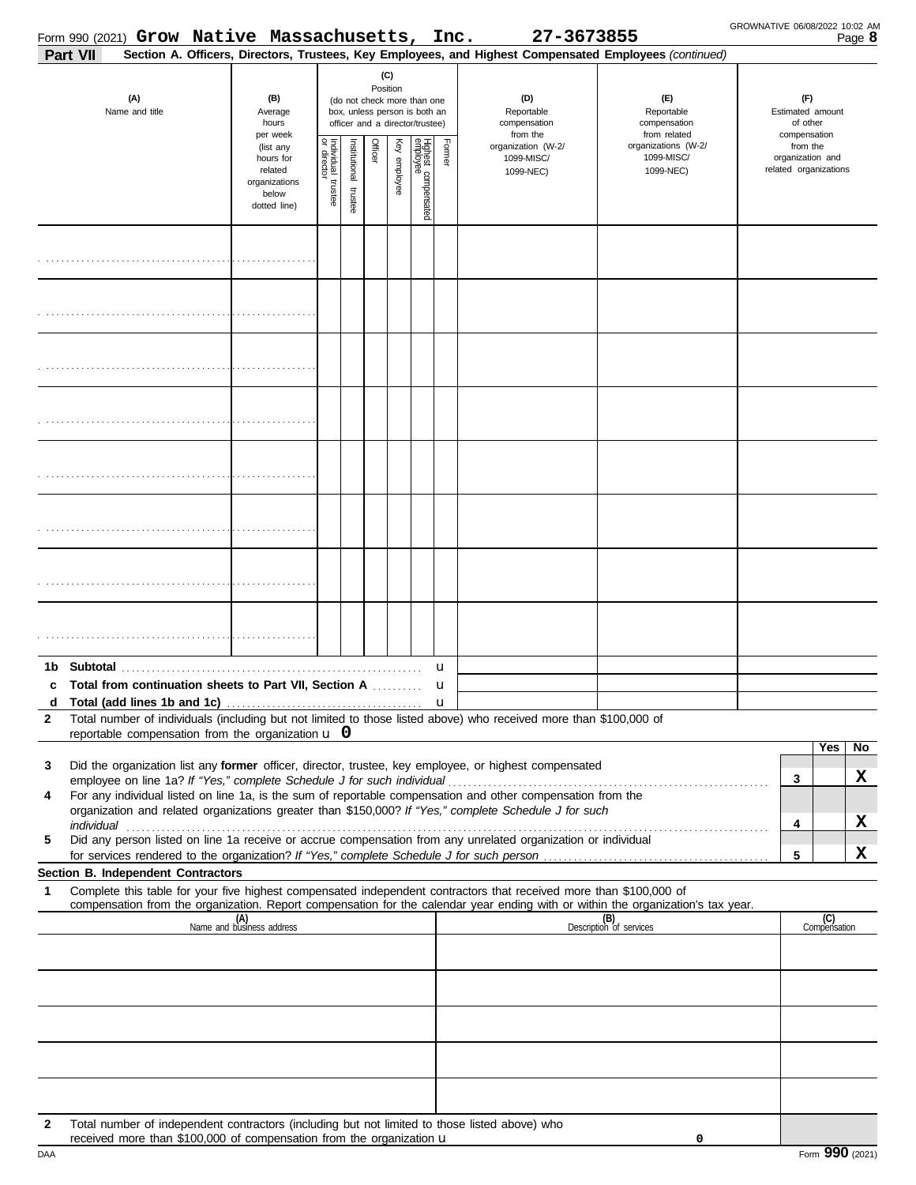|                       | Form 990 (2021) Grow Native Massachusetts, Inc.                                                                                                                                 |                                                                             |                                                                                                                    |                       |         |              |                                 |             | 27-3673855                                                                                                                                                                                                                                                                                                                                           |                                                   | GROWNATIVE 06/08/2022 10:02 AM |                                                       | Page 8 |
|-----------------------|---------------------------------------------------------------------------------------------------------------------------------------------------------------------------------|-----------------------------------------------------------------------------|--------------------------------------------------------------------------------------------------------------------|-----------------------|---------|--------------|---------------------------------|-------------|------------------------------------------------------------------------------------------------------------------------------------------------------------------------------------------------------------------------------------------------------------------------------------------------------------------------------------------------------|---------------------------------------------------|--------------------------------|-------------------------------------------------------|--------|
| Part VII              |                                                                                                                                                                                 |                                                                             |                                                                                                                    |                       |         |              |                                 |             | Section A. Officers, Directors, Trustees, Key Employees, and Highest Compensated Employees (continued)                                                                                                                                                                                                                                               |                                                   |                                |                                                       |        |
| (A)<br>Name and title |                                                                                                                                                                                 | (B)<br>Average<br>hours<br>per week                                         | (C)<br>Position<br>(do not check more than one<br>box, unless person is both an<br>officer and a director/trustee) |                       |         |              |                                 |             | (D)<br>Reportable<br>compensation<br>from the                                                                                                                                                                                                                                                                                                        | (F)<br>Reportable<br>compensation<br>from related |                                | (F)<br>Estimated amount<br>of other<br>compensation   |        |
|                       |                                                                                                                                                                                 | (list any<br>hours for<br>related<br>organizations<br>below<br>dotted line) | Individual<br>or director<br>trustee                                                                               | Institutional trustee | Officer | Key employee | Highest compensated<br>employee | Former      | organization (W-2/<br>1099-MISC/<br>1099-NEC)                                                                                                                                                                                                                                                                                                        | organizations (W-2/<br>1099-MISC/<br>1099-NEC)    |                                | from the<br>organization and<br>related organizations |        |
|                       |                                                                                                                                                                                 |                                                                             |                                                                                                                    |                       |         |              |                                 |             |                                                                                                                                                                                                                                                                                                                                                      |                                                   |                                |                                                       |        |
|                       |                                                                                                                                                                                 |                                                                             |                                                                                                                    |                       |         |              |                                 |             |                                                                                                                                                                                                                                                                                                                                                      |                                                   |                                |                                                       |        |
|                       |                                                                                                                                                                                 |                                                                             |                                                                                                                    |                       |         |              |                                 |             |                                                                                                                                                                                                                                                                                                                                                      |                                                   |                                |                                                       |        |
|                       |                                                                                                                                                                                 |                                                                             |                                                                                                                    |                       |         |              |                                 |             |                                                                                                                                                                                                                                                                                                                                                      |                                                   |                                |                                                       |        |
|                       |                                                                                                                                                                                 |                                                                             |                                                                                                                    |                       |         |              |                                 |             |                                                                                                                                                                                                                                                                                                                                                      |                                                   |                                |                                                       |        |
|                       |                                                                                                                                                                                 |                                                                             |                                                                                                                    |                       |         |              |                                 |             |                                                                                                                                                                                                                                                                                                                                                      |                                                   |                                |                                                       |        |
|                       |                                                                                                                                                                                 |                                                                             |                                                                                                                    |                       |         |              |                                 |             |                                                                                                                                                                                                                                                                                                                                                      |                                                   |                                |                                                       |        |
|                       |                                                                                                                                                                                 |                                                                             |                                                                                                                    |                       |         |              |                                 |             |                                                                                                                                                                                                                                                                                                                                                      |                                                   |                                |                                                       |        |
|                       | c Total from continuation sheets to Part VII, Section A                                                                                                                         |                                                                             |                                                                                                                    |                       |         |              |                                 | u<br>u      |                                                                                                                                                                                                                                                                                                                                                      |                                                   |                                |                                                       |        |
| d<br>$\mathbf{2}$     |                                                                                                                                                                                 |                                                                             |                                                                                                                    |                       |         |              |                                 | $\mathbf u$ | Total number of individuals (including but not limited to those listed above) who received more than \$100,000 of                                                                                                                                                                                                                                    |                                                   |                                |                                                       |        |
|                       | reportable compensation from the organization $\bf{u}$ 0                                                                                                                        |                                                                             |                                                                                                                    |                       |         |              |                                 |             |                                                                                                                                                                                                                                                                                                                                                      |                                                   |                                | Yes                                                   | No     |
| 3                     |                                                                                                                                                                                 |                                                                             |                                                                                                                    |                       |         |              |                                 |             | Did the organization list any former officer, director, trustee, key employee, or highest compensated                                                                                                                                                                                                                                                |                                                   |                                | 3                                                     | X      |
| 4                     |                                                                                                                                                                                 |                                                                             |                                                                                                                    |                       |         |              |                                 |             | For any individual listed on line 1a, is the sum of reportable compensation and other compensation from the<br>organization and related organizations greater than \$150,000? If "Yes," complete Schedule J for such                                                                                                                                 |                                                   |                                |                                                       |        |
| 5                     |                                                                                                                                                                                 |                                                                             |                                                                                                                    |                       |         |              |                                 |             | individual <b>construction in the construction of the construction</b> in the construction of the construction of the construction of the construction of the construction of the construction of the construction of the construct<br>Did any person listed on line 1a receive or accrue compensation from any unrelated organization or individual |                                                   |                                | 4                                                     | X      |
|                       |                                                                                                                                                                                 |                                                                             |                                                                                                                    |                       |         |              |                                 |             |                                                                                                                                                                                                                                                                                                                                                      |                                                   |                                | 5                                                     | X      |
| 1                     | Section B. Independent Contractors                                                                                                                                              |                                                                             |                                                                                                                    |                       |         |              |                                 |             | Complete this table for your five highest compensated independent contractors that received more than \$100,000 of                                                                                                                                                                                                                                   |                                                   |                                |                                                       |        |
|                       |                                                                                                                                                                                 | (A)<br>Name and business address                                            |                                                                                                                    |                       |         |              |                                 |             | compensation from the organization. Report compensation for the calendar year ending with or within the organization's tax year.                                                                                                                                                                                                                     | (B)<br>Description of services                    |                                | (C)<br>Compensation                                   |        |
|                       |                                                                                                                                                                                 |                                                                             |                                                                                                                    |                       |         |              |                                 |             |                                                                                                                                                                                                                                                                                                                                                      |                                                   |                                |                                                       |        |
|                       |                                                                                                                                                                                 |                                                                             |                                                                                                                    |                       |         |              |                                 |             |                                                                                                                                                                                                                                                                                                                                                      |                                                   |                                |                                                       |        |
|                       |                                                                                                                                                                                 |                                                                             |                                                                                                                    |                       |         |              |                                 |             |                                                                                                                                                                                                                                                                                                                                                      |                                                   |                                |                                                       |        |
|                       |                                                                                                                                                                                 |                                                                             |                                                                                                                    |                       |         |              |                                 |             |                                                                                                                                                                                                                                                                                                                                                      |                                                   |                                |                                                       |        |
| $\mathbf{2}$          | Total number of independent contractors (including but not limited to those listed above) who<br>received more than \$100,000 of compensation from the organization $\mathbf u$ |                                                                             |                                                                                                                    |                       |         |              |                                 |             |                                                                                                                                                                                                                                                                                                                                                      | 0                                                 |                                |                                                       |        |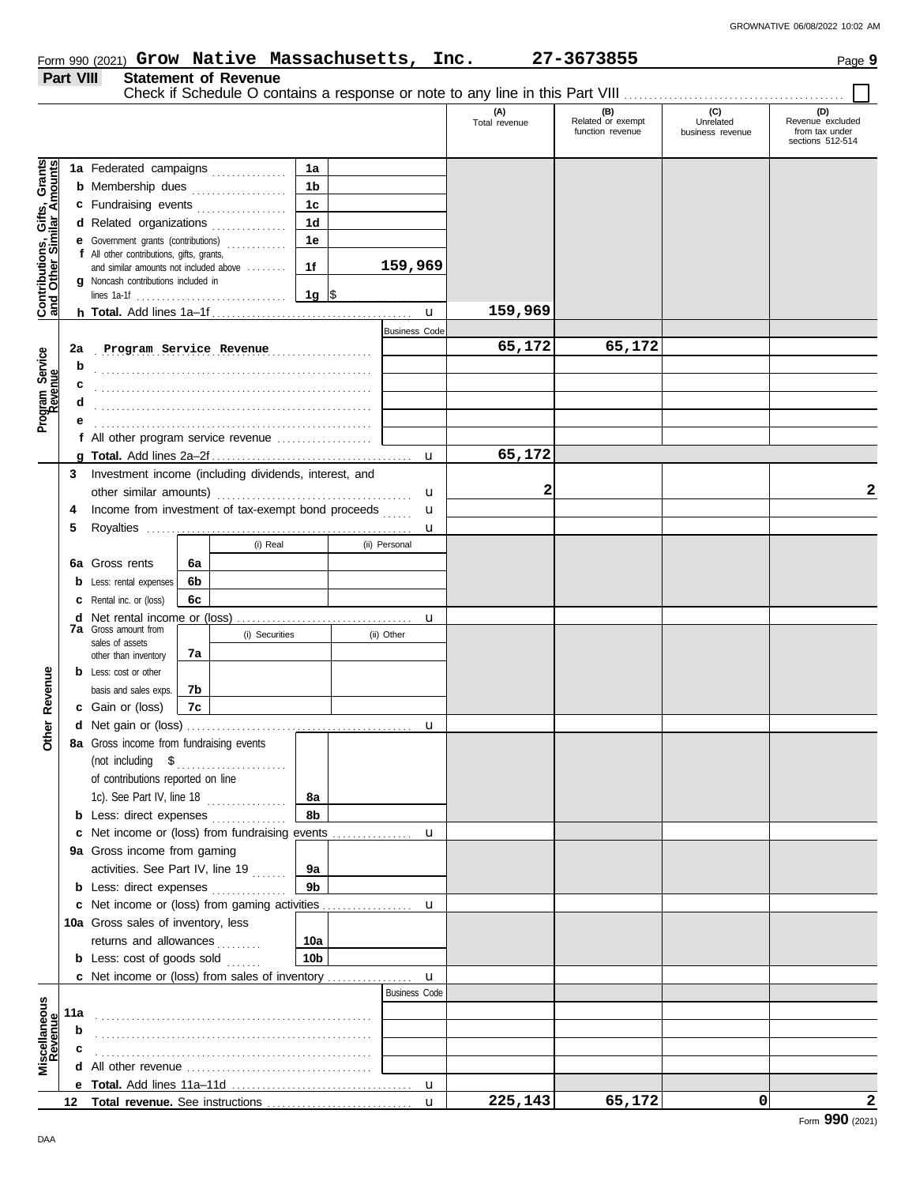#### **Part VIII Statement of Revenue** Check if Schedule O contains a response or note to any line in this Part VIII ......... **(A) (B) (C) (D)** Total revenue Related or exempt Unrelated Revenue excluded function revenue business revenue from tax under sections 512-514 <u>ិទី</u> **Contributions, Gifts, Grants and Other Similar Amounts 1a 1a** Federated campaigns **. . . . . . . . . . . .** Grant<br>nount **1b b** Membership dues . . . . . . . . . . . . . . . . Gifts, diffs, directions, controller and a large distribution of the controller and distribution of the controller and distribution of the controller and distribution of the controller and controller and distribution of th **1c c** Fundraising events **. . . . . . . . . . . . . .** . . **1d d** Related organizations . . . . . . . . . . . . . Contributions,<br>and Other Sim **1e e** Government grants (contributions) . . . . . . . . . . . . **f** All other contributions, gifts, grants, **1f 159,969** and similar amounts not included above ........ **g** Noncash contributions included in lines 1a-1f . . . . . . . . . . . . . . . . . . . . . . . . . . . . . . **1g**  $\frac{\$}{\$}$ **159,969** u **h Total.** Add lines 1a–1f . . . . . . . . . . . . . . . . . . . . . . . . . . . . . . . . . . . . . . . . Business Code . . . . . . . . . . . . . . . . . . . . . . . . . . . . . . . . . . . . . . . . . . . . . . . . . . . . . . . **2a Program Service Revenue 65,172 65,172** Program Service<br>Revenue **Program Service b** . . . . . . . . . . . . . . . . . . . . . . . . . . . . . . . . . . . . . . . . . . . . . . . . . . . . . . . **c** . . . . . . . . . . . . . . . . . . . . . . . . . . . . . . . . . . . . . . . . . . . . . . . . . . . . . . . **d** . . . . . . . . . . . . . . . . . . . . . . . . . . . . . . . . . . . . . . . . . . . . . . . . . . . . . . . **e** . . . . . . . . . . . . . . . . . . . . . . . . . . . . . . . . . . . . . . . . . . . . . . . . . . . . . . . **f** All other program service revenue . . . . . . . . . . . . . . . . . . . **65,172 g Total.** Add lines 2a–2f . . . . . . . . . . . . . . . . . . . . . . . . . . . . . . . . . . . . . . . . u **3** Investment income (including dividends, interest, and **2 2** other similar amounts) . . . . . . . . . . . . . . . . . . . . . . . . . . . . . . . . . . . . . . . u u **4** Income from investment of tax-exempt bond proceeds ...... **5** Royalties . . . . . . . . . . . . . . . . . . . . . . . . . . . . . . . . . . . . . . . . . . . . . . . . . . . . . u (i) Real (ii) Personal **6a 6a** Gross rents **6b b** Less: rental expenses **6c c** Rental inc. or (loss) **d** Net rental income or (loss) . . . . . . . . . . . . . . . . . . . . . . . . . . . . . . . . . . . u **7a** Gross amount from (i) Securities (ii) Other sales of assets **7a** other than inventory Revenue **b** Less: cost or other **Other Revenue** basis and sales exps. **7b 7c c** Gain or (loss) **Other d** u Net gain or (loss) . . . . . . . . . . . . . . . . . . . . . . . . . . . . . . . . . . . . . . . . . . . . . **8a** Gross income from fundraising events (not including \$ . . . . . . . . . . . . . . . . . . . . . . of contributions reported on line 1c). See Part IV, line 18 . . . . . . . . . . . . . . . . **8a 8b b** Less: direct expenses . . . . . . . . . . . . . u **c** Net income or (loss) from fundraising events ............... **9a** Gross income from gaming activities. See Part IV, line 19 **9a 9b b** Less: direct expenses ............... u Net income or (loss) from gaming activities . . . . . . . . . . . . . . . . . . **c** 10a Gross sales of inventory, less returns and allowances ......... **10a 10b b** Less: cost of goods sold  $\ldots$ Net income or (loss) from sales of inventory . . . . . . . . . . . . . . . . . **c** u Business Code **Revenue Miscellaneous 11a b** . . . . . . . . . . . . . . . . . . . . . . . . . . . . . . . . . . . . . . . . . . . . . . . . . . . . . . . **c d** All other revenue . . . . . . . . . . . . . . . . . . . . . . . . . . . . . . . . . . . . . **e Total.** Add lines 11a–11d . . . . . . . . . . . . . . . . . . . . . . . . . . . . . . . . . . . . u **225,143 65,172 0 2 Total revenue.** See instructions **12** u

Form 990 (2021) Page **9 Grow Native Massachusetts, Inc. 27-3673855**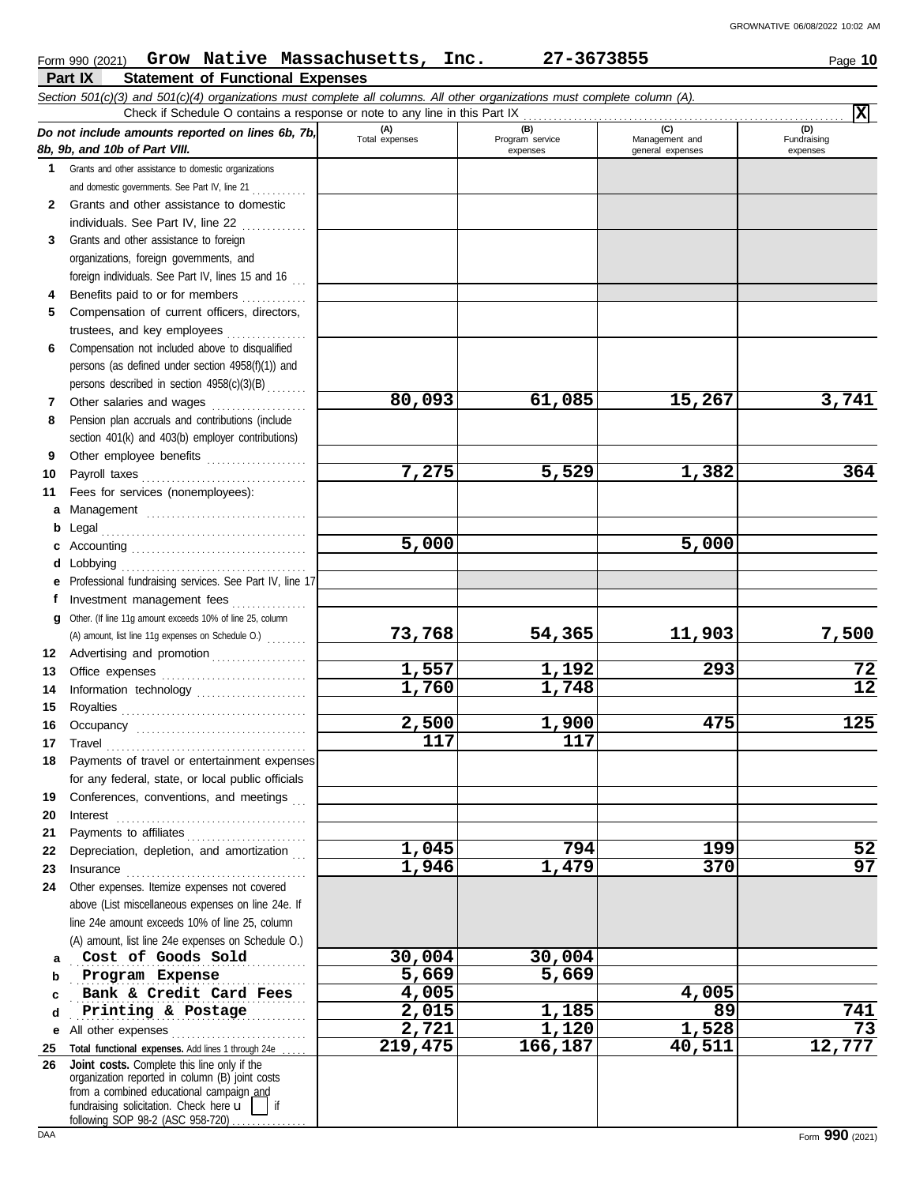|    | Form 990 (2021) Grow Native Massachusetts, Inc.                                                                                                                                                                                            |                       | 27-3673855             |                       | Page 10                  |
|----|--------------------------------------------------------------------------------------------------------------------------------------------------------------------------------------------------------------------------------------------|-----------------------|------------------------|-----------------------|--------------------------|
|    | Part IX<br><b>Statement of Functional Expenses</b>                                                                                                                                                                                         |                       |                        |                       |                          |
|    | Section 501(c)(3) and 501(c)(4) organizations must complete all columns. All other organizations must complete column (A).                                                                                                                 |                       |                        |                       |                          |
|    | Check if Schedule O contains a response or note to any line in this Part IX                                                                                                                                                                |                       |                        |                       | $\vert \mathbf{x} \vert$ |
|    | Do not include amounts reported on lines 6b, 7b,                                                                                                                                                                                           | (A)<br>Total expenses | (B)<br>Program service | (C)<br>Management and | (D)<br>Fundraising       |
|    | 8b, 9b, and 10b of Part VIII.                                                                                                                                                                                                              |                       | expenses               | general expenses      | expenses                 |
| 1  | Grants and other assistance to domestic organizations                                                                                                                                                                                      |                       |                        |                       |                          |
|    | and domestic governments. See Part IV, line 21                                                                                                                                                                                             |                       |                        |                       |                          |
| 2  | Grants and other assistance to domestic                                                                                                                                                                                                    |                       |                        |                       |                          |
|    | individuals. See Part IV, line 22<br>.                                                                                                                                                                                                     |                       |                        |                       |                          |
| 3  | Grants and other assistance to foreign                                                                                                                                                                                                     |                       |                        |                       |                          |
|    | organizations, foreign governments, and                                                                                                                                                                                                    |                       |                        |                       |                          |
|    | foreign individuals. See Part IV, lines 15 and 16                                                                                                                                                                                          |                       |                        |                       |                          |
| 4  | Benefits paid to or for members                                                                                                                                                                                                            |                       |                        |                       |                          |
| 5  | Compensation of current officers, directors,                                                                                                                                                                                               |                       |                        |                       |                          |
|    | trustees, and key employees                                                                                                                                                                                                                |                       |                        |                       |                          |
| 6  | Compensation not included above to disqualified                                                                                                                                                                                            |                       |                        |                       |                          |
|    | persons (as defined under section 4958(f)(1)) and                                                                                                                                                                                          |                       |                        |                       |                          |
|    | persons described in section 4958(c)(3)(B)                                                                                                                                                                                                 |                       |                        |                       |                          |
| 7  | Other salaries and wages                                                                                                                                                                                                                   | 80,093                | 61,085                 | 15,267                | 3,741                    |
| 8  | .<br>Pension plan accruals and contributions (include                                                                                                                                                                                      |                       |                        |                       |                          |
|    | section 401(k) and 403(b) employer contributions)                                                                                                                                                                                          |                       |                        |                       |                          |
| 9  |                                                                                                                                                                                                                                            |                       |                        |                       |                          |
|    | Other employee benefits                                                                                                                                                                                                                    | 7,275                 | 5,529                  | 1,382                 | 364                      |
| 10 | Payroll taxes                                                                                                                                                                                                                              |                       |                        |                       |                          |
| 11 | Fees for services (nonemployees):                                                                                                                                                                                                          |                       |                        |                       |                          |
| a  | Management                                                                                                                                                                                                                                 |                       |                        |                       |                          |
| b  | Legal                                                                                                                                                                                                                                      |                       |                        |                       |                          |
| c  |                                                                                                                                                                                                                                            | $\overline{5}$ ,000   |                        | 5,000                 |                          |
| d  | Lobbying                                                                                                                                                                                                                                   |                       |                        |                       |                          |
|    | Professional fundraising services. See Part IV, line 17                                                                                                                                                                                    |                       |                        |                       |                          |
| f  | Investment management fees<br>.                                                                                                                                                                                                            |                       |                        |                       |                          |
| g  | Other. (If line 11g amount exceeds 10% of line 25, column                                                                                                                                                                                  |                       |                        |                       |                          |
|    | (A) amount, list line 11g expenses on Schedule O.)                                                                                                                                                                                         | 73,768                | 54,365                 | 11,903                | 7,500                    |
| 12 | Advertising and promotion                                                                                                                                                                                                                  |                       |                        |                       |                          |
| 13 |                                                                                                                                                                                                                                            | $\overline{1,557}$    | 1,192                  | 293                   | 72                       |
| 14 |                                                                                                                                                                                                                                            | 1,760                 | 1,748                  |                       | $\overline{12}$          |
| 15 |                                                                                                                                                                                                                                            |                       |                        |                       |                          |
|    |                                                                                                                                                                                                                                            | 2,500                 | 1,900                  | 475                   | 125                      |
| 17 | Travel                                                                                                                                                                                                                                     | 117                   | 117                    |                       |                          |
| 18 | Payments of travel or entertainment expenses                                                                                                                                                                                               |                       |                        |                       |                          |
|    | for any federal, state, or local public officials                                                                                                                                                                                          |                       |                        |                       |                          |
| 19 | Conferences, conventions, and meetings                                                                                                                                                                                                     |                       |                        |                       |                          |
| 20 | Interest                                                                                                                                                                                                                                   |                       |                        |                       |                          |
| 21 | Payments to affiliates                                                                                                                                                                                                                     |                       |                        |                       |                          |
| 22 | Depreciation, depletion, and amortization                                                                                                                                                                                                  | 1,045                 | 794                    | 199                   | 52                       |
| 23 |                                                                                                                                                                                                                                            | 1,946                 | 1,479                  | 370                   | $\overline{97}$          |
| 24 | Other expenses. Itemize expenses not covered                                                                                                                                                                                               |                       |                        |                       |                          |
|    | above (List miscellaneous expenses on line 24e. If                                                                                                                                                                                         |                       |                        |                       |                          |
|    | line 24e amount exceeds 10% of line 25, column                                                                                                                                                                                             |                       |                        |                       |                          |
|    | (A) amount, list line 24e expenses on Schedule O.)                                                                                                                                                                                         |                       |                        |                       |                          |
|    | Cost of Goods Sold                                                                                                                                                                                                                         | 30,004                | 30,004                 |                       |                          |
| a  | Program Expense                                                                                                                                                                                                                            | $\overline{5,669}$    | 5,669                  |                       |                          |
| b  | Bank & Credit Card Fees                                                                                                                                                                                                                    | 4,005                 |                        | 4,005                 |                          |
| c  |                                                                                                                                                                                                                                            |                       |                        | 89                    |                          |
| d  | Printing & Postage                                                                                                                                                                                                                         | 2,015                 | 1,185                  |                       | 741<br>$\overline{73}$   |
| е  | All other expenses                                                                                                                                                                                                                         | 2,721                 | 1,120                  | 1,528                 |                          |
| 25 | Total functional expenses. Add lines 1 through 24e                                                                                                                                                                                         | 219,475               | 166,187                | 40,511                | 12,777                   |
| 26 | Joint costs. Complete this line only if the<br>organization reported in column (B) joint costs<br>from a combined educational campaign and<br>fundraising solicitation. Check here $\mathbf{u}$     if<br>following SOP 98-2 (ASC 958-720) |                       |                        |                       |                          |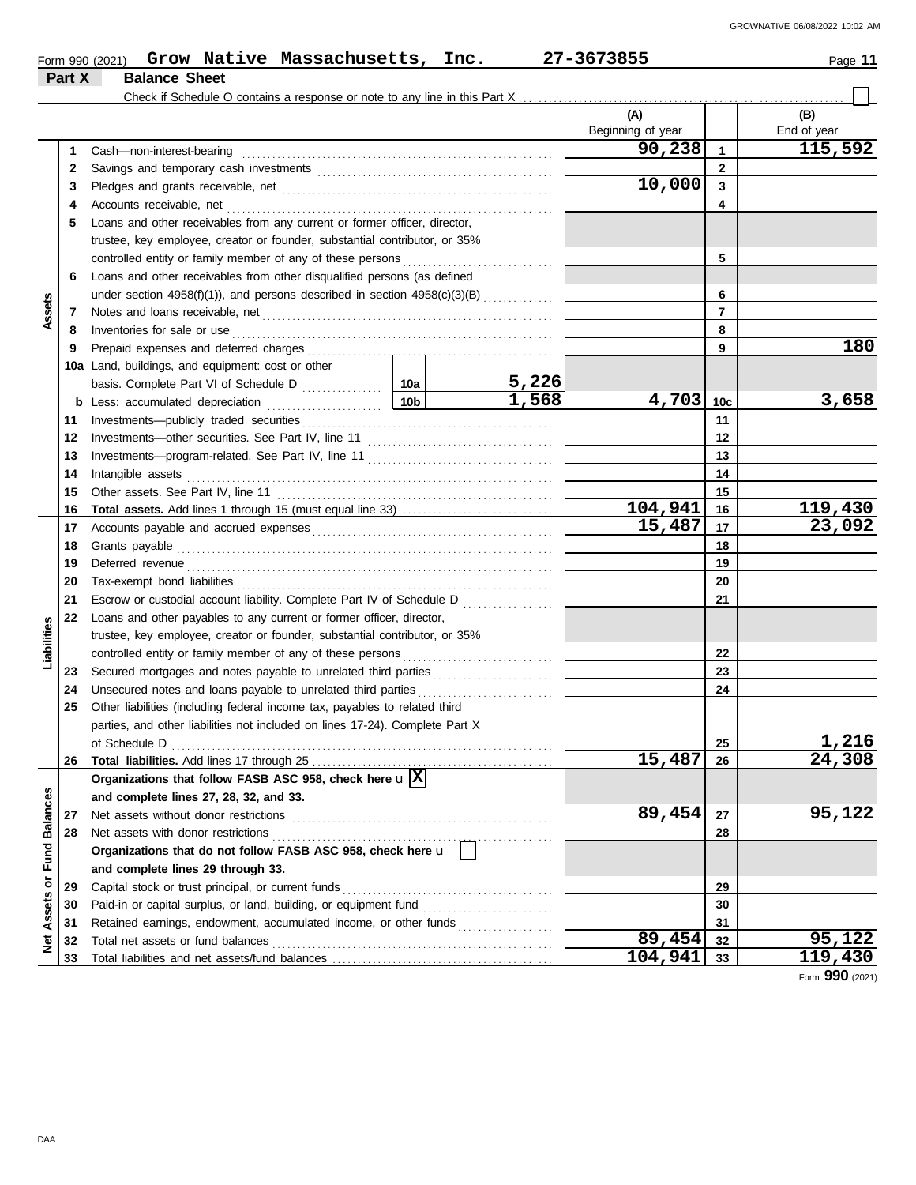|                             |        | Form 990 (2021) Grow Native Massachusetts, Inc.                                                                                                                                                                                      |                 |       | 27-3673855               |                         | Page 11            |
|-----------------------------|--------|--------------------------------------------------------------------------------------------------------------------------------------------------------------------------------------------------------------------------------------|-----------------|-------|--------------------------|-------------------------|--------------------|
|                             | Part X | <b>Balance Sheet</b>                                                                                                                                                                                                                 |                 |       |                          |                         |                    |
|                             |        |                                                                                                                                                                                                                                      |                 |       |                          |                         |                    |
|                             |        |                                                                                                                                                                                                                                      |                 |       | (A)<br>Beginning of year |                         | (B)<br>End of year |
|                             | 1      | Cash-non-interest-bearing                                                                                                                                                                                                            |                 |       | 90, 238                  | $\mathbf{1}$            | 115,592            |
|                             | 2      |                                                                                                                                                                                                                                      |                 |       |                          | $\mathbf{2}$            |                    |
|                             | 3      |                                                                                                                                                                                                                                      |                 |       | 10,000                   | $\overline{\mathbf{3}}$ |                    |
|                             | 4      |                                                                                                                                                                                                                                      |                 |       |                          | 4                       |                    |
|                             | 5      | Loans and other receivables from any current or former officer, director,                                                                                                                                                            |                 |       |                          |                         |                    |
|                             |        | trustee, key employee, creator or founder, substantial contributor, or 35%                                                                                                                                                           |                 |       |                          |                         |                    |
|                             |        | controlled entity or family member of any of these persons                                                                                                                                                                           |                 | 5     |                          |                         |                    |
|                             | 6      | Loans and other receivables from other disqualified persons (as defined                                                                                                                                                              |                 |       |                          |                         |                    |
|                             |        | under section 4958(f)(1)), and persons described in section 4958(c)(3)(B)                                                                                                                                                            |                 |       |                          | 6                       |                    |
| Assets                      | 7      |                                                                                                                                                                                                                                      |                 |       |                          | $\overline{7}$          |                    |
|                             | 8      | Inventories for sale or use                                                                                                                                                                                                          |                 |       |                          | 8                       |                    |
|                             | 9      |                                                                                                                                                                                                                                      |                 |       |                          | 9                       | 180                |
|                             |        | 10a Land, buildings, and equipment: cost or other                                                                                                                                                                                    |                 |       |                          |                         |                    |
|                             |        |                                                                                                                                                                                                                                      |                 | 5,226 |                          |                         |                    |
|                             |        | <b>b</b> Less: accumulated depreciation                                                                                                                                                                                              | 10 <sub>b</sub> | 1,568 | 4,703                    | 10 <sub>c</sub>         | 3,658              |
|                             | 11     |                                                                                                                                                                                                                                      |                 |       |                          | 11                      |                    |
|                             | 12     |                                                                                                                                                                                                                                      |                 | 12    |                          |                         |                    |
|                             | 13     |                                                                                                                                                                                                                                      |                 | 13    |                          |                         |                    |
|                             | 14     | Intangible assets                                                                                                                                                                                                                    |                 | 14    |                          |                         |                    |
|                             | 15     | Other assets. See Part IV, line 11                                                                                                                                                                                                   |                 | 15    |                          |                         |                    |
|                             | 16     |                                                                                                                                                                                                                                      |                 |       | 104,941                  | 16                      | 119,430            |
|                             | 17     |                                                                                                                                                                                                                                      |                 |       | 15,487                   | 17                      | 23,092             |
|                             | 18     | Grants payable                                                                                                                                                                                                                       |                 | 18    |                          |                         |                    |
|                             | 19     | Deferred revenue <b>contract and the contract of the contract of the contract of the contract of the contract of the contract of the contract of the contract of the contract of the contract of the contract of the contract of</b> |                 |       |                          | 19                      |                    |
|                             | 20     | Tax-exempt bond liabilities                                                                                                                                                                                                          |                 |       |                          | 20                      |                    |
|                             | 21     | Escrow or custodial account liability. Complete Part IV of Schedule D                                                                                                                                                                |                 |       |                          | 21                      |                    |
|                             | 22     | Loans and other payables to any current or former officer, director,                                                                                                                                                                 |                 |       |                          |                         |                    |
|                             |        | trustee, key employee, creator or founder, substantial contributor, or 35%                                                                                                                                                           |                 |       |                          |                         |                    |
| Liabilities                 |        | controlled entity or family member of any of these persons                                                                                                                                                                           |                 |       |                          | 22                      |                    |
|                             | 23     | Secured mortgages and notes payable to unrelated third parties                                                                                                                                                                       |                 |       |                          | 23                      |                    |
|                             | 24     | Unsecured notes and loans payable to unrelated third parties                                                                                                                                                                         |                 |       |                          | 24                      |                    |
|                             | 25     | Other liabilities (including federal income tax, payables to related third                                                                                                                                                           |                 |       |                          |                         |                    |
|                             |        | parties, and other liabilities not included on lines 17-24). Complete Part X                                                                                                                                                         |                 |       |                          |                         |                    |
|                             |        | of Schedule D                                                                                                                                                                                                                        |                 |       |                          | 25                      | 1,216              |
|                             | 26     |                                                                                                                                                                                                                                      |                 |       | 15,487                   | 26                      | 24,308             |
|                             |        | Organizations that follow FASB ASC 958, check here $\mathbf{u} \vert \overline{\mathbf{X}}$                                                                                                                                          |                 |       |                          |                         |                    |
|                             |        | and complete lines 27, 28, 32, and 33.                                                                                                                                                                                               |                 |       |                          |                         |                    |
|                             | 27     | Net assets without donor restrictions                                                                                                                                                                                                |                 |       | 89,454                   | 27                      | 95,122             |
|                             | 28     | Net assets with donor restrictions                                                                                                                                                                                                   |                 |       |                          | 28                      |                    |
|                             |        | Organizations that do not follow FASB ASC 958, check here u                                                                                                                                                                          |                 |       |                          |                         |                    |
| Net Assets or Fund Balances |        | and complete lines 29 through 33.                                                                                                                                                                                                    |                 |       |                          |                         |                    |
|                             | 29     | Capital stock or trust principal, or current funds                                                                                                                                                                                   |                 |       |                          | 29                      |                    |
|                             | 30     | Paid-in or capital surplus, or land, building, or equipment fund                                                                                                                                                                     |                 |       |                          | 30                      |                    |
|                             | 31     | Retained earnings, endowment, accumulated income, or other funds                                                                                                                                                                     |                 |       |                          | 31                      |                    |
|                             | 32     | Total net assets or fund balances                                                                                                                                                                                                    |                 |       | 89,454                   | 32                      | 95,122             |
|                             | 33     |                                                                                                                                                                                                                                      |                 |       | 104,941                  | 33                      | 119,430            |

Form **990** (2021)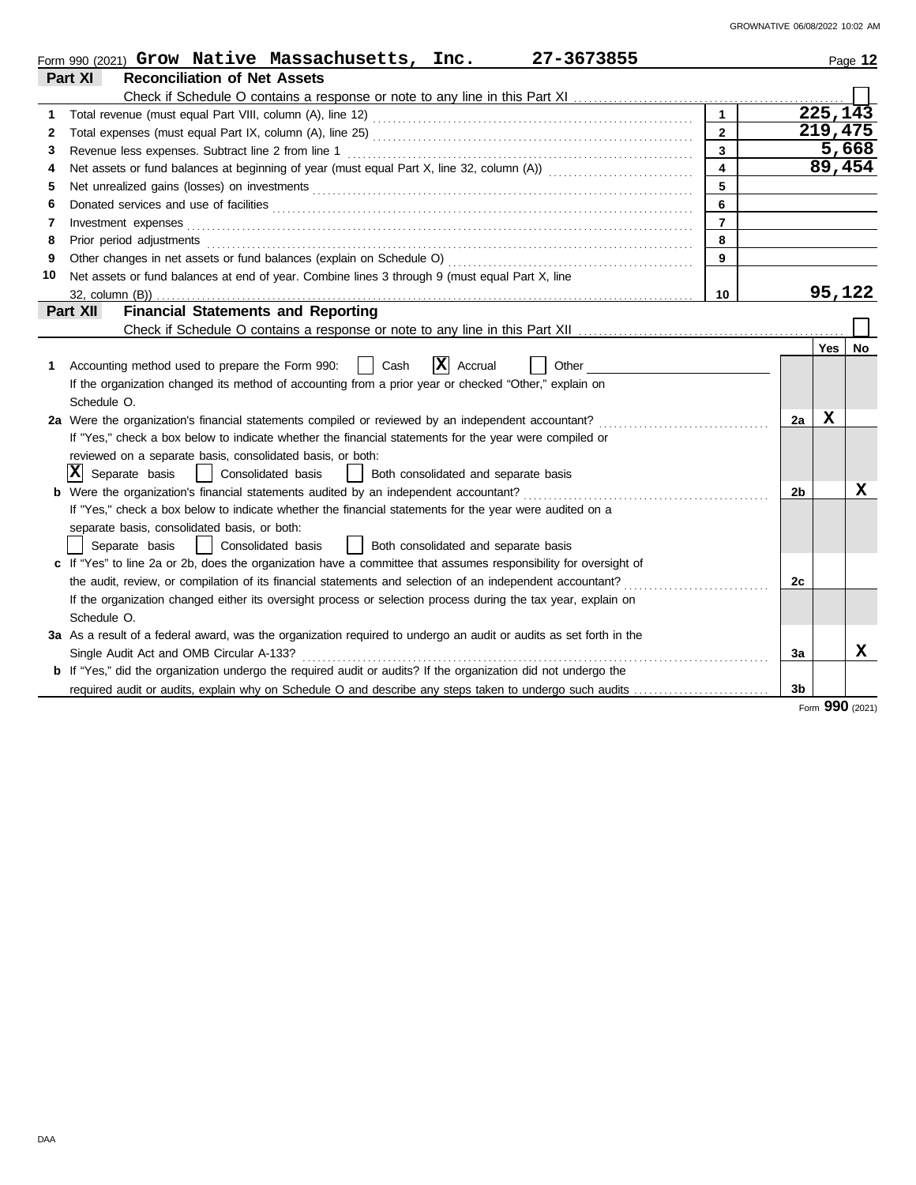|    | 27-3673855<br>Form 990 (2021) $Grow$ Native Massachusetts, Inc.                                                       |    |     | Page 12  |  |  |  |  |  |  |  |
|----|-----------------------------------------------------------------------------------------------------------------------|----|-----|----------|--|--|--|--|--|--|--|
|    | Part XI<br><b>Reconciliation of Net Assets</b>                                                                        |    |     |          |  |  |  |  |  |  |  |
|    |                                                                                                                       |    |     |          |  |  |  |  |  |  |  |
| 1  |                                                                                                                       |    |     | 225, 143 |  |  |  |  |  |  |  |
| 2  | $\mathbf{2}$                                                                                                          |    |     | 219,475  |  |  |  |  |  |  |  |
| 3  | $\overline{3}$                                                                                                        |    |     | 5,668    |  |  |  |  |  |  |  |
| 4  | 4                                                                                                                     |    |     | 89,454   |  |  |  |  |  |  |  |
| 5  | 5                                                                                                                     |    |     |          |  |  |  |  |  |  |  |
| 6  | 6                                                                                                                     |    |     |          |  |  |  |  |  |  |  |
| 7  | $\overline{7}$<br>Investment expenses                                                                                 |    |     |          |  |  |  |  |  |  |  |
| 8  | 8<br>Prior period adjustments                                                                                         |    |     |          |  |  |  |  |  |  |  |
| 9  | Other changes in net assets or fund balances (explain on Schedule O)<br>9                                             |    |     |          |  |  |  |  |  |  |  |
| 10 | Net assets or fund balances at end of year. Combine lines 3 through 9 (must equal Part X, line                        |    |     |          |  |  |  |  |  |  |  |
|    | 10<br>32. column (B))                                                                                                 |    |     | 95,122   |  |  |  |  |  |  |  |
|    | <b>Financial Statements and Reporting</b><br>Part XII                                                                 |    |     |          |  |  |  |  |  |  |  |
|    |                                                                                                                       |    |     |          |  |  |  |  |  |  |  |
|    |                                                                                                                       |    | Yes | No.      |  |  |  |  |  |  |  |
| 1  | $ \mathbf{X} $ Accrual<br>Accounting method used to prepare the Form 990:<br>Cash<br>Other                            |    |     |          |  |  |  |  |  |  |  |
|    | If the organization changed its method of accounting from a prior year or checked "Other," explain on                 |    |     |          |  |  |  |  |  |  |  |
|    | Schedule O.                                                                                                           |    |     |          |  |  |  |  |  |  |  |
|    | 2a Were the organization's financial statements compiled or reviewed by an independent accountant?                    | 2a | x   |          |  |  |  |  |  |  |  |
|    | If "Yes," check a box below to indicate whether the financial statements for the year were compiled or                |    |     |          |  |  |  |  |  |  |  |
|    | reviewed on a separate basis, consolidated basis, or both:                                                            |    |     |          |  |  |  |  |  |  |  |
|    | $ \mathbf{X} $ Separate basis<br>  Consolidated basis<br>  Both consolidated and separate basis                       |    |     |          |  |  |  |  |  |  |  |
|    | Were the organization's financial statements audited by an independent accountant?                                    | 2b |     | x        |  |  |  |  |  |  |  |
|    | If "Yes," check a box below to indicate whether the financial statements for the year were audited on a               |    |     |          |  |  |  |  |  |  |  |
|    | separate basis, consolidated basis, or both:                                                                          |    |     |          |  |  |  |  |  |  |  |
|    | Separate basis<br>Consolidated basis<br>  Both consolidated and separate basis<br>$\mathbf{1}$                        |    |     |          |  |  |  |  |  |  |  |
|    | c If "Yes" to line 2a or 2b, does the organization have a committee that assumes responsibility for oversight of      |    |     |          |  |  |  |  |  |  |  |
|    | the audit, review, or compilation of its financial statements and selection of an independent accountant?             | 2c |     |          |  |  |  |  |  |  |  |
|    | If the organization changed either its oversight process or selection process during the tax year, explain on         |    |     |          |  |  |  |  |  |  |  |
|    | Schedule O.                                                                                                           |    |     |          |  |  |  |  |  |  |  |
|    | 3a As a result of a federal award, was the organization required to undergo an audit or audits as set forth in the    |    |     |          |  |  |  |  |  |  |  |
|    | Single Audit Act and OMB Circular A-133?                                                                              | За |     | x        |  |  |  |  |  |  |  |
|    | <b>b</b> If "Yes," did the organization undergo the required audit or audits? If the organization did not undergo the |    |     |          |  |  |  |  |  |  |  |
|    | required audit or audits, explain why on Schedule O and describe any steps taken to undergo such audits               | 3b |     |          |  |  |  |  |  |  |  |

Form **990** (2021)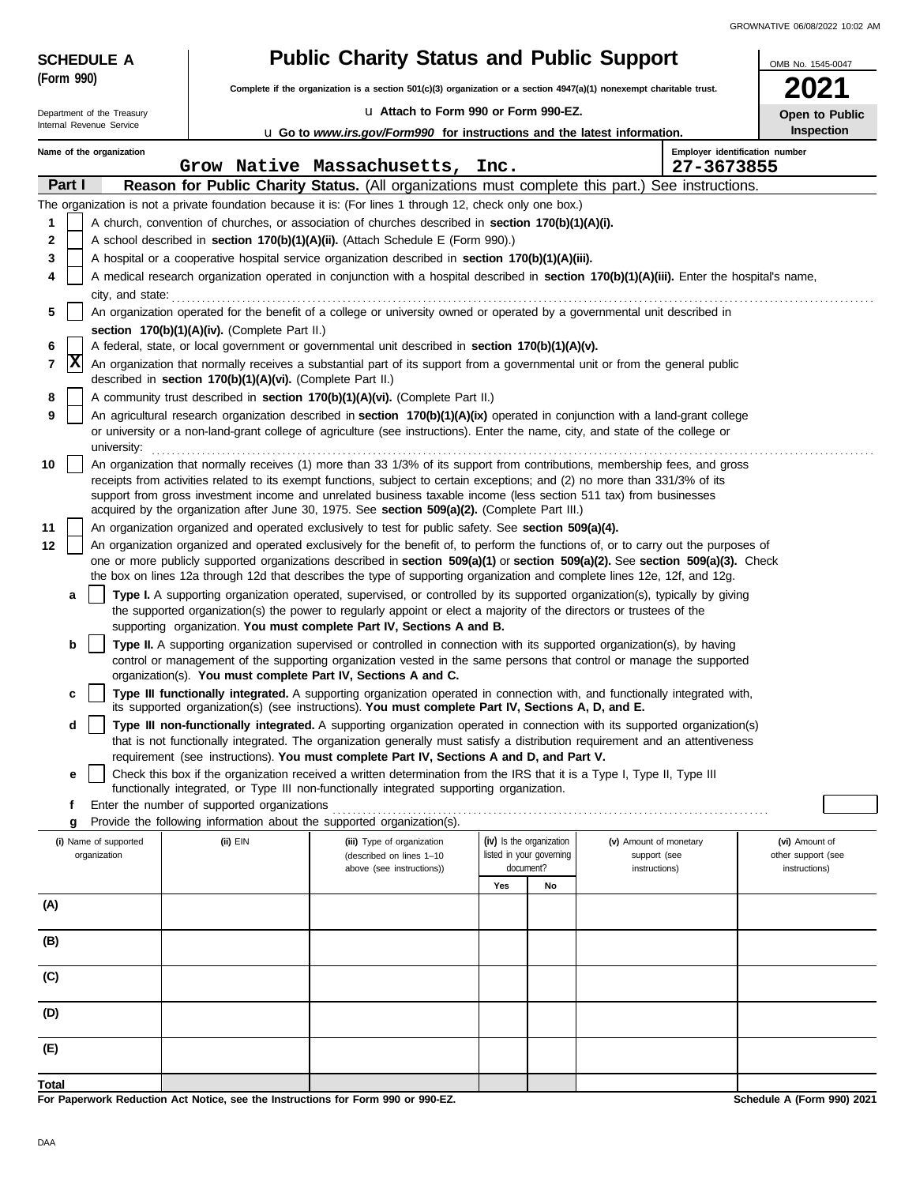| <b>SCHEDULE A</b>          | <b>Public Charity Status and Public Support</b>                                                                                                                                                                                                                                | OMB No. 1545-0047                                                                                                                                                                                                                                           |                          |                          |                               |                                              |                                     |  |
|----------------------------|--------------------------------------------------------------------------------------------------------------------------------------------------------------------------------------------------------------------------------------------------------------------------------|-------------------------------------------------------------------------------------------------------------------------------------------------------------------------------------------------------------------------------------------------------------|--------------------------|--------------------------|-------------------------------|----------------------------------------------|-------------------------------------|--|
| (Form 990)                 |                                                                                                                                                                                                                                                                                | Complete if the organization is a section 501(c)(3) organization or a section 4947(a)(1) nonexempt charitable trust.                                                                                                                                        |                          |                          |                               |                                              |                                     |  |
| Department of the Treasury |                                                                                                                                                                                                                                                                                | La Attach to Form 990 or Form 990-EZ.                                                                                                                                                                                                                       |                          |                          |                               |                                              | Open to Public                      |  |
| Internal Revenue Service   |                                                                                                                                                                                                                                                                                | <b>u</b> Go to www.irs.gov/Form990 for instructions and the latest information.                                                                                                                                                                             |                          |                          |                               |                                              | Inspection                          |  |
| Name of the organization   |                                                                                                                                                                                                                                                                                | Grow Native Massachusetts, Inc.                                                                                                                                                                                                                             |                          |                          |                               | Employer identification number<br>27-3673855 |                                     |  |
| Part I                     |                                                                                                                                                                                                                                                                                | Reason for Public Charity Status. (All organizations must complete this part.)                                                                                                                                                                              |                          |                          |                               | See instructions.                            |                                     |  |
|                            |                                                                                                                                                                                                                                                                                | The organization is not a private foundation because it is: (For lines 1 through 12, check only one box.)                                                                                                                                                   |                          |                          |                               |                                              |                                     |  |
| 1                          |                                                                                                                                                                                                                                                                                | A church, convention of churches, or association of churches described in section 170(b)(1)(A)(i).                                                                                                                                                          |                          |                          |                               |                                              |                                     |  |
| 2                          |                                                                                                                                                                                                                                                                                | A school described in section 170(b)(1)(A)(ii). (Attach Schedule E (Form 990).)                                                                                                                                                                             |                          |                          |                               |                                              |                                     |  |
| 3                          |                                                                                                                                                                                                                                                                                | A hospital or a cooperative hospital service organization described in section 170(b)(1)(A)(iii).                                                                                                                                                           |                          |                          |                               |                                              |                                     |  |
| 4<br>city, and state:      |                                                                                                                                                                                                                                                                                | A medical research organization operated in conjunction with a hospital described in section 170(b)(1)(A)(iii). Enter the hospital's name,                                                                                                                  |                          |                          |                               |                                              |                                     |  |
| 5                          |                                                                                                                                                                                                                                                                                | An organization operated for the benefit of a college or university owned or operated by a governmental unit described in                                                                                                                                   |                          |                          |                               |                                              |                                     |  |
|                            | section 170(b)(1)(A)(iv). (Complete Part II.)                                                                                                                                                                                                                                  |                                                                                                                                                                                                                                                             |                          |                          |                               |                                              |                                     |  |
| 6<br>7                     | A federal, state, or local government or governmental unit described in section 170(b)(1)(A)(v).<br> X<br>An organization that normally receives a substantial part of its support from a governmental unit or from the general public                                         |                                                                                                                                                                                                                                                             |                          |                          |                               |                                              |                                     |  |
|                            | described in section 170(b)(1)(A)(vi). (Complete Part II.)                                                                                                                                                                                                                     |                                                                                                                                                                                                                                                             |                          |                          |                               |                                              |                                     |  |
| 8                          | A community trust described in section 170(b)(1)(A)(vi). (Complete Part II.)                                                                                                                                                                                                   |                                                                                                                                                                                                                                                             |                          |                          |                               |                                              |                                     |  |
| 9                          | An agricultural research organization described in section 170(b)(1)(A)(ix) operated in conjunction with a land-grant college<br>or university or a non-land-grant college of agriculture (see instructions). Enter the name, city, and state of the college or<br>university: |                                                                                                                                                                                                                                                             |                          |                          |                               |                                              |                                     |  |
| 10                         |                                                                                                                                                                                                                                                                                | An organization that normally receives (1) more than 33 1/3% of its support from contributions, membership fees, and gross                                                                                                                                  |                          |                          |                               |                                              |                                     |  |
|                            |                                                                                                                                                                                                                                                                                | receipts from activities related to its exempt functions, subject to certain exceptions; and (2) no more than 331/3% of its                                                                                                                                 |                          |                          |                               |                                              |                                     |  |
|                            |                                                                                                                                                                                                                                                                                | support from gross investment income and unrelated business taxable income (less section 511 tax) from businesses<br>acquired by the organization after June 30, 1975. See section 509(a)(2). (Complete Part III.)                                          |                          |                          |                               |                                              |                                     |  |
| 11                         |                                                                                                                                                                                                                                                                                | An organization organized and operated exclusively to test for public safety. See section 509(a)(4).                                                                                                                                                        |                          |                          |                               |                                              |                                     |  |
| 12                         |                                                                                                                                                                                                                                                                                | An organization organized and operated exclusively for the benefit of, to perform the functions of, or to carry out the purposes of                                                                                                                         |                          |                          |                               |                                              |                                     |  |
|                            |                                                                                                                                                                                                                                                                                | one or more publicly supported organizations described in section 509(a)(1) or section 509(a)(2). See section 509(a)(3). Check<br>the box on lines 12a through 12d that describes the type of supporting organization and complete lines 12e, 12f, and 12g. |                          |                          |                               |                                              |                                     |  |
| a                          |                                                                                                                                                                                                                                                                                | Type I. A supporting organization operated, supervised, or controlled by its supported organization(s), typically by giving                                                                                                                                 |                          |                          |                               |                                              |                                     |  |
|                            |                                                                                                                                                                                                                                                                                | the supported organization(s) the power to regularly appoint or elect a majority of the directors or trustees of the                                                                                                                                        |                          |                          |                               |                                              |                                     |  |
| b                          |                                                                                                                                                                                                                                                                                | supporting organization. You must complete Part IV, Sections A and B.<br><b>Type II.</b> A supporting organization supervised or controlled in connection with its supported organization(s), by having                                                     |                          |                          |                               |                                              |                                     |  |
|                            |                                                                                                                                                                                                                                                                                | control or management of the supporting organization vested in the same persons that control or manage the supported                                                                                                                                        |                          |                          |                               |                                              |                                     |  |
|                            |                                                                                                                                                                                                                                                                                | organization(s). You must complete Part IV, Sections A and C.                                                                                                                                                                                               |                          |                          |                               |                                              |                                     |  |
| c                          |                                                                                                                                                                                                                                                                                | Type III functionally integrated. A supporting organization operated in connection with, and functionally integrated with,<br>its supported organization(s) (see instructions). You must complete Part IV, Sections A, D, and E.                            |                          |                          |                               |                                              |                                     |  |
| d                          |                                                                                                                                                                                                                                                                                | Type III non-functionally integrated. A supporting organization operated in connection with its supported organization(s)                                                                                                                                   |                          |                          |                               |                                              |                                     |  |
|                            |                                                                                                                                                                                                                                                                                | that is not functionally integrated. The organization generally must satisfy a distribution requirement and an attentiveness<br>requirement (see instructions). You must complete Part IV, Sections A and D, and Part V.                                    |                          |                          |                               |                                              |                                     |  |
| е                          |                                                                                                                                                                                                                                                                                | Check this box if the organization received a written determination from the IRS that it is a Type I, Type II, Type III                                                                                                                                     |                          |                          |                               |                                              |                                     |  |
|                            |                                                                                                                                                                                                                                                                                | functionally integrated, or Type III non-functionally integrated supporting organization.                                                                                                                                                                   |                          |                          |                               |                                              |                                     |  |
| f<br>g                     | Enter the number of supported organizations                                                                                                                                                                                                                                    | Provide the following information about the supported organization(s).                                                                                                                                                                                      |                          |                          |                               |                                              |                                     |  |
| (i) Name of supported      | (ii) EIN                                                                                                                                                                                                                                                                       | (iii) Type of organization                                                                                                                                                                                                                                  | (iv) Is the organization |                          | (v) Amount of monetary        |                                              | (vi) Amount of                      |  |
| organization               |                                                                                                                                                                                                                                                                                | (described on lines 1-10<br>above (see instructions))                                                                                                                                                                                                       | document?                | listed in your governing | support (see<br>instructions) |                                              | other support (see<br>instructions) |  |
|                            |                                                                                                                                                                                                                                                                                |                                                                                                                                                                                                                                                             | Yes                      | No                       |                               |                                              |                                     |  |
| (A)                        |                                                                                                                                                                                                                                                                                |                                                                                                                                                                                                                                                             |                          |                          |                               |                                              |                                     |  |
|                            |                                                                                                                                                                                                                                                                                |                                                                                                                                                                                                                                                             |                          |                          |                               |                                              |                                     |  |
| (B)                        |                                                                                                                                                                                                                                                                                |                                                                                                                                                                                                                                                             |                          |                          |                               |                                              |                                     |  |
| (C)                        |                                                                                                                                                                                                                                                                                |                                                                                                                                                                                                                                                             |                          |                          |                               |                                              |                                     |  |
| (D)                        |                                                                                                                                                                                                                                                                                |                                                                                                                                                                                                                                                             |                          |                          |                               |                                              |                                     |  |
| (E)                        |                                                                                                                                                                                                                                                                                |                                                                                                                                                                                                                                                             |                          |                          |                               |                                              |                                     |  |
| Total                      |                                                                                                                                                                                                                                                                                |                                                                                                                                                                                                                                                             |                          |                          |                               |                                              |                                     |  |

**For Paperwork Reduction Act Notice, see the Instructions for Form 990 or 990-EZ.**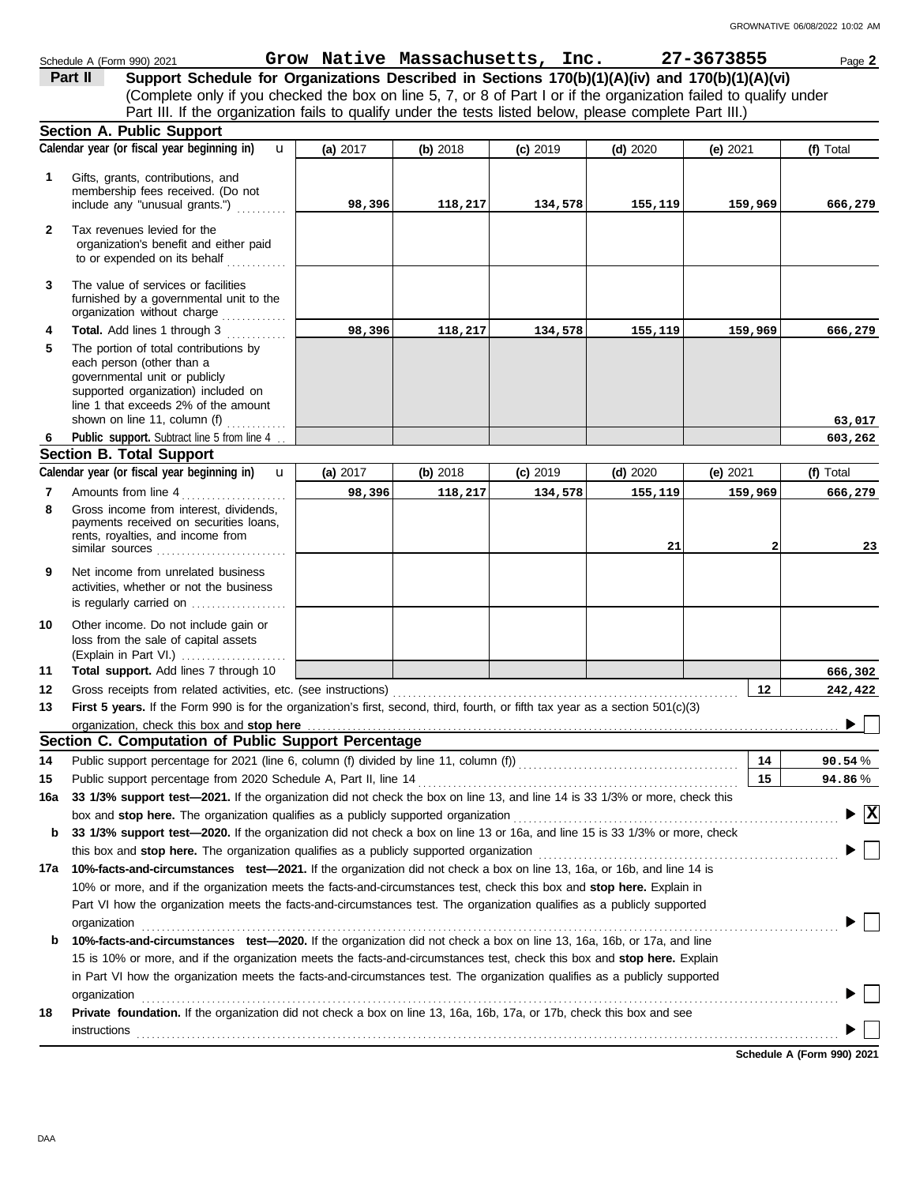|              | Schedule A (Form 990) 2021                                                                                                                                                                                                     |                          |        |          | Grow Native Massachusetts, Inc. 27-3673855 |            |          |                 | Page 2                                 |
|--------------|--------------------------------------------------------------------------------------------------------------------------------------------------------------------------------------------------------------------------------|--------------------------|--------|----------|--------------------------------------------|------------|----------|-----------------|----------------------------------------|
|              | Support Schedule for Organizations Described in Sections 170(b)(1)(A)(iv) and 170(b)(1)(A)(vi)<br>Part II                                                                                                                      |                          |        |          |                                            |            |          |                 |                                        |
|              | (Complete only if you checked the box on line 5, 7, or 8 of Part I or if the organization failed to qualify under                                                                                                              |                          |        |          |                                            |            |          |                 |                                        |
|              | Part III. If the organization fails to qualify under the tests listed below, please complete Part III.)                                                                                                                        |                          |        |          |                                            |            |          |                 |                                        |
|              | <b>Section A. Public Support</b>                                                                                                                                                                                               |                          |        |          |                                            |            |          |                 |                                        |
|              | Calendar year (or fiscal year beginning in)                                                                                                                                                                                    | $\mathbf{u}$<br>(a) 2017 |        | (b) 2018 | $(c)$ 2019                                 | $(d)$ 2020 | (e) 2021 |                 | (f) Total                              |
| 1            | Gifts, grants, contributions, and                                                                                                                                                                                              |                          |        |          |                                            |            |          |                 |                                        |
|              | membership fees received. (Do not                                                                                                                                                                                              |                          |        |          |                                            |            |          |                 |                                        |
|              | include any "unusual grants.")                                                                                                                                                                                                 |                          | 98,396 | 118,217  | 134,578                                    | 155,119    |          | 159,969         | 666,279                                |
| $\mathbf{2}$ | Tax revenues levied for the                                                                                                                                                                                                    |                          |        |          |                                            |            |          |                 |                                        |
|              | organization's benefit and either paid                                                                                                                                                                                         |                          |        |          |                                            |            |          |                 |                                        |
|              | to or expended on its behalf                                                                                                                                                                                                   |                          |        |          |                                            |            |          |                 |                                        |
| 3            | The value of services or facilities                                                                                                                                                                                            |                          |        |          |                                            |            |          |                 |                                        |
|              | furnished by a governmental unit to the<br>organization without charge                                                                                                                                                         |                          |        |          |                                            |            |          |                 |                                        |
| 4            | Total. Add lines 1 through 3                                                                                                                                                                                                   |                          | 98,396 | 118,217  | 134,578                                    | 155,119    |          | 159,969         | 666,279                                |
| 5            | The portion of total contributions by                                                                                                                                                                                          |                          |        |          |                                            |            |          |                 |                                        |
|              | each person (other than a                                                                                                                                                                                                      |                          |        |          |                                            |            |          |                 |                                        |
|              | governmental unit or publicly                                                                                                                                                                                                  |                          |        |          |                                            |            |          |                 |                                        |
|              | supported organization) included on<br>line 1 that exceeds 2% of the amount                                                                                                                                                    |                          |        |          |                                            |            |          |                 |                                        |
|              | shown on line 11, column (f) $\ldots$                                                                                                                                                                                          |                          |        |          |                                            |            |          |                 | 63,017                                 |
| 6            | Public support. Subtract line 5 from line 4.                                                                                                                                                                                   |                          |        |          |                                            |            |          |                 | 603,262                                |
|              | <b>Section B. Total Support</b>                                                                                                                                                                                                |                          |        |          |                                            |            |          |                 |                                        |
|              | Calendar year (or fiscal year beginning in)                                                                                                                                                                                    | $\mathbf{u}$<br>(a) 2017 |        | (b) 2018 | $(c)$ 2019                                 | (d) $2020$ | (e) 2021 |                 | (f) Total                              |
| 7            | Amounts from line 4                                                                                                                                                                                                            |                          | 98,396 | 118,217  | 134,578                                    | 155,119    |          | 159,969         | 666,279                                |
| 8            | Gross income from interest, dividends,                                                                                                                                                                                         |                          |        |          |                                            |            |          |                 |                                        |
|              | payments received on securities loans,<br>rents, royalties, and income from                                                                                                                                                    |                          |        |          |                                            |            |          |                 |                                        |
|              | similar sources                                                                                                                                                                                                                |                          |        |          |                                            | 21         |          |                 | 23                                     |
| 9            | Net income from unrelated business                                                                                                                                                                                             |                          |        |          |                                            |            |          |                 |                                        |
|              | activities, whether or not the business                                                                                                                                                                                        |                          |        |          |                                            |            |          |                 |                                        |
|              | is regularly carried on $\ldots$ , $\ldots$                                                                                                                                                                                    |                          |        |          |                                            |            |          |                 |                                        |
| 10           | Other income. Do not include gain or                                                                                                                                                                                           |                          |        |          |                                            |            |          |                 |                                        |
|              | loss from the sale of capital assets                                                                                                                                                                                           |                          |        |          |                                            |            |          |                 |                                        |
|              | (Explain in Part VI.)                                                                                                                                                                                                          |                          |        |          |                                            |            |          |                 |                                        |
| 11           | Total support. Add lines 7 through 10                                                                                                                                                                                          |                          |        |          |                                            |            |          |                 | 666,302                                |
| 12           |                                                                                                                                                                                                                                |                          |        |          |                                            |            |          | 12 <sub>2</sub> | 242,422                                |
| 13           | First 5 years. If the Form 990 is for the organization's first, second, third, fourth, or fifth tax year as a section 501(c)(3)                                                                                                |                          |        |          |                                            |            |          |                 | $\sim$ $\Box$                          |
|              | organization, check this box and stop here<br>Section C. Computation of Public Support Percentage                                                                                                                              |                          |        |          |                                            |            |          |                 | ▸                                      |
| 14           | Public support percentage for 2021 (line 6, column (f) divided by line 11, column (f)) [[[[[[[[[[[[[[[[[[[[[[                                                                                                                  |                          |        |          |                                            |            |          | 14              | 90.54%                                 |
| 15           | Public support percentage from 2020 Schedule A, Part II, line 14 [2010] [2010] [2010] [2010] [2010] [2010] [20                                                                                                                 |                          |        |          |                                            |            |          | 15              | 94.86%                                 |
| 16a          | 33 1/3% support test-2021. If the organization did not check the box on line 13, and line 14 is 33 1/3% or more, check this                                                                                                    |                          |        |          |                                            |            |          |                 |                                        |
|              | box and stop here. The organization qualifies as a publicly supported organization [11] content content content content of the content of the state of the state of the state of the state of the state of the state of the st |                          |        |          |                                            |            |          |                 | $\blacktriangleright \boxed{\text{X}}$ |
| b            | 33 1/3% support test-2020. If the organization did not check a box on line 13 or 16a, and line 15 is 33 1/3% or more, check                                                                                                    |                          |        |          |                                            |            |          |                 |                                        |
|              |                                                                                                                                                                                                                                |                          |        |          |                                            |            |          |                 |                                        |
| 17a          | 10%-facts-and-circumstances test-2021. If the organization did not check a box on line 13, 16a, or 16b, and line 14 is                                                                                                         |                          |        |          |                                            |            |          |                 |                                        |
|              | 10% or more, and if the organization meets the facts-and-circumstances test, check this box and stop here. Explain in                                                                                                          |                          |        |          |                                            |            |          |                 |                                        |
|              | Part VI how the organization meets the facts-and-circumstances test. The organization qualifies as a publicly supported                                                                                                        |                          |        |          |                                            |            |          |                 |                                        |
|              |                                                                                                                                                                                                                                |                          |        |          |                                            |            |          |                 |                                        |
| b            | 10%-facts-and-circumstances test-2020. If the organization did not check a box on line 13, 16a, 16b, or 17a, and line                                                                                                          |                          |        |          |                                            |            |          |                 |                                        |
|              | 15 is 10% or more, and if the organization meets the facts-and-circumstances test, check this box and stop here. Explain                                                                                                       |                          |        |          |                                            |            |          |                 |                                        |
|              | in Part VI how the organization meets the facts-and-circumstances test. The organization qualifies as a publicly supported                                                                                                     |                          |        |          |                                            |            |          |                 |                                        |
|              | organization                                                                                                                                                                                                                   |                          |        |          |                                            |            |          |                 |                                        |
| 18           | Private foundation. If the organization did not check a box on line 13, 16a, 16b, 17a, or 17b, check this box and see                                                                                                          |                          |        |          |                                            |            |          |                 |                                        |
|              | <b>instructions</b>                                                                                                                                                                                                            |                          |        |          |                                            |            |          |                 |                                        |
|              |                                                                                                                                                                                                                                |                          |        |          |                                            |            |          |                 |                                        |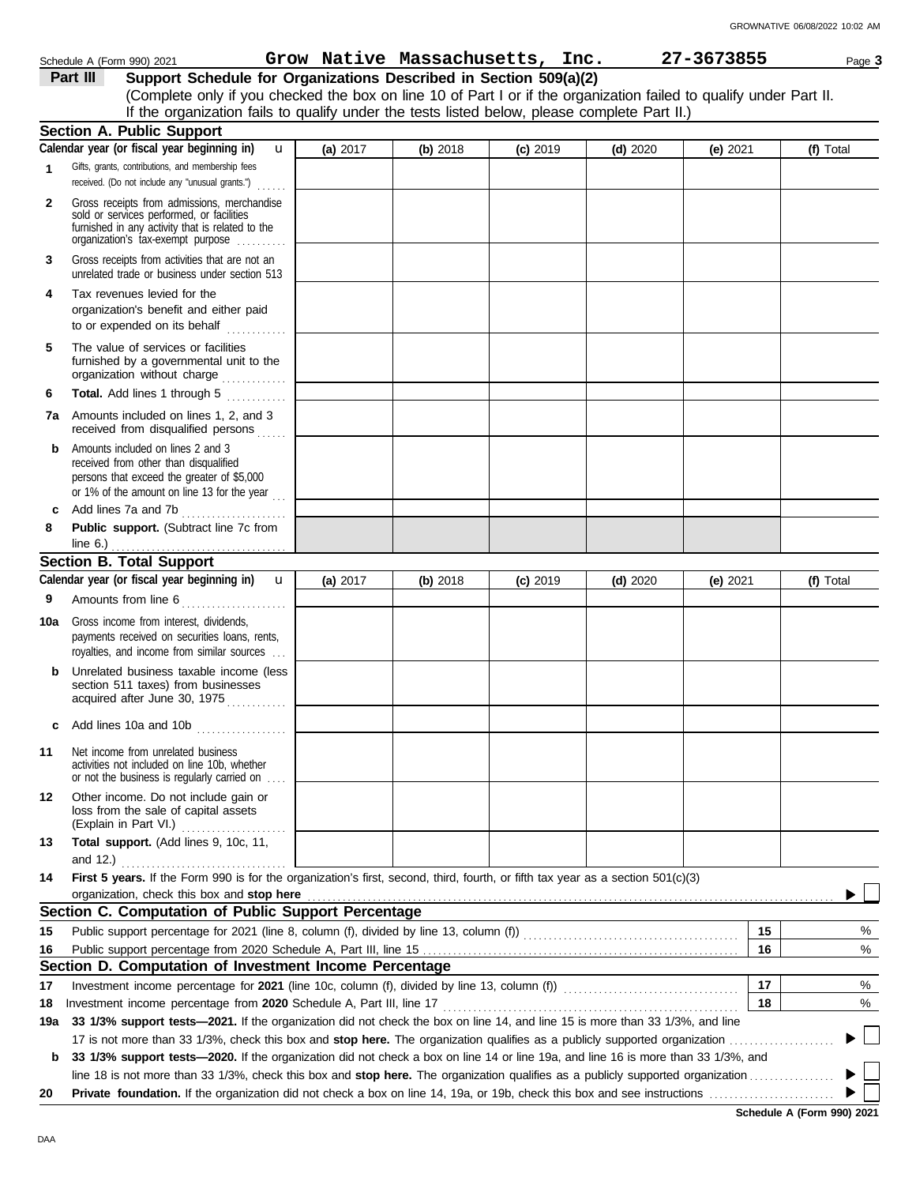|     | Support Schedule for Organizations Described in Section 509(a)(2)<br>Part III<br>(Complete only if you checked the box on line 10 of Part I or if the organization failed to qualify under Part II. |          |          |            |            |            |    |           |
|-----|-----------------------------------------------------------------------------------------------------------------------------------------------------------------------------------------------------|----------|----------|------------|------------|------------|----|-----------|
|     | If the organization fails to qualify under the tests listed below, please complete Part II.)                                                                                                        |          |          |            |            |            |    |           |
|     | <b>Section A. Public Support</b>                                                                                                                                                                    |          |          |            |            |            |    |           |
|     | Calendar year (or fiscal year beginning in)<br>$\mathbf{u}$                                                                                                                                         | (a) 2017 | (b) 2018 | $(c)$ 2019 | $(d)$ 2020 | (e) $2021$ |    | (f) Total |
| 1   | Gifts, grants, contributions, and membership fees<br>received. (Do not include any "unusual grants.")<br>a sa sa                                                                                    |          |          |            |            |            |    |           |
| 2   | Gross receipts from admissions, merchandise<br>sold or services performed, or facilities<br>furnished in any activity that is related to the<br>organization's fax-exempt purpose                   |          |          |            |            |            |    |           |
| 3   | Gross receipts from activities that are not an<br>unrelated trade or business under section 513                                                                                                     |          |          |            |            |            |    |           |
| 4   | Tax revenues levied for the<br>organization's benefit and either paid<br>to or expended on its behalf                                                                                               |          |          |            |            |            |    |           |
| 5   | The value of services or facilities<br>furnished by a governmental unit to the<br>organization without charge                                                                                       |          |          |            |            |            |    |           |
| 6   | Total. Add lines 1 through 5<br><u>.</u><br>.                                                                                                                                                       |          |          |            |            |            |    |           |
|     | 7a Amounts included on lines 1, 2, and 3<br>received from disqualified persons<br>a sa sa                                                                                                           |          |          |            |            |            |    |           |
| b   | Amounts included on lines 2 and 3<br>received from other than disqualified<br>persons that exceed the greater of \$5,000<br>or 1% of the amount on line 13 for the year $\ldots$                    |          |          |            |            |            |    |           |
| C   | Add lines 7a and 7b<br>.                                                                                                                                                                            |          |          |            |            |            |    |           |
| 8   | Public support. (Subtract line 7c from<br>line $6.$ )                                                                                                                                               |          |          |            |            |            |    |           |
|     | <b>Section B. Total Support</b>                                                                                                                                                                     |          |          |            |            |            |    |           |
|     | Calendar year (or fiscal year beginning in)<br>$\mathbf{u}$                                                                                                                                         | (a) 2017 | (b) 2018 | $(c)$ 2019 | $(d)$ 2020 | (e) $2021$ |    | (f) Total |
| 9   | Amounts from line 6                                                                                                                                                                                 |          |          |            |            |            |    |           |
| 10a | Gross income from interest, dividends,<br>payments received on securities loans, rents,<br>royalties, and income from similar sources                                                               |          |          |            |            |            |    |           |
| b   | Unrelated business taxable income (less<br>section 511 taxes) from businesses<br>acquired after June 30, 1975                                                                                       |          |          |            |            |            |    |           |
|     | Add lines 10a and 10b                                                                                                                                                                               |          |          |            |            |            |    |           |
| 11  | Net income from unrelated business<br>activities not included on line 10b, whether<br>or not the business is regularly carried on                                                                   |          |          |            |            |            |    |           |
| 12  | Other income. Do not include gain or<br>loss from the sale of capital assets<br>(Explain in Part VI.)<br>.                                                                                          |          |          |            |            |            |    |           |
| 13  | Total support. (Add lines 9, 10c, 11,                                                                                                                                                               |          |          |            |            |            |    |           |
|     | and 12.) $\qquad \qquad$                                                                                                                                                                            |          |          |            |            |            |    |           |
| 14  | First 5 years. If the Form 990 is for the organization's first, second, third, fourth, or fifth tax year as a section 501(c)(3)<br>organization, check this box and stop here                       |          |          |            |            |            |    |           |
|     | Section C. Computation of Public Support Percentage                                                                                                                                                 |          |          |            |            |            |    |           |
| 15  |                                                                                                                                                                                                     |          |          |            |            |            | 15 | %         |
| 16  |                                                                                                                                                                                                     |          |          |            |            |            | 16 | %         |
|     | Section D. Computation of Investment Income Percentage                                                                                                                                              |          |          |            |            |            |    |           |
| 17  | Investment income percentage for 2021 (line 10c, column (f), divided by line 13, column (f)) [[[[[[[[[[[[[[[[                                                                                       |          |          |            |            |            | 17 | %         |
| 18  | Investment income percentage from 2020 Schedule A, Part III, line 17                                                                                                                                |          |          |            |            |            | 18 | %         |
| 19a | 33 1/3% support tests-2021. If the organization did not check the box on line 14, and line 15 is more than 33 1/3%, and line                                                                        |          |          |            |            |            |    |           |
|     |                                                                                                                                                                                                     |          |          |            |            |            |    |           |
| b   | 33 1/3% support tests—2020. If the organization did not check a box on line 14 or line 19a, and line 16 is more than 33 1/3%, and                                                                   |          |          |            |            |            |    |           |
| 20  |                                                                                                                                                                                                     |          |          |            |            |            |    |           |
|     |                                                                                                                                                                                                     |          |          |            |            |            |    |           |

**Schedule A (Form 990) 2021**

Schedule A (Form 990) 2021 Page **3 Grow Native Massachusetts, Inc. 27-3673855**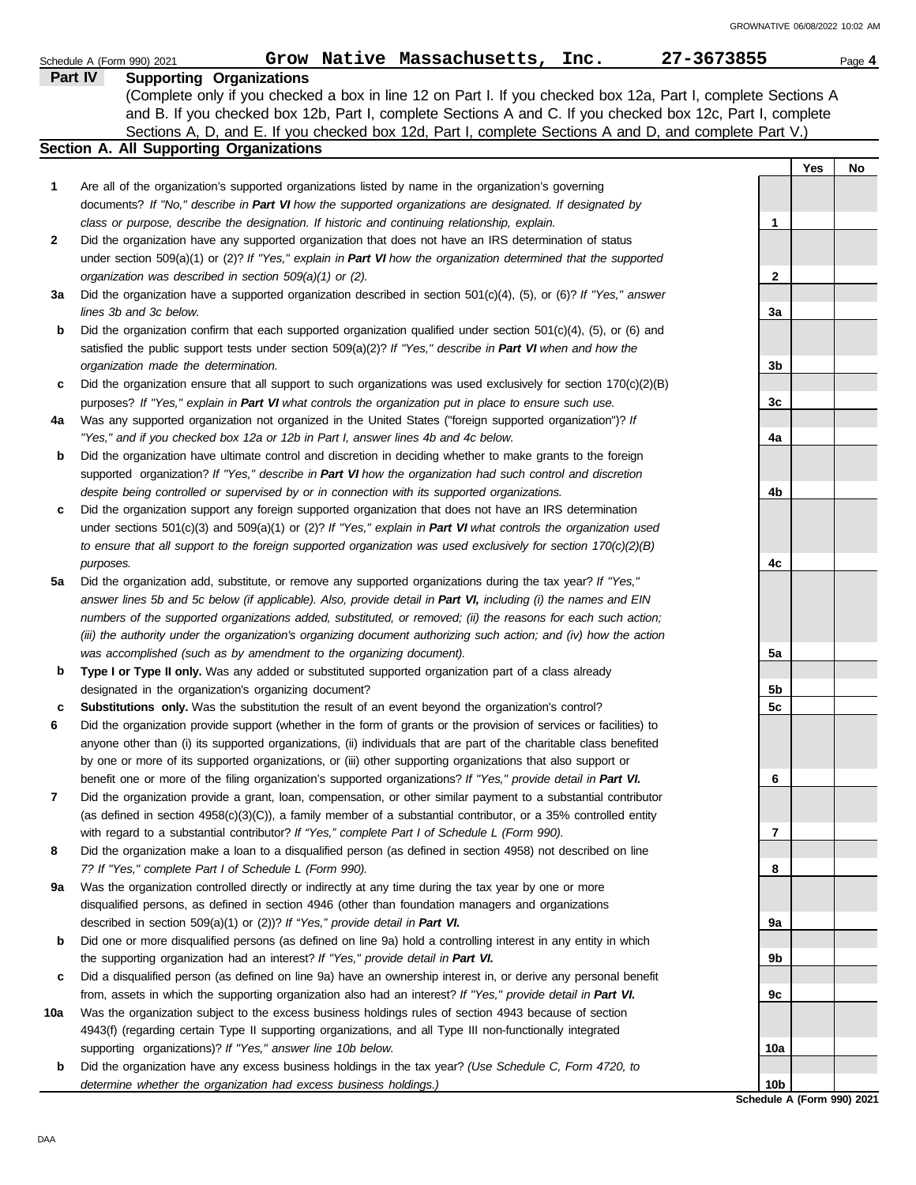|     | 27-3673855<br>Grow Native Massachusetts, Inc.<br>Schedule A (Form 990) 2021                                                                                                              |                            |     | Page 4 |
|-----|------------------------------------------------------------------------------------------------------------------------------------------------------------------------------------------|----------------------------|-----|--------|
|     | <b>Supporting Organizations</b><br><b>Part IV</b>                                                                                                                                        |                            |     |        |
|     | (Complete only if you checked a box in line 12 on Part I. If you checked box 12a, Part I, complete Sections A                                                                            |                            |     |        |
|     | and B. If you checked box 12b, Part I, complete Sections A and C. If you checked box 12c, Part I, complete                                                                               |                            |     |        |
|     | Sections A, D, and E. If you checked box 12d, Part I, complete Sections A and D, and complete Part V.)                                                                                   |                            |     |        |
|     | Section A. All Supporting Organizations                                                                                                                                                  |                            |     |        |
|     |                                                                                                                                                                                          |                            | Yes | No     |
| 1   | Are all of the organization's supported organizations listed by name in the organization's governing                                                                                     |                            |     |        |
|     | documents? If "No," describe in Part VI how the supported organizations are designated. If designated by                                                                                 |                            |     |        |
|     | class or purpose, describe the designation. If historic and continuing relationship, explain.                                                                                            | 1                          |     |        |
| 2   | Did the organization have any supported organization that does not have an IRS determination of status                                                                                   |                            |     |        |
|     | under section 509(a)(1) or (2)? If "Yes," explain in Part VI how the organization determined that the supported                                                                          |                            |     |        |
|     | organization was described in section 509(a)(1) or (2).                                                                                                                                  | $\mathbf{2}$               |     |        |
| За  | Did the organization have a supported organization described in section $501(c)(4)$ , (5), or (6)? If "Yes," answer                                                                      |                            |     |        |
|     | lines 3b and 3c below.                                                                                                                                                                   | 3a                         |     |        |
| b   | Did the organization confirm that each supported organization qualified under section $501(c)(4)$ , $(5)$ , or $(6)$ and                                                                 |                            |     |        |
|     | satisfied the public support tests under section 509(a)(2)? If "Yes," describe in Part VI when and how the                                                                               |                            |     |        |
|     | organization made the determination.                                                                                                                                                     | 3 <sub>b</sub>             |     |        |
| c   | Did the organization ensure that all support to such organizations was used exclusively for section $170(c)(2)(B)$                                                                       |                            |     |        |
|     | purposes? If "Yes," explain in Part VI what controls the organization put in place to ensure such use.                                                                                   | 3c                         |     |        |
| 4a  | Was any supported organization not organized in the United States ("foreign supported organization")? If                                                                                 |                            |     |        |
|     | "Yes," and if you checked box 12a or 12b in Part I, answer lines 4b and 4c below.                                                                                                        | 4a                         |     |        |
| b   | Did the organization have ultimate control and discretion in deciding whether to make grants to the foreign                                                                              |                            |     |        |
|     | supported organization? If "Yes," describe in Part VI how the organization had such control and discretion                                                                               |                            |     |        |
|     | despite being controlled or supervised by or in connection with its supported organizations.                                                                                             | 4b                         |     |        |
| c   | Did the organization support any foreign supported organization that does not have an IRS determination                                                                                  |                            |     |        |
|     | under sections $501(c)(3)$ and $509(a)(1)$ or (2)? If "Yes," explain in Part VI what controls the organization used                                                                      |                            |     |        |
|     | to ensure that all support to the foreign supported organization was used exclusively for section $170(c)(2)(B)$                                                                         |                            |     |        |
|     | purposes.                                                                                                                                                                                | 4c                         |     |        |
| 5a  | Did the organization add, substitute, or remove any supported organizations during the tax year? If "Yes,"                                                                               |                            |     |        |
|     | answer lines 5b and 5c below (if applicable). Also, provide detail in Part VI, including (i) the names and EIN                                                                           |                            |     |        |
|     | numbers of the supported organizations added, substituted, or removed; (ii) the reasons for each such action;                                                                            |                            |     |        |
|     | (iii) the authority under the organization's organizing document authorizing such action; and (iv) how the action<br>was accomplished (such as by amendment to the organizing document). |                            |     |        |
| b   | Type I or Type II only. Was any added or substituted supported organization part of a class already                                                                                      | 5а                         |     |        |
|     | designated in the organization's organizing document?                                                                                                                                    | 5b                         |     |        |
| c   | Substitutions only. Was the substitution the result of an event beyond the organization's control?                                                                                       | 5c                         |     |        |
|     | Did the organization provide support (whether in the form of grants or the provision of services or facilities) to                                                                       |                            |     |        |
|     | anyone other than (i) its supported organizations, (ii) individuals that are part of the charitable class benefited                                                                      |                            |     |        |
|     | by one or more of its supported organizations, or (iii) other supporting organizations that also support or                                                                              |                            |     |        |
|     | benefit one or more of the filing organization's supported organizations? If "Yes," provide detail in Part VI.                                                                           | 6                          |     |        |
| 7   | Did the organization provide a grant, loan, compensation, or other similar payment to a substantial contributor                                                                          |                            |     |        |
|     | (as defined in section $4958(c)(3)(C)$ ), a family member of a substantial contributor, or a 35% controlled entity                                                                       |                            |     |        |
|     | with regard to a substantial contributor? If "Yes," complete Part I of Schedule L (Form 990).                                                                                            | 7                          |     |        |
| 8   | Did the organization make a loan to a disqualified person (as defined in section 4958) not described on line                                                                             |                            |     |        |
|     | 7? If "Yes," complete Part I of Schedule L (Form 990).                                                                                                                                   | 8                          |     |        |
| 9а  | Was the organization controlled directly or indirectly at any time during the tax year by one or more                                                                                    |                            |     |        |
|     | disqualified persons, as defined in section 4946 (other than foundation managers and organizations                                                                                       |                            |     |        |
|     | described in section 509(a)(1) or (2))? If "Yes," provide detail in Part VI.                                                                                                             | 9а                         |     |        |
| b   | Did one or more disqualified persons (as defined on line 9a) hold a controlling interest in any entity in which                                                                          |                            |     |        |
|     | the supporting organization had an interest? If "Yes," provide detail in Part VI.                                                                                                        | 9b                         |     |        |
| c   | Did a disqualified person (as defined on line 9a) have an ownership interest in, or derive any personal benefit                                                                          |                            |     |        |
|     | from, assets in which the supporting organization also had an interest? If "Yes," provide detail in Part VI.                                                                             | 9с                         |     |        |
| 10a | Was the organization subject to the excess business holdings rules of section 4943 because of section                                                                                    |                            |     |        |
|     | 4943(f) (regarding certain Type II supporting organizations, and all Type III non-functionally integrated                                                                                |                            |     |        |
|     | supporting organizations)? If "Yes," answer line 10b below.                                                                                                                              | 10a                        |     |        |
| b   | Did the organization have any excess business holdings in the tax year? (Use Schedule C, Form 4720, to                                                                                   |                            |     |        |
|     | determine whether the organization had excess business holdings.)                                                                                                                        | 10 <sub>b</sub>            |     |        |
|     |                                                                                                                                                                                          | Schedule A (Form 990) 2021 |     |        |

DAA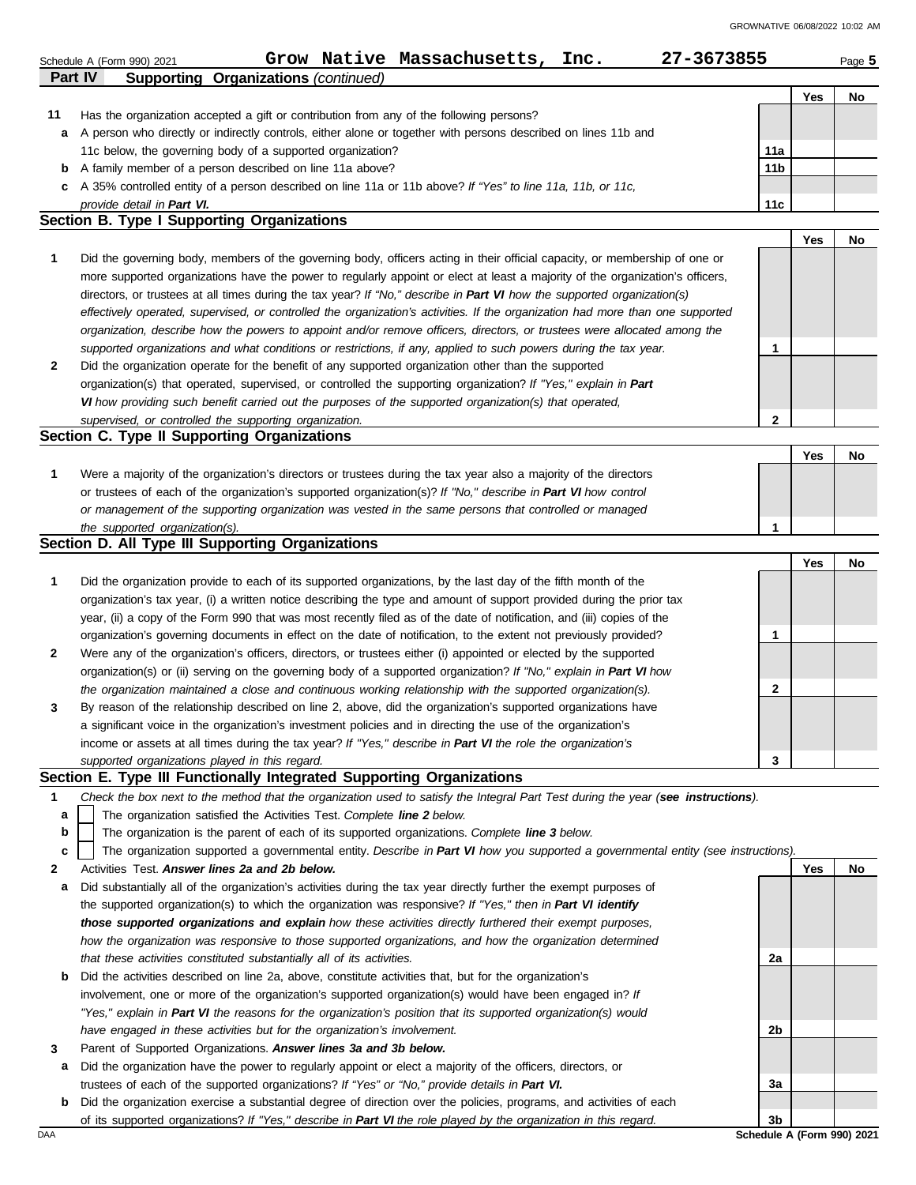| <b>Supporting Organizations (continued)</b><br>Part IV<br>Yes<br>No<br>11<br>Has the organization accepted a gift or contribution from any of the following persons?<br>A person who directly or indirectly controls, either alone or together with persons described on lines 11b and<br>a<br>11c below, the governing body of a supported organization?<br>11a<br>A family member of a person described on line 11a above?<br>11 <sub>b</sub><br>b<br>A 35% controlled entity of a person described on line 11a or 11b above? If "Yes" to line 11a, 11b, or 11c,<br>c<br>provide detail in Part VI.<br>11c<br>Section B. Type I Supporting Organizations<br>Yes<br>No<br>1<br>Did the governing body, members of the governing body, officers acting in their official capacity, or membership of one or<br>more supported organizations have the power to regularly appoint or elect at least a majority of the organization's officers,<br>directors, or trustees at all times during the tax year? If "No," describe in Part VI how the supported organization(s)<br>effectively operated, supervised, or controlled the organization's activities. If the organization had more than one supported<br>organization, describe how the powers to appoint and/or remove officers, directors, or trustees were allocated among the<br>supported organizations and what conditions or restrictions, if any, applied to such powers during the tax year.<br>1<br>2<br>Did the organization operate for the benefit of any supported organization other than the supported<br>organization(s) that operated, supervised, or controlled the supporting organization? If "Yes," explain in Part<br>VI how providing such benefit carried out the purposes of the supported organization(s) that operated,<br>supervised, or controlled the supporting organization.<br>$\mathbf{2}$<br>Section C. Type II Supporting Organizations<br>Yes<br>No<br>1<br>Were a majority of the organization's directors or trustees during the tax year also a majority of the directors<br>or trustees of each of the organization's supported organization(s)? If "No," describe in Part VI how control<br>or management of the supporting organization was vested in the same persons that controlled or managed<br>the supported organization(s).<br>1<br>Section D. All Type III Supporting Organizations<br>Yes<br>No<br>1<br>Did the organization provide to each of its supported organizations, by the last day of the fifth month of the<br>organization's tax year, (i) a written notice describing the type and amount of support provided during the prior tax<br>year, (ii) a copy of the Form 990 that was most recently filed as of the date of notification, and (iii) copies of the<br>1<br>organization's governing documents in effect on the date of notification, to the extent not previously provided?<br>Were any of the organization's officers, directors, or trustees either (i) appointed or elected by the supported<br>$\mathbf{2}$<br>organization(s) or (ii) serving on the governing body of a supported organization? If "No," explain in Part VI how<br>the organization maintained a close and continuous working relationship with the supported organization(s).<br>2<br>By reason of the relationship described on line 2, above, did the organization's supported organizations have<br>3<br>a significant voice in the organization's investment policies and in directing the use of the organization's<br>income or assets at all times during the tax year? If "Yes," describe in Part VI the role the organization's<br>supported organizations played in this regard.<br>3<br>Section E. Type III Functionally Integrated Supporting Organizations<br>Check the box next to the method that the organization used to satisfy the Integral Part Test during the year (see instructions).<br>1<br>The organization satisfied the Activities Test. Complete line 2 below.<br>a<br>b<br>The organization is the parent of each of its supported organizations. Complete line 3 below.<br>The organization supported a governmental entity. Describe in Part VI how you supported a governmental entity (see instructions).<br>c<br>Activities Test. Answer lines 2a and 2b below.<br>Yes<br>2<br>No<br>Did substantially all of the organization's activities during the tax year directly further the exempt purposes of<br>а<br>the supported organization(s) to which the organization was responsive? If "Yes," then in Part VI identify<br>those supported organizations and explain how these activities directly furthered their exempt purposes,<br>how the organization was responsive to those supported organizations, and how the organization determined<br>that these activities constituted substantially all of its activities.<br>2a<br>Did the activities described on line 2a, above, constitute activities that, but for the organization's<br>b<br>involvement, one or more of the organization's supported organization(s) would have been engaged in? If<br>"Yes," explain in Part VI the reasons for the organization's position that its supported organization(s) would<br>have engaged in these activities but for the organization's involvement.<br>2b<br>Parent of Supported Organizations. Answer lines 3a and 3b below.<br>3<br>Did the organization have the power to regularly appoint or elect a majority of the officers, directors, or<br>а<br>trustees of each of the supported organizations? If "Yes" or "No," provide details in Part VI.<br>За<br>Did the organization exercise a substantial degree of direction over the policies, programs, and activities of each<br>b<br>of its supported organizations? If "Yes," describe in Part VI the role played by the organization in this regard.<br>3b<br>Schedule A (Form 990) 2021 |     | Schedule A (Form 990) 2021 |  |  | Grow Native Massachusetts, Inc. | 27-3673855 |  | Page 5 |
|-------------------------------------------------------------------------------------------------------------------------------------------------------------------------------------------------------------------------------------------------------------------------------------------------------------------------------------------------------------------------------------------------------------------------------------------------------------------------------------------------------------------------------------------------------------------------------------------------------------------------------------------------------------------------------------------------------------------------------------------------------------------------------------------------------------------------------------------------------------------------------------------------------------------------------------------------------------------------------------------------------------------------------------------------------------------------------------------------------------------------------------------------------------------------------------------------------------------------------------------------------------------------------------------------------------------------------------------------------------------------------------------------------------------------------------------------------------------------------------------------------------------------------------------------------------------------------------------------------------------------------------------------------------------------------------------------------------------------------------------------------------------------------------------------------------------------------------------------------------------------------------------------------------------------------------------------------------------------------------------------------------------------------------------------------------------------------------------------------------------------------------------------------------------------------------------------------------------------------------------------------------------------------------------------------------------------------------------------------------------------------------------------------------------------------------------------------------------------------------------------------------------------------------------------------------------------------------------------------------------------------------------------------------------------------------------------------------------------------------------------------------------------------------------------------------------------------------------------------------------------------------------------------------------------------------------------------------------------------------------------------------------------------------------------------------------------------------------------------------------------------------------------------------------------------------------------------------------------------------------------------------------------------------------------------------------------------------------------------------------------------------------------------------------------------------------------------------------------------------------------------------------------------------------------------------------------------------------------------------------------------------------------------------------------------------------------------------------------------------------------------------------------------------------------------------------------------------------------------------------------------------------------------------------------------------------------------------------------------------------------------------------------------------------------------------------------------------------------------------------------------------------------------------------------------------------------------------------------------------------------------------------------------------------------------------------------------------------------------------------------------------------------------------------------------------------------------------------------------------------------------------------------------------------------------------------------------------------------------------------------------------------------------------------------------------------------------------------------------------------------------------------------------------------------------------------------------------------------------------------------------------------------------------------------------------------------------------------------------------------------------------------------------------------------------------------------------------------------------------------------------------------------------------------------------------------------------------------------------------------------------------------------------------------------------------------------------------------------------------------------------------------------------------------------------------------------------------------------------------------------------------------------------------------------------------------------------------------------------------------------------------------------------------------------------------------------------------------------------------------------------------------------------------------------------------------------------------------------------------------------------------------------------|-----|----------------------------|--|--|---------------------------------|------------|--|--------|
|                                                                                                                                                                                                                                                                                                                                                                                                                                                                                                                                                                                                                                                                                                                                                                                                                                                                                                                                                                                                                                                                                                                                                                                                                                                                                                                                                                                                                                                                                                                                                                                                                                                                                                                                                                                                                                                                                                                                                                                                                                                                                                                                                                                                                                                                                                                                                                                                                                                                                                                                                                                                                                                                                                                                                                                                                                                                                                                                                                                                                                                                                                                                                                                                                                                                                                                                                                                                                                                                                                                                                                                                                                                                                                                                                                                                                                                                                                                                                                                                                                                                                                                                                                                                                                                                                                                                                                                                                                                                                                                                                                                                                                                                                                                                                                                                                                                                                                                                                                                                                                                                                                                                                                                                                                                                                                                                                                                                                                                                                                                                                                                                                                                                                                                                                                                                                                                                                                       |     |                            |  |  |                                 |            |  |        |
|                                                                                                                                                                                                                                                                                                                                                                                                                                                                                                                                                                                                                                                                                                                                                                                                                                                                                                                                                                                                                                                                                                                                                                                                                                                                                                                                                                                                                                                                                                                                                                                                                                                                                                                                                                                                                                                                                                                                                                                                                                                                                                                                                                                                                                                                                                                                                                                                                                                                                                                                                                                                                                                                                                                                                                                                                                                                                                                                                                                                                                                                                                                                                                                                                                                                                                                                                                                                                                                                                                                                                                                                                                                                                                                                                                                                                                                                                                                                                                                                                                                                                                                                                                                                                                                                                                                                                                                                                                                                                                                                                                                                                                                                                                                                                                                                                                                                                                                                                                                                                                                                                                                                                                                                                                                                                                                                                                                                                                                                                                                                                                                                                                                                                                                                                                                                                                                                                                       |     |                            |  |  |                                 |            |  |        |
|                                                                                                                                                                                                                                                                                                                                                                                                                                                                                                                                                                                                                                                                                                                                                                                                                                                                                                                                                                                                                                                                                                                                                                                                                                                                                                                                                                                                                                                                                                                                                                                                                                                                                                                                                                                                                                                                                                                                                                                                                                                                                                                                                                                                                                                                                                                                                                                                                                                                                                                                                                                                                                                                                                                                                                                                                                                                                                                                                                                                                                                                                                                                                                                                                                                                                                                                                                                                                                                                                                                                                                                                                                                                                                                                                                                                                                                                                                                                                                                                                                                                                                                                                                                                                                                                                                                                                                                                                                                                                                                                                                                                                                                                                                                                                                                                                                                                                                                                                                                                                                                                                                                                                                                                                                                                                                                                                                                                                                                                                                                                                                                                                                                                                                                                                                                                                                                                                                       |     |                            |  |  |                                 |            |  |        |
|                                                                                                                                                                                                                                                                                                                                                                                                                                                                                                                                                                                                                                                                                                                                                                                                                                                                                                                                                                                                                                                                                                                                                                                                                                                                                                                                                                                                                                                                                                                                                                                                                                                                                                                                                                                                                                                                                                                                                                                                                                                                                                                                                                                                                                                                                                                                                                                                                                                                                                                                                                                                                                                                                                                                                                                                                                                                                                                                                                                                                                                                                                                                                                                                                                                                                                                                                                                                                                                                                                                                                                                                                                                                                                                                                                                                                                                                                                                                                                                                                                                                                                                                                                                                                                                                                                                                                                                                                                                                                                                                                                                                                                                                                                                                                                                                                                                                                                                                                                                                                                                                                                                                                                                                                                                                                                                                                                                                                                                                                                                                                                                                                                                                                                                                                                                                                                                                                                       |     |                            |  |  |                                 |            |  |        |
|                                                                                                                                                                                                                                                                                                                                                                                                                                                                                                                                                                                                                                                                                                                                                                                                                                                                                                                                                                                                                                                                                                                                                                                                                                                                                                                                                                                                                                                                                                                                                                                                                                                                                                                                                                                                                                                                                                                                                                                                                                                                                                                                                                                                                                                                                                                                                                                                                                                                                                                                                                                                                                                                                                                                                                                                                                                                                                                                                                                                                                                                                                                                                                                                                                                                                                                                                                                                                                                                                                                                                                                                                                                                                                                                                                                                                                                                                                                                                                                                                                                                                                                                                                                                                                                                                                                                                                                                                                                                                                                                                                                                                                                                                                                                                                                                                                                                                                                                                                                                                                                                                                                                                                                                                                                                                                                                                                                                                                                                                                                                                                                                                                                                                                                                                                                                                                                                                                       |     |                            |  |  |                                 |            |  |        |
|                                                                                                                                                                                                                                                                                                                                                                                                                                                                                                                                                                                                                                                                                                                                                                                                                                                                                                                                                                                                                                                                                                                                                                                                                                                                                                                                                                                                                                                                                                                                                                                                                                                                                                                                                                                                                                                                                                                                                                                                                                                                                                                                                                                                                                                                                                                                                                                                                                                                                                                                                                                                                                                                                                                                                                                                                                                                                                                                                                                                                                                                                                                                                                                                                                                                                                                                                                                                                                                                                                                                                                                                                                                                                                                                                                                                                                                                                                                                                                                                                                                                                                                                                                                                                                                                                                                                                                                                                                                                                                                                                                                                                                                                                                                                                                                                                                                                                                                                                                                                                                                                                                                                                                                                                                                                                                                                                                                                                                                                                                                                                                                                                                                                                                                                                                                                                                                                                                       |     |                            |  |  |                                 |            |  |        |
|                                                                                                                                                                                                                                                                                                                                                                                                                                                                                                                                                                                                                                                                                                                                                                                                                                                                                                                                                                                                                                                                                                                                                                                                                                                                                                                                                                                                                                                                                                                                                                                                                                                                                                                                                                                                                                                                                                                                                                                                                                                                                                                                                                                                                                                                                                                                                                                                                                                                                                                                                                                                                                                                                                                                                                                                                                                                                                                                                                                                                                                                                                                                                                                                                                                                                                                                                                                                                                                                                                                                                                                                                                                                                                                                                                                                                                                                                                                                                                                                                                                                                                                                                                                                                                                                                                                                                                                                                                                                                                                                                                                                                                                                                                                                                                                                                                                                                                                                                                                                                                                                                                                                                                                                                                                                                                                                                                                                                                                                                                                                                                                                                                                                                                                                                                                                                                                                                                       |     |                            |  |  |                                 |            |  |        |
|                                                                                                                                                                                                                                                                                                                                                                                                                                                                                                                                                                                                                                                                                                                                                                                                                                                                                                                                                                                                                                                                                                                                                                                                                                                                                                                                                                                                                                                                                                                                                                                                                                                                                                                                                                                                                                                                                                                                                                                                                                                                                                                                                                                                                                                                                                                                                                                                                                                                                                                                                                                                                                                                                                                                                                                                                                                                                                                                                                                                                                                                                                                                                                                                                                                                                                                                                                                                                                                                                                                                                                                                                                                                                                                                                                                                                                                                                                                                                                                                                                                                                                                                                                                                                                                                                                                                                                                                                                                                                                                                                                                                                                                                                                                                                                                                                                                                                                                                                                                                                                                                                                                                                                                                                                                                                                                                                                                                                                                                                                                                                                                                                                                                                                                                                                                                                                                                                                       |     |                            |  |  |                                 |            |  |        |
|                                                                                                                                                                                                                                                                                                                                                                                                                                                                                                                                                                                                                                                                                                                                                                                                                                                                                                                                                                                                                                                                                                                                                                                                                                                                                                                                                                                                                                                                                                                                                                                                                                                                                                                                                                                                                                                                                                                                                                                                                                                                                                                                                                                                                                                                                                                                                                                                                                                                                                                                                                                                                                                                                                                                                                                                                                                                                                                                                                                                                                                                                                                                                                                                                                                                                                                                                                                                                                                                                                                                                                                                                                                                                                                                                                                                                                                                                                                                                                                                                                                                                                                                                                                                                                                                                                                                                                                                                                                                                                                                                                                                                                                                                                                                                                                                                                                                                                                                                                                                                                                                                                                                                                                                                                                                                                                                                                                                                                                                                                                                                                                                                                                                                                                                                                                                                                                                                                       |     |                            |  |  |                                 |            |  |        |
|                                                                                                                                                                                                                                                                                                                                                                                                                                                                                                                                                                                                                                                                                                                                                                                                                                                                                                                                                                                                                                                                                                                                                                                                                                                                                                                                                                                                                                                                                                                                                                                                                                                                                                                                                                                                                                                                                                                                                                                                                                                                                                                                                                                                                                                                                                                                                                                                                                                                                                                                                                                                                                                                                                                                                                                                                                                                                                                                                                                                                                                                                                                                                                                                                                                                                                                                                                                                                                                                                                                                                                                                                                                                                                                                                                                                                                                                                                                                                                                                                                                                                                                                                                                                                                                                                                                                                                                                                                                                                                                                                                                                                                                                                                                                                                                                                                                                                                                                                                                                                                                                                                                                                                                                                                                                                                                                                                                                                                                                                                                                                                                                                                                                                                                                                                                                                                                                                                       |     |                            |  |  |                                 |            |  |        |
|                                                                                                                                                                                                                                                                                                                                                                                                                                                                                                                                                                                                                                                                                                                                                                                                                                                                                                                                                                                                                                                                                                                                                                                                                                                                                                                                                                                                                                                                                                                                                                                                                                                                                                                                                                                                                                                                                                                                                                                                                                                                                                                                                                                                                                                                                                                                                                                                                                                                                                                                                                                                                                                                                                                                                                                                                                                                                                                                                                                                                                                                                                                                                                                                                                                                                                                                                                                                                                                                                                                                                                                                                                                                                                                                                                                                                                                                                                                                                                                                                                                                                                                                                                                                                                                                                                                                                                                                                                                                                                                                                                                                                                                                                                                                                                                                                                                                                                                                                                                                                                                                                                                                                                                                                                                                                                                                                                                                                                                                                                                                                                                                                                                                                                                                                                                                                                                                                                       |     |                            |  |  |                                 |            |  |        |
|                                                                                                                                                                                                                                                                                                                                                                                                                                                                                                                                                                                                                                                                                                                                                                                                                                                                                                                                                                                                                                                                                                                                                                                                                                                                                                                                                                                                                                                                                                                                                                                                                                                                                                                                                                                                                                                                                                                                                                                                                                                                                                                                                                                                                                                                                                                                                                                                                                                                                                                                                                                                                                                                                                                                                                                                                                                                                                                                                                                                                                                                                                                                                                                                                                                                                                                                                                                                                                                                                                                                                                                                                                                                                                                                                                                                                                                                                                                                                                                                                                                                                                                                                                                                                                                                                                                                                                                                                                                                                                                                                                                                                                                                                                                                                                                                                                                                                                                                                                                                                                                                                                                                                                                                                                                                                                                                                                                                                                                                                                                                                                                                                                                                                                                                                                                                                                                                                                       |     |                            |  |  |                                 |            |  |        |
|                                                                                                                                                                                                                                                                                                                                                                                                                                                                                                                                                                                                                                                                                                                                                                                                                                                                                                                                                                                                                                                                                                                                                                                                                                                                                                                                                                                                                                                                                                                                                                                                                                                                                                                                                                                                                                                                                                                                                                                                                                                                                                                                                                                                                                                                                                                                                                                                                                                                                                                                                                                                                                                                                                                                                                                                                                                                                                                                                                                                                                                                                                                                                                                                                                                                                                                                                                                                                                                                                                                                                                                                                                                                                                                                                                                                                                                                                                                                                                                                                                                                                                                                                                                                                                                                                                                                                                                                                                                                                                                                                                                                                                                                                                                                                                                                                                                                                                                                                                                                                                                                                                                                                                                                                                                                                                                                                                                                                                                                                                                                                                                                                                                                                                                                                                                                                                                                                                       |     |                            |  |  |                                 |            |  |        |
|                                                                                                                                                                                                                                                                                                                                                                                                                                                                                                                                                                                                                                                                                                                                                                                                                                                                                                                                                                                                                                                                                                                                                                                                                                                                                                                                                                                                                                                                                                                                                                                                                                                                                                                                                                                                                                                                                                                                                                                                                                                                                                                                                                                                                                                                                                                                                                                                                                                                                                                                                                                                                                                                                                                                                                                                                                                                                                                                                                                                                                                                                                                                                                                                                                                                                                                                                                                                                                                                                                                                                                                                                                                                                                                                                                                                                                                                                                                                                                                                                                                                                                                                                                                                                                                                                                                                                                                                                                                                                                                                                                                                                                                                                                                                                                                                                                                                                                                                                                                                                                                                                                                                                                                                                                                                                                                                                                                                                                                                                                                                                                                                                                                                                                                                                                                                                                                                                                       |     |                            |  |  |                                 |            |  |        |
|                                                                                                                                                                                                                                                                                                                                                                                                                                                                                                                                                                                                                                                                                                                                                                                                                                                                                                                                                                                                                                                                                                                                                                                                                                                                                                                                                                                                                                                                                                                                                                                                                                                                                                                                                                                                                                                                                                                                                                                                                                                                                                                                                                                                                                                                                                                                                                                                                                                                                                                                                                                                                                                                                                                                                                                                                                                                                                                                                                                                                                                                                                                                                                                                                                                                                                                                                                                                                                                                                                                                                                                                                                                                                                                                                                                                                                                                                                                                                                                                                                                                                                                                                                                                                                                                                                                                                                                                                                                                                                                                                                                                                                                                                                                                                                                                                                                                                                                                                                                                                                                                                                                                                                                                                                                                                                                                                                                                                                                                                                                                                                                                                                                                                                                                                                                                                                                                                                       |     |                            |  |  |                                 |            |  |        |
|                                                                                                                                                                                                                                                                                                                                                                                                                                                                                                                                                                                                                                                                                                                                                                                                                                                                                                                                                                                                                                                                                                                                                                                                                                                                                                                                                                                                                                                                                                                                                                                                                                                                                                                                                                                                                                                                                                                                                                                                                                                                                                                                                                                                                                                                                                                                                                                                                                                                                                                                                                                                                                                                                                                                                                                                                                                                                                                                                                                                                                                                                                                                                                                                                                                                                                                                                                                                                                                                                                                                                                                                                                                                                                                                                                                                                                                                                                                                                                                                                                                                                                                                                                                                                                                                                                                                                                                                                                                                                                                                                                                                                                                                                                                                                                                                                                                                                                                                                                                                                                                                                                                                                                                                                                                                                                                                                                                                                                                                                                                                                                                                                                                                                                                                                                                                                                                                                                       |     |                            |  |  |                                 |            |  |        |
|                                                                                                                                                                                                                                                                                                                                                                                                                                                                                                                                                                                                                                                                                                                                                                                                                                                                                                                                                                                                                                                                                                                                                                                                                                                                                                                                                                                                                                                                                                                                                                                                                                                                                                                                                                                                                                                                                                                                                                                                                                                                                                                                                                                                                                                                                                                                                                                                                                                                                                                                                                                                                                                                                                                                                                                                                                                                                                                                                                                                                                                                                                                                                                                                                                                                                                                                                                                                                                                                                                                                                                                                                                                                                                                                                                                                                                                                                                                                                                                                                                                                                                                                                                                                                                                                                                                                                                                                                                                                                                                                                                                                                                                                                                                                                                                                                                                                                                                                                                                                                                                                                                                                                                                                                                                                                                                                                                                                                                                                                                                                                                                                                                                                                                                                                                                                                                                                                                       |     |                            |  |  |                                 |            |  |        |
|                                                                                                                                                                                                                                                                                                                                                                                                                                                                                                                                                                                                                                                                                                                                                                                                                                                                                                                                                                                                                                                                                                                                                                                                                                                                                                                                                                                                                                                                                                                                                                                                                                                                                                                                                                                                                                                                                                                                                                                                                                                                                                                                                                                                                                                                                                                                                                                                                                                                                                                                                                                                                                                                                                                                                                                                                                                                                                                                                                                                                                                                                                                                                                                                                                                                                                                                                                                                                                                                                                                                                                                                                                                                                                                                                                                                                                                                                                                                                                                                                                                                                                                                                                                                                                                                                                                                                                                                                                                                                                                                                                                                                                                                                                                                                                                                                                                                                                                                                                                                                                                                                                                                                                                                                                                                                                                                                                                                                                                                                                                                                                                                                                                                                                                                                                                                                                                                                                       |     |                            |  |  |                                 |            |  |        |
|                                                                                                                                                                                                                                                                                                                                                                                                                                                                                                                                                                                                                                                                                                                                                                                                                                                                                                                                                                                                                                                                                                                                                                                                                                                                                                                                                                                                                                                                                                                                                                                                                                                                                                                                                                                                                                                                                                                                                                                                                                                                                                                                                                                                                                                                                                                                                                                                                                                                                                                                                                                                                                                                                                                                                                                                                                                                                                                                                                                                                                                                                                                                                                                                                                                                                                                                                                                                                                                                                                                                                                                                                                                                                                                                                                                                                                                                                                                                                                                                                                                                                                                                                                                                                                                                                                                                                                                                                                                                                                                                                                                                                                                                                                                                                                                                                                                                                                                                                                                                                                                                                                                                                                                                                                                                                                                                                                                                                                                                                                                                                                                                                                                                                                                                                                                                                                                                                                       |     |                            |  |  |                                 |            |  |        |
|                                                                                                                                                                                                                                                                                                                                                                                                                                                                                                                                                                                                                                                                                                                                                                                                                                                                                                                                                                                                                                                                                                                                                                                                                                                                                                                                                                                                                                                                                                                                                                                                                                                                                                                                                                                                                                                                                                                                                                                                                                                                                                                                                                                                                                                                                                                                                                                                                                                                                                                                                                                                                                                                                                                                                                                                                                                                                                                                                                                                                                                                                                                                                                                                                                                                                                                                                                                                                                                                                                                                                                                                                                                                                                                                                                                                                                                                                                                                                                                                                                                                                                                                                                                                                                                                                                                                                                                                                                                                                                                                                                                                                                                                                                                                                                                                                                                                                                                                                                                                                                                                                                                                                                                                                                                                                                                                                                                                                                                                                                                                                                                                                                                                                                                                                                                                                                                                                                       |     |                            |  |  |                                 |            |  |        |
|                                                                                                                                                                                                                                                                                                                                                                                                                                                                                                                                                                                                                                                                                                                                                                                                                                                                                                                                                                                                                                                                                                                                                                                                                                                                                                                                                                                                                                                                                                                                                                                                                                                                                                                                                                                                                                                                                                                                                                                                                                                                                                                                                                                                                                                                                                                                                                                                                                                                                                                                                                                                                                                                                                                                                                                                                                                                                                                                                                                                                                                                                                                                                                                                                                                                                                                                                                                                                                                                                                                                                                                                                                                                                                                                                                                                                                                                                                                                                                                                                                                                                                                                                                                                                                                                                                                                                                                                                                                                                                                                                                                                                                                                                                                                                                                                                                                                                                                                                                                                                                                                                                                                                                                                                                                                                                                                                                                                                                                                                                                                                                                                                                                                                                                                                                                                                                                                                                       |     |                            |  |  |                                 |            |  |        |
|                                                                                                                                                                                                                                                                                                                                                                                                                                                                                                                                                                                                                                                                                                                                                                                                                                                                                                                                                                                                                                                                                                                                                                                                                                                                                                                                                                                                                                                                                                                                                                                                                                                                                                                                                                                                                                                                                                                                                                                                                                                                                                                                                                                                                                                                                                                                                                                                                                                                                                                                                                                                                                                                                                                                                                                                                                                                                                                                                                                                                                                                                                                                                                                                                                                                                                                                                                                                                                                                                                                                                                                                                                                                                                                                                                                                                                                                                                                                                                                                                                                                                                                                                                                                                                                                                                                                                                                                                                                                                                                                                                                                                                                                                                                                                                                                                                                                                                                                                                                                                                                                                                                                                                                                                                                                                                                                                                                                                                                                                                                                                                                                                                                                                                                                                                                                                                                                                                       |     |                            |  |  |                                 |            |  |        |
|                                                                                                                                                                                                                                                                                                                                                                                                                                                                                                                                                                                                                                                                                                                                                                                                                                                                                                                                                                                                                                                                                                                                                                                                                                                                                                                                                                                                                                                                                                                                                                                                                                                                                                                                                                                                                                                                                                                                                                                                                                                                                                                                                                                                                                                                                                                                                                                                                                                                                                                                                                                                                                                                                                                                                                                                                                                                                                                                                                                                                                                                                                                                                                                                                                                                                                                                                                                                                                                                                                                                                                                                                                                                                                                                                                                                                                                                                                                                                                                                                                                                                                                                                                                                                                                                                                                                                                                                                                                                                                                                                                                                                                                                                                                                                                                                                                                                                                                                                                                                                                                                                                                                                                                                                                                                                                                                                                                                                                                                                                                                                                                                                                                                                                                                                                                                                                                                                                       |     |                            |  |  |                                 |            |  |        |
|                                                                                                                                                                                                                                                                                                                                                                                                                                                                                                                                                                                                                                                                                                                                                                                                                                                                                                                                                                                                                                                                                                                                                                                                                                                                                                                                                                                                                                                                                                                                                                                                                                                                                                                                                                                                                                                                                                                                                                                                                                                                                                                                                                                                                                                                                                                                                                                                                                                                                                                                                                                                                                                                                                                                                                                                                                                                                                                                                                                                                                                                                                                                                                                                                                                                                                                                                                                                                                                                                                                                                                                                                                                                                                                                                                                                                                                                                                                                                                                                                                                                                                                                                                                                                                                                                                                                                                                                                                                                                                                                                                                                                                                                                                                                                                                                                                                                                                                                                                                                                                                                                                                                                                                                                                                                                                                                                                                                                                                                                                                                                                                                                                                                                                                                                                                                                                                                                                       |     |                            |  |  |                                 |            |  |        |
|                                                                                                                                                                                                                                                                                                                                                                                                                                                                                                                                                                                                                                                                                                                                                                                                                                                                                                                                                                                                                                                                                                                                                                                                                                                                                                                                                                                                                                                                                                                                                                                                                                                                                                                                                                                                                                                                                                                                                                                                                                                                                                                                                                                                                                                                                                                                                                                                                                                                                                                                                                                                                                                                                                                                                                                                                                                                                                                                                                                                                                                                                                                                                                                                                                                                                                                                                                                                                                                                                                                                                                                                                                                                                                                                                                                                                                                                                                                                                                                                                                                                                                                                                                                                                                                                                                                                                                                                                                                                                                                                                                                                                                                                                                                                                                                                                                                                                                                                                                                                                                                                                                                                                                                                                                                                                                                                                                                                                                                                                                                                                                                                                                                                                                                                                                                                                                                                                                       |     |                            |  |  |                                 |            |  |        |
|                                                                                                                                                                                                                                                                                                                                                                                                                                                                                                                                                                                                                                                                                                                                                                                                                                                                                                                                                                                                                                                                                                                                                                                                                                                                                                                                                                                                                                                                                                                                                                                                                                                                                                                                                                                                                                                                                                                                                                                                                                                                                                                                                                                                                                                                                                                                                                                                                                                                                                                                                                                                                                                                                                                                                                                                                                                                                                                                                                                                                                                                                                                                                                                                                                                                                                                                                                                                                                                                                                                                                                                                                                                                                                                                                                                                                                                                                                                                                                                                                                                                                                                                                                                                                                                                                                                                                                                                                                                                                                                                                                                                                                                                                                                                                                                                                                                                                                                                                                                                                                                                                                                                                                                                                                                                                                                                                                                                                                                                                                                                                                                                                                                                                                                                                                                                                                                                                                       |     |                            |  |  |                                 |            |  |        |
|                                                                                                                                                                                                                                                                                                                                                                                                                                                                                                                                                                                                                                                                                                                                                                                                                                                                                                                                                                                                                                                                                                                                                                                                                                                                                                                                                                                                                                                                                                                                                                                                                                                                                                                                                                                                                                                                                                                                                                                                                                                                                                                                                                                                                                                                                                                                                                                                                                                                                                                                                                                                                                                                                                                                                                                                                                                                                                                                                                                                                                                                                                                                                                                                                                                                                                                                                                                                                                                                                                                                                                                                                                                                                                                                                                                                                                                                                                                                                                                                                                                                                                                                                                                                                                                                                                                                                                                                                                                                                                                                                                                                                                                                                                                                                                                                                                                                                                                                                                                                                                                                                                                                                                                                                                                                                                                                                                                                                                                                                                                                                                                                                                                                                                                                                                                                                                                                                                       |     |                            |  |  |                                 |            |  |        |
|                                                                                                                                                                                                                                                                                                                                                                                                                                                                                                                                                                                                                                                                                                                                                                                                                                                                                                                                                                                                                                                                                                                                                                                                                                                                                                                                                                                                                                                                                                                                                                                                                                                                                                                                                                                                                                                                                                                                                                                                                                                                                                                                                                                                                                                                                                                                                                                                                                                                                                                                                                                                                                                                                                                                                                                                                                                                                                                                                                                                                                                                                                                                                                                                                                                                                                                                                                                                                                                                                                                                                                                                                                                                                                                                                                                                                                                                                                                                                                                                                                                                                                                                                                                                                                                                                                                                                                                                                                                                                                                                                                                                                                                                                                                                                                                                                                                                                                                                                                                                                                                                                                                                                                                                                                                                                                                                                                                                                                                                                                                                                                                                                                                                                                                                                                                                                                                                                                       |     |                            |  |  |                                 |            |  |        |
|                                                                                                                                                                                                                                                                                                                                                                                                                                                                                                                                                                                                                                                                                                                                                                                                                                                                                                                                                                                                                                                                                                                                                                                                                                                                                                                                                                                                                                                                                                                                                                                                                                                                                                                                                                                                                                                                                                                                                                                                                                                                                                                                                                                                                                                                                                                                                                                                                                                                                                                                                                                                                                                                                                                                                                                                                                                                                                                                                                                                                                                                                                                                                                                                                                                                                                                                                                                                                                                                                                                                                                                                                                                                                                                                                                                                                                                                                                                                                                                                                                                                                                                                                                                                                                                                                                                                                                                                                                                                                                                                                                                                                                                                                                                                                                                                                                                                                                                                                                                                                                                                                                                                                                                                                                                                                                                                                                                                                                                                                                                                                                                                                                                                                                                                                                                                                                                                                                       |     |                            |  |  |                                 |            |  |        |
|                                                                                                                                                                                                                                                                                                                                                                                                                                                                                                                                                                                                                                                                                                                                                                                                                                                                                                                                                                                                                                                                                                                                                                                                                                                                                                                                                                                                                                                                                                                                                                                                                                                                                                                                                                                                                                                                                                                                                                                                                                                                                                                                                                                                                                                                                                                                                                                                                                                                                                                                                                                                                                                                                                                                                                                                                                                                                                                                                                                                                                                                                                                                                                                                                                                                                                                                                                                                                                                                                                                                                                                                                                                                                                                                                                                                                                                                                                                                                                                                                                                                                                                                                                                                                                                                                                                                                                                                                                                                                                                                                                                                                                                                                                                                                                                                                                                                                                                                                                                                                                                                                                                                                                                                                                                                                                                                                                                                                                                                                                                                                                                                                                                                                                                                                                                                                                                                                                       |     |                            |  |  |                                 |            |  |        |
|                                                                                                                                                                                                                                                                                                                                                                                                                                                                                                                                                                                                                                                                                                                                                                                                                                                                                                                                                                                                                                                                                                                                                                                                                                                                                                                                                                                                                                                                                                                                                                                                                                                                                                                                                                                                                                                                                                                                                                                                                                                                                                                                                                                                                                                                                                                                                                                                                                                                                                                                                                                                                                                                                                                                                                                                                                                                                                                                                                                                                                                                                                                                                                                                                                                                                                                                                                                                                                                                                                                                                                                                                                                                                                                                                                                                                                                                                                                                                                                                                                                                                                                                                                                                                                                                                                                                                                                                                                                                                                                                                                                                                                                                                                                                                                                                                                                                                                                                                                                                                                                                                                                                                                                                                                                                                                                                                                                                                                                                                                                                                                                                                                                                                                                                                                                                                                                                                                       |     |                            |  |  |                                 |            |  |        |
|                                                                                                                                                                                                                                                                                                                                                                                                                                                                                                                                                                                                                                                                                                                                                                                                                                                                                                                                                                                                                                                                                                                                                                                                                                                                                                                                                                                                                                                                                                                                                                                                                                                                                                                                                                                                                                                                                                                                                                                                                                                                                                                                                                                                                                                                                                                                                                                                                                                                                                                                                                                                                                                                                                                                                                                                                                                                                                                                                                                                                                                                                                                                                                                                                                                                                                                                                                                                                                                                                                                                                                                                                                                                                                                                                                                                                                                                                                                                                                                                                                                                                                                                                                                                                                                                                                                                                                                                                                                                                                                                                                                                                                                                                                                                                                                                                                                                                                                                                                                                                                                                                                                                                                                                                                                                                                                                                                                                                                                                                                                                                                                                                                                                                                                                                                                                                                                                                                       |     |                            |  |  |                                 |            |  |        |
|                                                                                                                                                                                                                                                                                                                                                                                                                                                                                                                                                                                                                                                                                                                                                                                                                                                                                                                                                                                                                                                                                                                                                                                                                                                                                                                                                                                                                                                                                                                                                                                                                                                                                                                                                                                                                                                                                                                                                                                                                                                                                                                                                                                                                                                                                                                                                                                                                                                                                                                                                                                                                                                                                                                                                                                                                                                                                                                                                                                                                                                                                                                                                                                                                                                                                                                                                                                                                                                                                                                                                                                                                                                                                                                                                                                                                                                                                                                                                                                                                                                                                                                                                                                                                                                                                                                                                                                                                                                                                                                                                                                                                                                                                                                                                                                                                                                                                                                                                                                                                                                                                                                                                                                                                                                                                                                                                                                                                                                                                                                                                                                                                                                                                                                                                                                                                                                                                                       |     |                            |  |  |                                 |            |  |        |
|                                                                                                                                                                                                                                                                                                                                                                                                                                                                                                                                                                                                                                                                                                                                                                                                                                                                                                                                                                                                                                                                                                                                                                                                                                                                                                                                                                                                                                                                                                                                                                                                                                                                                                                                                                                                                                                                                                                                                                                                                                                                                                                                                                                                                                                                                                                                                                                                                                                                                                                                                                                                                                                                                                                                                                                                                                                                                                                                                                                                                                                                                                                                                                                                                                                                                                                                                                                                                                                                                                                                                                                                                                                                                                                                                                                                                                                                                                                                                                                                                                                                                                                                                                                                                                                                                                                                                                                                                                                                                                                                                                                                                                                                                                                                                                                                                                                                                                                                                                                                                                                                                                                                                                                                                                                                                                                                                                                                                                                                                                                                                                                                                                                                                                                                                                                                                                                                                                       |     |                            |  |  |                                 |            |  |        |
|                                                                                                                                                                                                                                                                                                                                                                                                                                                                                                                                                                                                                                                                                                                                                                                                                                                                                                                                                                                                                                                                                                                                                                                                                                                                                                                                                                                                                                                                                                                                                                                                                                                                                                                                                                                                                                                                                                                                                                                                                                                                                                                                                                                                                                                                                                                                                                                                                                                                                                                                                                                                                                                                                                                                                                                                                                                                                                                                                                                                                                                                                                                                                                                                                                                                                                                                                                                                                                                                                                                                                                                                                                                                                                                                                                                                                                                                                                                                                                                                                                                                                                                                                                                                                                                                                                                                                                                                                                                                                                                                                                                                                                                                                                                                                                                                                                                                                                                                                                                                                                                                                                                                                                                                                                                                                                                                                                                                                                                                                                                                                                                                                                                                                                                                                                                                                                                                                                       |     |                            |  |  |                                 |            |  |        |
|                                                                                                                                                                                                                                                                                                                                                                                                                                                                                                                                                                                                                                                                                                                                                                                                                                                                                                                                                                                                                                                                                                                                                                                                                                                                                                                                                                                                                                                                                                                                                                                                                                                                                                                                                                                                                                                                                                                                                                                                                                                                                                                                                                                                                                                                                                                                                                                                                                                                                                                                                                                                                                                                                                                                                                                                                                                                                                                                                                                                                                                                                                                                                                                                                                                                                                                                                                                                                                                                                                                                                                                                                                                                                                                                                                                                                                                                                                                                                                                                                                                                                                                                                                                                                                                                                                                                                                                                                                                                                                                                                                                                                                                                                                                                                                                                                                                                                                                                                                                                                                                                                                                                                                                                                                                                                                                                                                                                                                                                                                                                                                                                                                                                                                                                                                                                                                                                                                       |     |                            |  |  |                                 |            |  |        |
|                                                                                                                                                                                                                                                                                                                                                                                                                                                                                                                                                                                                                                                                                                                                                                                                                                                                                                                                                                                                                                                                                                                                                                                                                                                                                                                                                                                                                                                                                                                                                                                                                                                                                                                                                                                                                                                                                                                                                                                                                                                                                                                                                                                                                                                                                                                                                                                                                                                                                                                                                                                                                                                                                                                                                                                                                                                                                                                                                                                                                                                                                                                                                                                                                                                                                                                                                                                                                                                                                                                                                                                                                                                                                                                                                                                                                                                                                                                                                                                                                                                                                                                                                                                                                                                                                                                                                                                                                                                                                                                                                                                                                                                                                                                                                                                                                                                                                                                                                                                                                                                                                                                                                                                                                                                                                                                                                                                                                                                                                                                                                                                                                                                                                                                                                                                                                                                                                                       |     |                            |  |  |                                 |            |  |        |
|                                                                                                                                                                                                                                                                                                                                                                                                                                                                                                                                                                                                                                                                                                                                                                                                                                                                                                                                                                                                                                                                                                                                                                                                                                                                                                                                                                                                                                                                                                                                                                                                                                                                                                                                                                                                                                                                                                                                                                                                                                                                                                                                                                                                                                                                                                                                                                                                                                                                                                                                                                                                                                                                                                                                                                                                                                                                                                                                                                                                                                                                                                                                                                                                                                                                                                                                                                                                                                                                                                                                                                                                                                                                                                                                                                                                                                                                                                                                                                                                                                                                                                                                                                                                                                                                                                                                                                                                                                                                                                                                                                                                                                                                                                                                                                                                                                                                                                                                                                                                                                                                                                                                                                                                                                                                                                                                                                                                                                                                                                                                                                                                                                                                                                                                                                                                                                                                                                       |     |                            |  |  |                                 |            |  |        |
|                                                                                                                                                                                                                                                                                                                                                                                                                                                                                                                                                                                                                                                                                                                                                                                                                                                                                                                                                                                                                                                                                                                                                                                                                                                                                                                                                                                                                                                                                                                                                                                                                                                                                                                                                                                                                                                                                                                                                                                                                                                                                                                                                                                                                                                                                                                                                                                                                                                                                                                                                                                                                                                                                                                                                                                                                                                                                                                                                                                                                                                                                                                                                                                                                                                                                                                                                                                                                                                                                                                                                                                                                                                                                                                                                                                                                                                                                                                                                                                                                                                                                                                                                                                                                                                                                                                                                                                                                                                                                                                                                                                                                                                                                                                                                                                                                                                                                                                                                                                                                                                                                                                                                                                                                                                                                                                                                                                                                                                                                                                                                                                                                                                                                                                                                                                                                                                                                                       |     |                            |  |  |                                 |            |  |        |
|                                                                                                                                                                                                                                                                                                                                                                                                                                                                                                                                                                                                                                                                                                                                                                                                                                                                                                                                                                                                                                                                                                                                                                                                                                                                                                                                                                                                                                                                                                                                                                                                                                                                                                                                                                                                                                                                                                                                                                                                                                                                                                                                                                                                                                                                                                                                                                                                                                                                                                                                                                                                                                                                                                                                                                                                                                                                                                                                                                                                                                                                                                                                                                                                                                                                                                                                                                                                                                                                                                                                                                                                                                                                                                                                                                                                                                                                                                                                                                                                                                                                                                                                                                                                                                                                                                                                                                                                                                                                                                                                                                                                                                                                                                                                                                                                                                                                                                                                                                                                                                                                                                                                                                                                                                                                                                                                                                                                                                                                                                                                                                                                                                                                                                                                                                                                                                                                                                       |     |                            |  |  |                                 |            |  |        |
|                                                                                                                                                                                                                                                                                                                                                                                                                                                                                                                                                                                                                                                                                                                                                                                                                                                                                                                                                                                                                                                                                                                                                                                                                                                                                                                                                                                                                                                                                                                                                                                                                                                                                                                                                                                                                                                                                                                                                                                                                                                                                                                                                                                                                                                                                                                                                                                                                                                                                                                                                                                                                                                                                                                                                                                                                                                                                                                                                                                                                                                                                                                                                                                                                                                                                                                                                                                                                                                                                                                                                                                                                                                                                                                                                                                                                                                                                                                                                                                                                                                                                                                                                                                                                                                                                                                                                                                                                                                                                                                                                                                                                                                                                                                                                                                                                                                                                                                                                                                                                                                                                                                                                                                                                                                                                                                                                                                                                                                                                                                                                                                                                                                                                                                                                                                                                                                                                                       |     |                            |  |  |                                 |            |  |        |
|                                                                                                                                                                                                                                                                                                                                                                                                                                                                                                                                                                                                                                                                                                                                                                                                                                                                                                                                                                                                                                                                                                                                                                                                                                                                                                                                                                                                                                                                                                                                                                                                                                                                                                                                                                                                                                                                                                                                                                                                                                                                                                                                                                                                                                                                                                                                                                                                                                                                                                                                                                                                                                                                                                                                                                                                                                                                                                                                                                                                                                                                                                                                                                                                                                                                                                                                                                                                                                                                                                                                                                                                                                                                                                                                                                                                                                                                                                                                                                                                                                                                                                                                                                                                                                                                                                                                                                                                                                                                                                                                                                                                                                                                                                                                                                                                                                                                                                                                                                                                                                                                                                                                                                                                                                                                                                                                                                                                                                                                                                                                                                                                                                                                                                                                                                                                                                                                                                       |     |                            |  |  |                                 |            |  |        |
|                                                                                                                                                                                                                                                                                                                                                                                                                                                                                                                                                                                                                                                                                                                                                                                                                                                                                                                                                                                                                                                                                                                                                                                                                                                                                                                                                                                                                                                                                                                                                                                                                                                                                                                                                                                                                                                                                                                                                                                                                                                                                                                                                                                                                                                                                                                                                                                                                                                                                                                                                                                                                                                                                                                                                                                                                                                                                                                                                                                                                                                                                                                                                                                                                                                                                                                                                                                                                                                                                                                                                                                                                                                                                                                                                                                                                                                                                                                                                                                                                                                                                                                                                                                                                                                                                                                                                                                                                                                                                                                                                                                                                                                                                                                                                                                                                                                                                                                                                                                                                                                                                                                                                                                                                                                                                                                                                                                                                                                                                                                                                                                                                                                                                                                                                                                                                                                                                                       |     |                            |  |  |                                 |            |  |        |
|                                                                                                                                                                                                                                                                                                                                                                                                                                                                                                                                                                                                                                                                                                                                                                                                                                                                                                                                                                                                                                                                                                                                                                                                                                                                                                                                                                                                                                                                                                                                                                                                                                                                                                                                                                                                                                                                                                                                                                                                                                                                                                                                                                                                                                                                                                                                                                                                                                                                                                                                                                                                                                                                                                                                                                                                                                                                                                                                                                                                                                                                                                                                                                                                                                                                                                                                                                                                                                                                                                                                                                                                                                                                                                                                                                                                                                                                                                                                                                                                                                                                                                                                                                                                                                                                                                                                                                                                                                                                                                                                                                                                                                                                                                                                                                                                                                                                                                                                                                                                                                                                                                                                                                                                                                                                                                                                                                                                                                                                                                                                                                                                                                                                                                                                                                                                                                                                                                       |     |                            |  |  |                                 |            |  |        |
|                                                                                                                                                                                                                                                                                                                                                                                                                                                                                                                                                                                                                                                                                                                                                                                                                                                                                                                                                                                                                                                                                                                                                                                                                                                                                                                                                                                                                                                                                                                                                                                                                                                                                                                                                                                                                                                                                                                                                                                                                                                                                                                                                                                                                                                                                                                                                                                                                                                                                                                                                                                                                                                                                                                                                                                                                                                                                                                                                                                                                                                                                                                                                                                                                                                                                                                                                                                                                                                                                                                                                                                                                                                                                                                                                                                                                                                                                                                                                                                                                                                                                                                                                                                                                                                                                                                                                                                                                                                                                                                                                                                                                                                                                                                                                                                                                                                                                                                                                                                                                                                                                                                                                                                                                                                                                                                                                                                                                                                                                                                                                                                                                                                                                                                                                                                                                                                                                                       |     |                            |  |  |                                 |            |  |        |
|                                                                                                                                                                                                                                                                                                                                                                                                                                                                                                                                                                                                                                                                                                                                                                                                                                                                                                                                                                                                                                                                                                                                                                                                                                                                                                                                                                                                                                                                                                                                                                                                                                                                                                                                                                                                                                                                                                                                                                                                                                                                                                                                                                                                                                                                                                                                                                                                                                                                                                                                                                                                                                                                                                                                                                                                                                                                                                                                                                                                                                                                                                                                                                                                                                                                                                                                                                                                                                                                                                                                                                                                                                                                                                                                                                                                                                                                                                                                                                                                                                                                                                                                                                                                                                                                                                                                                                                                                                                                                                                                                                                                                                                                                                                                                                                                                                                                                                                                                                                                                                                                                                                                                                                                                                                                                                                                                                                                                                                                                                                                                                                                                                                                                                                                                                                                                                                                                                       |     |                            |  |  |                                 |            |  |        |
|                                                                                                                                                                                                                                                                                                                                                                                                                                                                                                                                                                                                                                                                                                                                                                                                                                                                                                                                                                                                                                                                                                                                                                                                                                                                                                                                                                                                                                                                                                                                                                                                                                                                                                                                                                                                                                                                                                                                                                                                                                                                                                                                                                                                                                                                                                                                                                                                                                                                                                                                                                                                                                                                                                                                                                                                                                                                                                                                                                                                                                                                                                                                                                                                                                                                                                                                                                                                                                                                                                                                                                                                                                                                                                                                                                                                                                                                                                                                                                                                                                                                                                                                                                                                                                                                                                                                                                                                                                                                                                                                                                                                                                                                                                                                                                                                                                                                                                                                                                                                                                                                                                                                                                                                                                                                                                                                                                                                                                                                                                                                                                                                                                                                                                                                                                                                                                                                                                       |     |                            |  |  |                                 |            |  |        |
|                                                                                                                                                                                                                                                                                                                                                                                                                                                                                                                                                                                                                                                                                                                                                                                                                                                                                                                                                                                                                                                                                                                                                                                                                                                                                                                                                                                                                                                                                                                                                                                                                                                                                                                                                                                                                                                                                                                                                                                                                                                                                                                                                                                                                                                                                                                                                                                                                                                                                                                                                                                                                                                                                                                                                                                                                                                                                                                                                                                                                                                                                                                                                                                                                                                                                                                                                                                                                                                                                                                                                                                                                                                                                                                                                                                                                                                                                                                                                                                                                                                                                                                                                                                                                                                                                                                                                                                                                                                                                                                                                                                                                                                                                                                                                                                                                                                                                                                                                                                                                                                                                                                                                                                                                                                                                                                                                                                                                                                                                                                                                                                                                                                                                                                                                                                                                                                                                                       |     |                            |  |  |                                 |            |  |        |
|                                                                                                                                                                                                                                                                                                                                                                                                                                                                                                                                                                                                                                                                                                                                                                                                                                                                                                                                                                                                                                                                                                                                                                                                                                                                                                                                                                                                                                                                                                                                                                                                                                                                                                                                                                                                                                                                                                                                                                                                                                                                                                                                                                                                                                                                                                                                                                                                                                                                                                                                                                                                                                                                                                                                                                                                                                                                                                                                                                                                                                                                                                                                                                                                                                                                                                                                                                                                                                                                                                                                                                                                                                                                                                                                                                                                                                                                                                                                                                                                                                                                                                                                                                                                                                                                                                                                                                                                                                                                                                                                                                                                                                                                                                                                                                                                                                                                                                                                                                                                                                                                                                                                                                                                                                                                                                                                                                                                                                                                                                                                                                                                                                                                                                                                                                                                                                                                                                       |     |                            |  |  |                                 |            |  |        |
|                                                                                                                                                                                                                                                                                                                                                                                                                                                                                                                                                                                                                                                                                                                                                                                                                                                                                                                                                                                                                                                                                                                                                                                                                                                                                                                                                                                                                                                                                                                                                                                                                                                                                                                                                                                                                                                                                                                                                                                                                                                                                                                                                                                                                                                                                                                                                                                                                                                                                                                                                                                                                                                                                                                                                                                                                                                                                                                                                                                                                                                                                                                                                                                                                                                                                                                                                                                                                                                                                                                                                                                                                                                                                                                                                                                                                                                                                                                                                                                                                                                                                                                                                                                                                                                                                                                                                                                                                                                                                                                                                                                                                                                                                                                                                                                                                                                                                                                                                                                                                                                                                                                                                                                                                                                                                                                                                                                                                                                                                                                                                                                                                                                                                                                                                                                                                                                                                                       |     |                            |  |  |                                 |            |  |        |
|                                                                                                                                                                                                                                                                                                                                                                                                                                                                                                                                                                                                                                                                                                                                                                                                                                                                                                                                                                                                                                                                                                                                                                                                                                                                                                                                                                                                                                                                                                                                                                                                                                                                                                                                                                                                                                                                                                                                                                                                                                                                                                                                                                                                                                                                                                                                                                                                                                                                                                                                                                                                                                                                                                                                                                                                                                                                                                                                                                                                                                                                                                                                                                                                                                                                                                                                                                                                                                                                                                                                                                                                                                                                                                                                                                                                                                                                                                                                                                                                                                                                                                                                                                                                                                                                                                                                                                                                                                                                                                                                                                                                                                                                                                                                                                                                                                                                                                                                                                                                                                                                                                                                                                                                                                                                                                                                                                                                                                                                                                                                                                                                                                                                                                                                                                                                                                                                                                       |     |                            |  |  |                                 |            |  |        |
|                                                                                                                                                                                                                                                                                                                                                                                                                                                                                                                                                                                                                                                                                                                                                                                                                                                                                                                                                                                                                                                                                                                                                                                                                                                                                                                                                                                                                                                                                                                                                                                                                                                                                                                                                                                                                                                                                                                                                                                                                                                                                                                                                                                                                                                                                                                                                                                                                                                                                                                                                                                                                                                                                                                                                                                                                                                                                                                                                                                                                                                                                                                                                                                                                                                                                                                                                                                                                                                                                                                                                                                                                                                                                                                                                                                                                                                                                                                                                                                                                                                                                                                                                                                                                                                                                                                                                                                                                                                                                                                                                                                                                                                                                                                                                                                                                                                                                                                                                                                                                                                                                                                                                                                                                                                                                                                                                                                                                                                                                                                                                                                                                                                                                                                                                                                                                                                                                                       |     |                            |  |  |                                 |            |  |        |
|                                                                                                                                                                                                                                                                                                                                                                                                                                                                                                                                                                                                                                                                                                                                                                                                                                                                                                                                                                                                                                                                                                                                                                                                                                                                                                                                                                                                                                                                                                                                                                                                                                                                                                                                                                                                                                                                                                                                                                                                                                                                                                                                                                                                                                                                                                                                                                                                                                                                                                                                                                                                                                                                                                                                                                                                                                                                                                                                                                                                                                                                                                                                                                                                                                                                                                                                                                                                                                                                                                                                                                                                                                                                                                                                                                                                                                                                                                                                                                                                                                                                                                                                                                                                                                                                                                                                                                                                                                                                                                                                                                                                                                                                                                                                                                                                                                                                                                                                                                                                                                                                                                                                                                                                                                                                                                                                                                                                                                                                                                                                                                                                                                                                                                                                                                                                                                                                                                       |     |                            |  |  |                                 |            |  |        |
|                                                                                                                                                                                                                                                                                                                                                                                                                                                                                                                                                                                                                                                                                                                                                                                                                                                                                                                                                                                                                                                                                                                                                                                                                                                                                                                                                                                                                                                                                                                                                                                                                                                                                                                                                                                                                                                                                                                                                                                                                                                                                                                                                                                                                                                                                                                                                                                                                                                                                                                                                                                                                                                                                                                                                                                                                                                                                                                                                                                                                                                                                                                                                                                                                                                                                                                                                                                                                                                                                                                                                                                                                                                                                                                                                                                                                                                                                                                                                                                                                                                                                                                                                                                                                                                                                                                                                                                                                                                                                                                                                                                                                                                                                                                                                                                                                                                                                                                                                                                                                                                                                                                                                                                                                                                                                                                                                                                                                                                                                                                                                                                                                                                                                                                                                                                                                                                                                                       |     |                            |  |  |                                 |            |  |        |
|                                                                                                                                                                                                                                                                                                                                                                                                                                                                                                                                                                                                                                                                                                                                                                                                                                                                                                                                                                                                                                                                                                                                                                                                                                                                                                                                                                                                                                                                                                                                                                                                                                                                                                                                                                                                                                                                                                                                                                                                                                                                                                                                                                                                                                                                                                                                                                                                                                                                                                                                                                                                                                                                                                                                                                                                                                                                                                                                                                                                                                                                                                                                                                                                                                                                                                                                                                                                                                                                                                                                                                                                                                                                                                                                                                                                                                                                                                                                                                                                                                                                                                                                                                                                                                                                                                                                                                                                                                                                                                                                                                                                                                                                                                                                                                                                                                                                                                                                                                                                                                                                                                                                                                                                                                                                                                                                                                                                                                                                                                                                                                                                                                                                                                                                                                                                                                                                                                       |     |                            |  |  |                                 |            |  |        |
|                                                                                                                                                                                                                                                                                                                                                                                                                                                                                                                                                                                                                                                                                                                                                                                                                                                                                                                                                                                                                                                                                                                                                                                                                                                                                                                                                                                                                                                                                                                                                                                                                                                                                                                                                                                                                                                                                                                                                                                                                                                                                                                                                                                                                                                                                                                                                                                                                                                                                                                                                                                                                                                                                                                                                                                                                                                                                                                                                                                                                                                                                                                                                                                                                                                                                                                                                                                                                                                                                                                                                                                                                                                                                                                                                                                                                                                                                                                                                                                                                                                                                                                                                                                                                                                                                                                                                                                                                                                                                                                                                                                                                                                                                                                                                                                                                                                                                                                                                                                                                                                                                                                                                                                                                                                                                                                                                                                                                                                                                                                                                                                                                                                                                                                                                                                                                                                                                                       |     |                            |  |  |                                 |            |  |        |
|                                                                                                                                                                                                                                                                                                                                                                                                                                                                                                                                                                                                                                                                                                                                                                                                                                                                                                                                                                                                                                                                                                                                                                                                                                                                                                                                                                                                                                                                                                                                                                                                                                                                                                                                                                                                                                                                                                                                                                                                                                                                                                                                                                                                                                                                                                                                                                                                                                                                                                                                                                                                                                                                                                                                                                                                                                                                                                                                                                                                                                                                                                                                                                                                                                                                                                                                                                                                                                                                                                                                                                                                                                                                                                                                                                                                                                                                                                                                                                                                                                                                                                                                                                                                                                                                                                                                                                                                                                                                                                                                                                                                                                                                                                                                                                                                                                                                                                                                                                                                                                                                                                                                                                                                                                                                                                                                                                                                                                                                                                                                                                                                                                                                                                                                                                                                                                                                                                       | DAA |                            |  |  |                                 |            |  |        |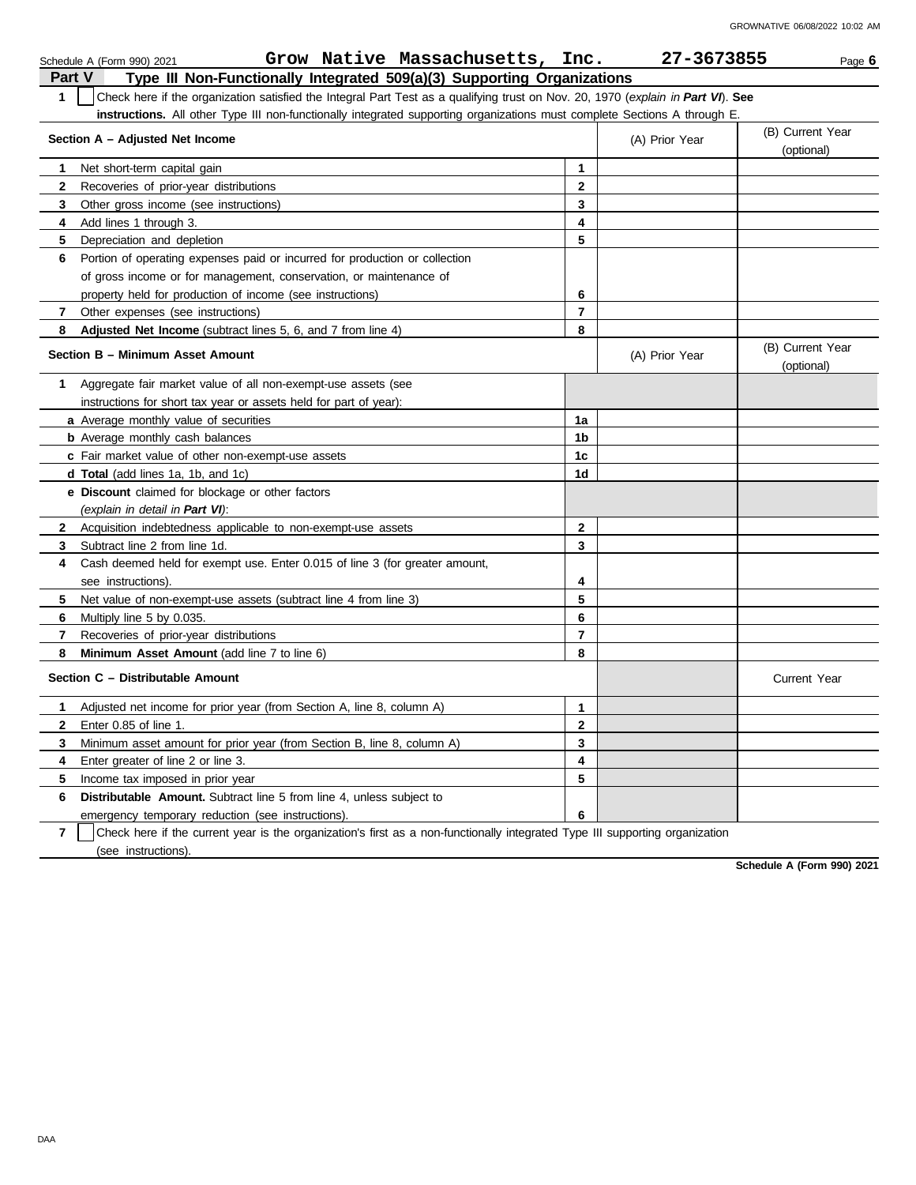|              | Grow Native Massachusetts, Inc.<br>Schedule A (Form 990) 2021                                                                    |              | 27-3673855     | Page 6                         |
|--------------|----------------------------------------------------------------------------------------------------------------------------------|--------------|----------------|--------------------------------|
|              | Part V<br>Type III Non-Functionally Integrated 509(a)(3) Supporting Organizations                                                |              |                |                                |
| $\mathbf{1}$ | Check here if the organization satisfied the Integral Part Test as a qualifying trust on Nov. 20, 1970 (explain in Part VI). See |              |                |                                |
|              | instructions. All other Type III non-functionally integrated supporting organizations must complete Sections A through E.        |              |                |                                |
|              | Section A - Adjusted Net Income                                                                                                  |              | (A) Prior Year | (B) Current Year<br>(optional) |
| 1            | Net short-term capital gain                                                                                                      | $\mathbf{1}$ |                |                                |
| $\mathbf{2}$ | Recoveries of prior-year distributions                                                                                           | $\mathbf{2}$ |                |                                |
| 3            | Other gross income (see instructions)                                                                                            | 3            |                |                                |
| 4            | Add lines 1 through 3.                                                                                                           | 4            |                |                                |
| 5            | Depreciation and depletion                                                                                                       | 5            |                |                                |
| 6            | Portion of operating expenses paid or incurred for production or collection                                                      |              |                |                                |
|              | of gross income or for management, conservation, or maintenance of                                                               |              |                |                                |
|              | property held for production of income (see instructions)                                                                        | 6            |                |                                |
| 7            | Other expenses (see instructions)                                                                                                | 7            |                |                                |
| 8            | <b>Adjusted Net Income</b> (subtract lines 5, 6, and 7 from line 4)                                                              | 8            |                |                                |
|              | Section B - Minimum Asset Amount                                                                                                 |              | (A) Prior Year | (B) Current Year<br>(optional) |
| 1.           | Aggregate fair market value of all non-exempt-use assets (see                                                                    |              |                |                                |
|              | instructions for short tax year or assets held for part of year):                                                                |              |                |                                |
|              | <b>a</b> Average monthly value of securities                                                                                     | 1a           |                |                                |
|              | <b>b</b> Average monthly cash balances                                                                                           | 1b           |                |                                |
|              | c Fair market value of other non-exempt-use assets                                                                               | 1c           |                |                                |
|              | <b>d Total</b> (add lines 1a, 1b, and 1c)                                                                                        | 1d           |                |                                |
|              | <b>e</b> Discount claimed for blockage or other factors                                                                          |              |                |                                |
|              | (explain in detail in Part VI):                                                                                                  |              |                |                                |
| $\mathbf{2}$ | Acquisition indebtedness applicable to non-exempt-use assets                                                                     | $\mathbf{2}$ |                |                                |
| 3            | Subtract line 2 from line 1d.                                                                                                    | 3            |                |                                |
| 4            | Cash deemed held for exempt use. Enter 0.015 of line 3 (for greater amount,                                                      |              |                |                                |
|              | see instructions)                                                                                                                | 4            |                |                                |
| 5            | Net value of non-exempt-use assets (subtract line 4 from line 3)                                                                 | 5            |                |                                |
| 6            | Multiply line 5 by 0.035.                                                                                                        | 6            |                |                                |
| 7            | Recoveries of prior-year distributions                                                                                           | 7            |                |                                |
| 8            | <b>Minimum Asset Amount (add line 7 to line 6)</b>                                                                               | 8            |                |                                |
|              | Section C - Distributable Amount                                                                                                 |              |                | Current Year                   |
| 1            | Adjusted net income for prior year (from Section A, line 8, column A)                                                            | $\mathbf{1}$ |                |                                |
| $\mathbf{2}$ | Enter 0.85 of line 1.                                                                                                            | $\mathbf{2}$ |                |                                |
| 3            | Minimum asset amount for prior year (from Section B, line 8, column A)                                                           | 3            |                |                                |
| 4            | Enter greater of line 2 or line 3.                                                                                               | 4            |                |                                |
| 5            | Income tax imposed in prior year                                                                                                 | 5            |                |                                |
| 6            | <b>Distributable Amount.</b> Subtract line 5 from line 4, unless subject to                                                      |              |                |                                |
|              | emergency temporary reduction (see instructions).                                                                                | 6            |                |                                |
|              |                                                                                                                                  |              |                |                                |

**7** | Check here if the current year is the organization's first as a non-functionally integrated Type III supporting organization (see instructions).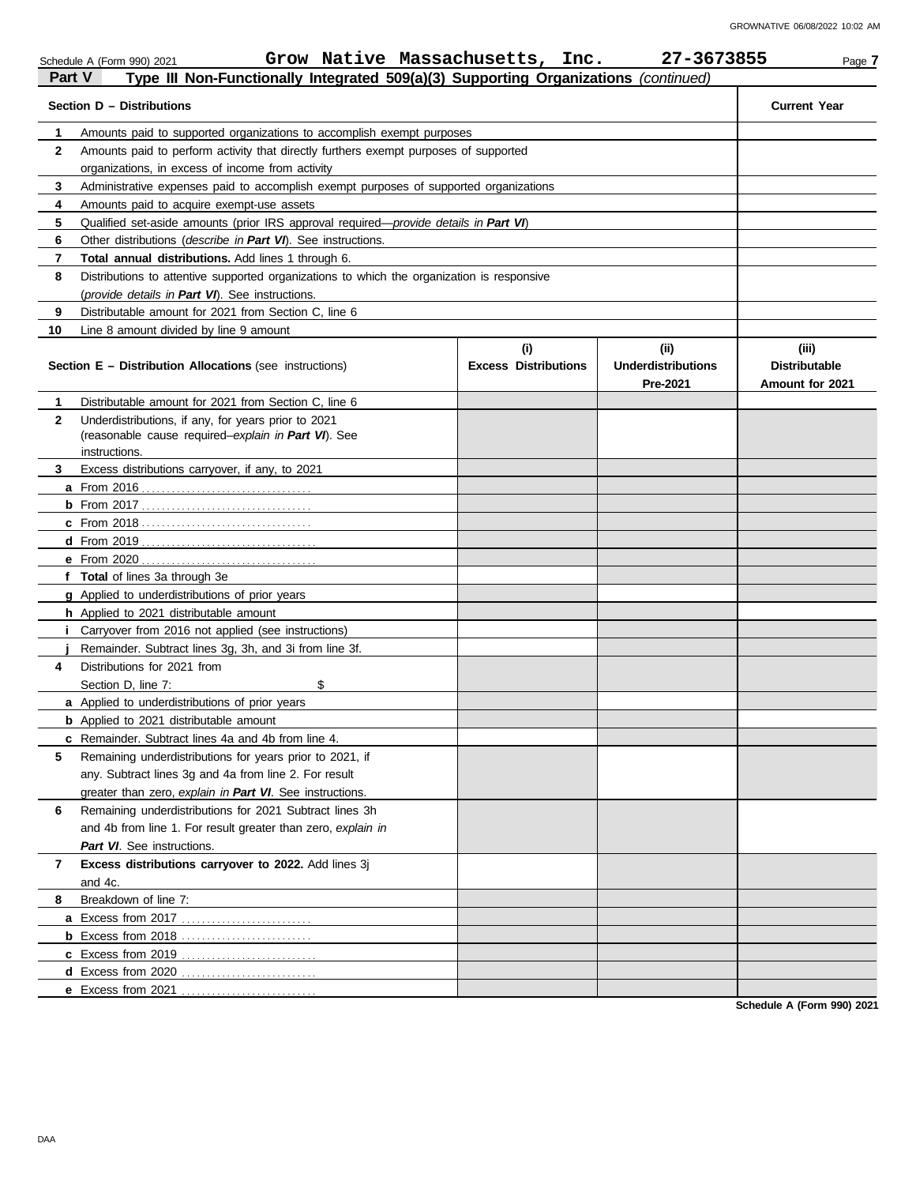| Part V<br>Type III Non-Functionally Integrated 509(a)(3) Supporting Organizations (continued) |                                                                                                                                            |                                    |                                               |                                                  |  |  |  |  |  |  |
|-----------------------------------------------------------------------------------------------|--------------------------------------------------------------------------------------------------------------------------------------------|------------------------------------|-----------------------------------------------|--------------------------------------------------|--|--|--|--|--|--|
|                                                                                               | Section D - Distributions                                                                                                                  |                                    |                                               | <b>Current Year</b>                              |  |  |  |  |  |  |
| 1                                                                                             | Amounts paid to supported organizations to accomplish exempt purposes                                                                      |                                    |                                               |                                                  |  |  |  |  |  |  |
| $\mathbf{2}$                                                                                  | Amounts paid to perform activity that directly furthers exempt purposes of supported                                                       |                                    |                                               |                                                  |  |  |  |  |  |  |
|                                                                                               | organizations, in excess of income from activity                                                                                           |                                    |                                               |                                                  |  |  |  |  |  |  |
| 3                                                                                             | Administrative expenses paid to accomplish exempt purposes of supported organizations                                                      |                                    |                                               |                                                  |  |  |  |  |  |  |
| 4                                                                                             | Amounts paid to acquire exempt-use assets                                                                                                  |                                    |                                               |                                                  |  |  |  |  |  |  |
| 5                                                                                             | Qualified set-aside amounts (prior IRS approval required—provide details in Part VI)                                                       |                                    |                                               |                                                  |  |  |  |  |  |  |
| 6                                                                                             | Other distributions (describe in Part VI). See instructions.                                                                               |                                    |                                               |                                                  |  |  |  |  |  |  |
| 7                                                                                             | Total annual distributions. Add lines 1 through 6.                                                                                         |                                    |                                               |                                                  |  |  |  |  |  |  |
| 8                                                                                             | Distributions to attentive supported organizations to which the organization is responsive                                                 |                                    |                                               |                                                  |  |  |  |  |  |  |
|                                                                                               | (provide details in Part VI). See instructions.                                                                                            |                                    |                                               |                                                  |  |  |  |  |  |  |
| 9                                                                                             | Distributable amount for 2021 from Section C, line 6                                                                                       |                                    |                                               |                                                  |  |  |  |  |  |  |
| 10                                                                                            | Line 8 amount divided by line 9 amount                                                                                                     |                                    |                                               |                                                  |  |  |  |  |  |  |
|                                                                                               | <b>Section E - Distribution Allocations (see instructions)</b>                                                                             | (i)<br><b>Excess Distributions</b> | (ii)<br><b>Underdistributions</b><br>Pre-2021 | (iii)<br><b>Distributable</b><br>Amount for 2021 |  |  |  |  |  |  |
| 1                                                                                             | Distributable amount for 2021 from Section C, line 6                                                                                       |                                    |                                               |                                                  |  |  |  |  |  |  |
| $\mathbf{2}$                                                                                  | Underdistributions, if any, for years prior to 2021                                                                                        |                                    |                                               |                                                  |  |  |  |  |  |  |
|                                                                                               | (reasonable cause required-explain in Part VI). See                                                                                        |                                    |                                               |                                                  |  |  |  |  |  |  |
|                                                                                               | instructions.                                                                                                                              |                                    |                                               |                                                  |  |  |  |  |  |  |
| 3                                                                                             | Excess distributions carryover, if any, to 2021                                                                                            |                                    |                                               |                                                  |  |  |  |  |  |  |
|                                                                                               |                                                                                                                                            |                                    |                                               |                                                  |  |  |  |  |  |  |
|                                                                                               |                                                                                                                                            |                                    |                                               |                                                  |  |  |  |  |  |  |
|                                                                                               |                                                                                                                                            |                                    |                                               |                                                  |  |  |  |  |  |  |
|                                                                                               |                                                                                                                                            |                                    |                                               |                                                  |  |  |  |  |  |  |
|                                                                                               | <b>e</b> From 2020                                                                                                                         |                                    |                                               |                                                  |  |  |  |  |  |  |
|                                                                                               | f Total of lines 3a through 3e                                                                                                             |                                    |                                               |                                                  |  |  |  |  |  |  |
|                                                                                               | <b>g</b> Applied to underdistributions of prior years                                                                                      |                                    |                                               |                                                  |  |  |  |  |  |  |
|                                                                                               | <b>h</b> Applied to 2021 distributable amount                                                                                              |                                    |                                               |                                                  |  |  |  |  |  |  |
|                                                                                               | <i>i</i> Carryover from 2016 not applied (see instructions)                                                                                |                                    |                                               |                                                  |  |  |  |  |  |  |
|                                                                                               | Remainder. Subtract lines 3g, 3h, and 3i from line 3f.                                                                                     |                                    |                                               |                                                  |  |  |  |  |  |  |
| 4                                                                                             | Distributions for 2021 from                                                                                                                |                                    |                                               |                                                  |  |  |  |  |  |  |
|                                                                                               | \$<br>Section D, line 7:                                                                                                                   |                                    |                                               |                                                  |  |  |  |  |  |  |
|                                                                                               | <b>a</b> Applied to underdistributions of prior years                                                                                      |                                    |                                               |                                                  |  |  |  |  |  |  |
|                                                                                               | <b>b</b> Applied to 2021 distributable amount                                                                                              |                                    |                                               |                                                  |  |  |  |  |  |  |
|                                                                                               | c Remainder. Subtract lines 4a and 4b from line 4.                                                                                         |                                    |                                               |                                                  |  |  |  |  |  |  |
| 5                                                                                             | Remaining underdistributions for years prior to 2021, if                                                                                   |                                    |                                               |                                                  |  |  |  |  |  |  |
|                                                                                               | any. Subtract lines 3g and 4a from line 2. For result                                                                                      |                                    |                                               |                                                  |  |  |  |  |  |  |
|                                                                                               | greater than zero, explain in Part VI. See instructions.                                                                                   |                                    |                                               |                                                  |  |  |  |  |  |  |
| 6                                                                                             | Remaining underdistributions for 2021 Subtract lines 3h                                                                                    |                                    |                                               |                                                  |  |  |  |  |  |  |
|                                                                                               | and 4b from line 1. For result greater than zero, explain in                                                                               |                                    |                                               |                                                  |  |  |  |  |  |  |
|                                                                                               | Part VI. See instructions.                                                                                                                 |                                    |                                               |                                                  |  |  |  |  |  |  |
|                                                                                               |                                                                                                                                            |                                    |                                               |                                                  |  |  |  |  |  |  |
|                                                                                               |                                                                                                                                            |                                    |                                               |                                                  |  |  |  |  |  |  |
|                                                                                               |                                                                                                                                            |                                    |                                               |                                                  |  |  |  |  |  |  |
|                                                                                               |                                                                                                                                            |                                    |                                               |                                                  |  |  |  |  |  |  |
|                                                                                               |                                                                                                                                            |                                    |                                               |                                                  |  |  |  |  |  |  |
|                                                                                               |                                                                                                                                            |                                    |                                               |                                                  |  |  |  |  |  |  |
|                                                                                               |                                                                                                                                            |                                    |                                               |                                                  |  |  |  |  |  |  |
| 7<br>8                                                                                        | Excess distributions carryover to 2022. Add lines 3j<br>and 4c.<br>Breakdown of line 7:<br><b>d</b> Excess from 2020<br>e Excess from 2021 |                                    |                                               |                                                  |  |  |  |  |  |  |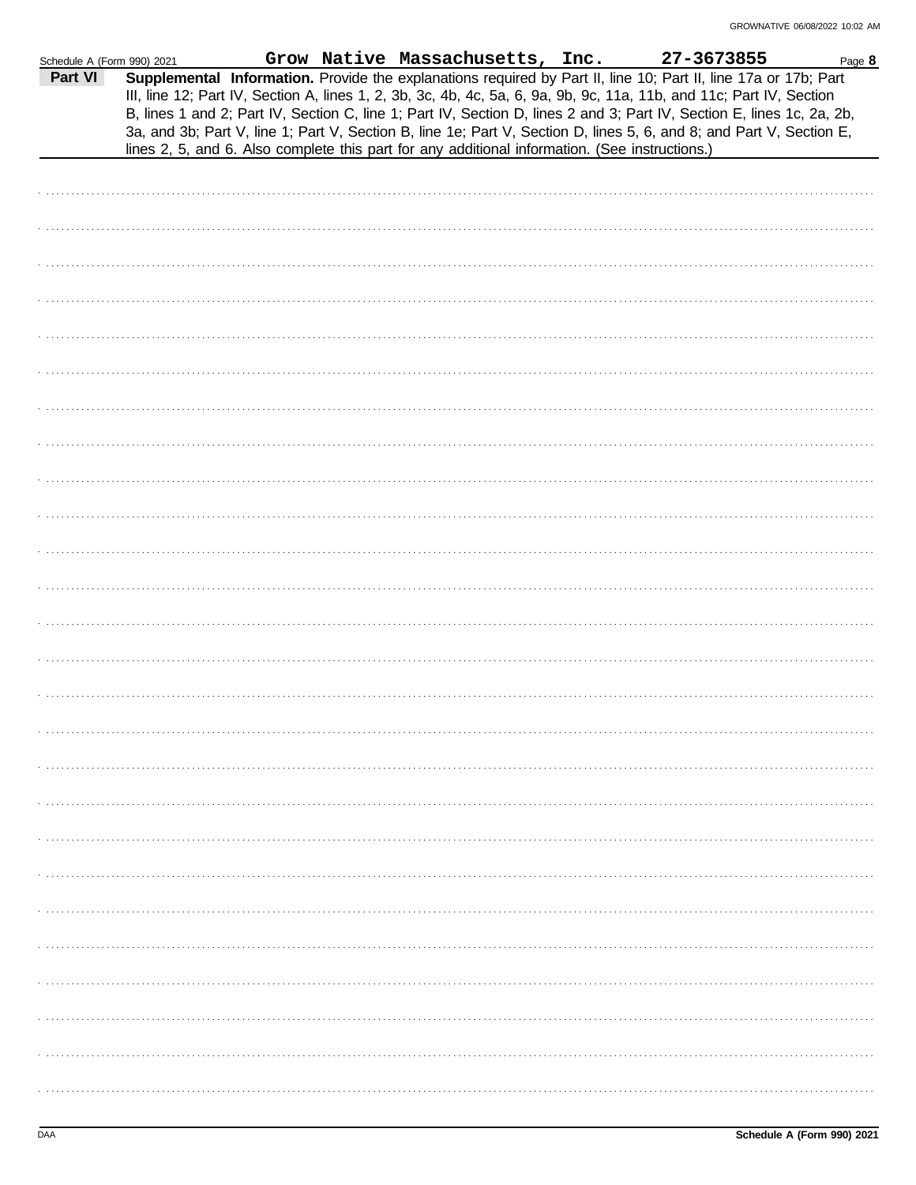| Schedule A (Form 990) 2021 |  | Grow Native Massachusetts, Inc.                                                                                                                                                                                                                                                                                                                                                                                                                                                                                                                                                             | 27-3673855 | Page 8 |
|----------------------------|--|---------------------------------------------------------------------------------------------------------------------------------------------------------------------------------------------------------------------------------------------------------------------------------------------------------------------------------------------------------------------------------------------------------------------------------------------------------------------------------------------------------------------------------------------------------------------------------------------|------------|--------|
| Part VI                    |  | Supplemental Information. Provide the explanations required by Part II, line 10; Part II, line 17a or 17b; Part<br>III, line 12; Part IV, Section A, lines 1, 2, 3b, 3c, 4b, 4c, 5a, 6, 9a, 9b, 9c, 11a, 11b, and 11c; Part IV, Section<br>B, lines 1 and 2; Part IV, Section C, line 1; Part IV, Section D, lines 2 and 3; Part IV, Section E, lines 1c, 2a, 2b,<br>3a, and 3b; Part V, line 1; Part V, Section B, line 1e; Part V, Section D, lines 5, 6, and 8; and Part V, Section E,<br>lines 2, 5, and 6. Also complete this part for any additional information. (See instructions.) |            |        |
|                            |  |                                                                                                                                                                                                                                                                                                                                                                                                                                                                                                                                                                                             |            |        |
|                            |  |                                                                                                                                                                                                                                                                                                                                                                                                                                                                                                                                                                                             |            |        |
|                            |  |                                                                                                                                                                                                                                                                                                                                                                                                                                                                                                                                                                                             |            |        |
|                            |  |                                                                                                                                                                                                                                                                                                                                                                                                                                                                                                                                                                                             |            |        |
|                            |  |                                                                                                                                                                                                                                                                                                                                                                                                                                                                                                                                                                                             |            |        |
|                            |  |                                                                                                                                                                                                                                                                                                                                                                                                                                                                                                                                                                                             |            |        |
|                            |  |                                                                                                                                                                                                                                                                                                                                                                                                                                                                                                                                                                                             |            |        |
|                            |  |                                                                                                                                                                                                                                                                                                                                                                                                                                                                                                                                                                                             |            |        |
|                            |  |                                                                                                                                                                                                                                                                                                                                                                                                                                                                                                                                                                                             |            |        |
|                            |  |                                                                                                                                                                                                                                                                                                                                                                                                                                                                                                                                                                                             |            |        |
|                            |  |                                                                                                                                                                                                                                                                                                                                                                                                                                                                                                                                                                                             |            |        |
|                            |  |                                                                                                                                                                                                                                                                                                                                                                                                                                                                                                                                                                                             |            |        |
|                            |  |                                                                                                                                                                                                                                                                                                                                                                                                                                                                                                                                                                                             |            |        |
|                            |  |                                                                                                                                                                                                                                                                                                                                                                                                                                                                                                                                                                                             |            |        |
|                            |  |                                                                                                                                                                                                                                                                                                                                                                                                                                                                                                                                                                                             |            |        |
|                            |  |                                                                                                                                                                                                                                                                                                                                                                                                                                                                                                                                                                                             |            |        |
|                            |  |                                                                                                                                                                                                                                                                                                                                                                                                                                                                                                                                                                                             |            |        |
|                            |  |                                                                                                                                                                                                                                                                                                                                                                                                                                                                                                                                                                                             |            |        |
|                            |  |                                                                                                                                                                                                                                                                                                                                                                                                                                                                                                                                                                                             |            |        |
|                            |  |                                                                                                                                                                                                                                                                                                                                                                                                                                                                                                                                                                                             |            |        |
|                            |  |                                                                                                                                                                                                                                                                                                                                                                                                                                                                                                                                                                                             |            |        |
|                            |  |                                                                                                                                                                                                                                                                                                                                                                                                                                                                                                                                                                                             |            |        |
|                            |  |                                                                                                                                                                                                                                                                                                                                                                                                                                                                                                                                                                                             |            |        |
|                            |  |                                                                                                                                                                                                                                                                                                                                                                                                                                                                                                                                                                                             |            |        |
|                            |  |                                                                                                                                                                                                                                                                                                                                                                                                                                                                                                                                                                                             |            |        |
|                            |  |                                                                                                                                                                                                                                                                                                                                                                                                                                                                                                                                                                                             |            |        |
|                            |  |                                                                                                                                                                                                                                                                                                                                                                                                                                                                                                                                                                                             |            |        |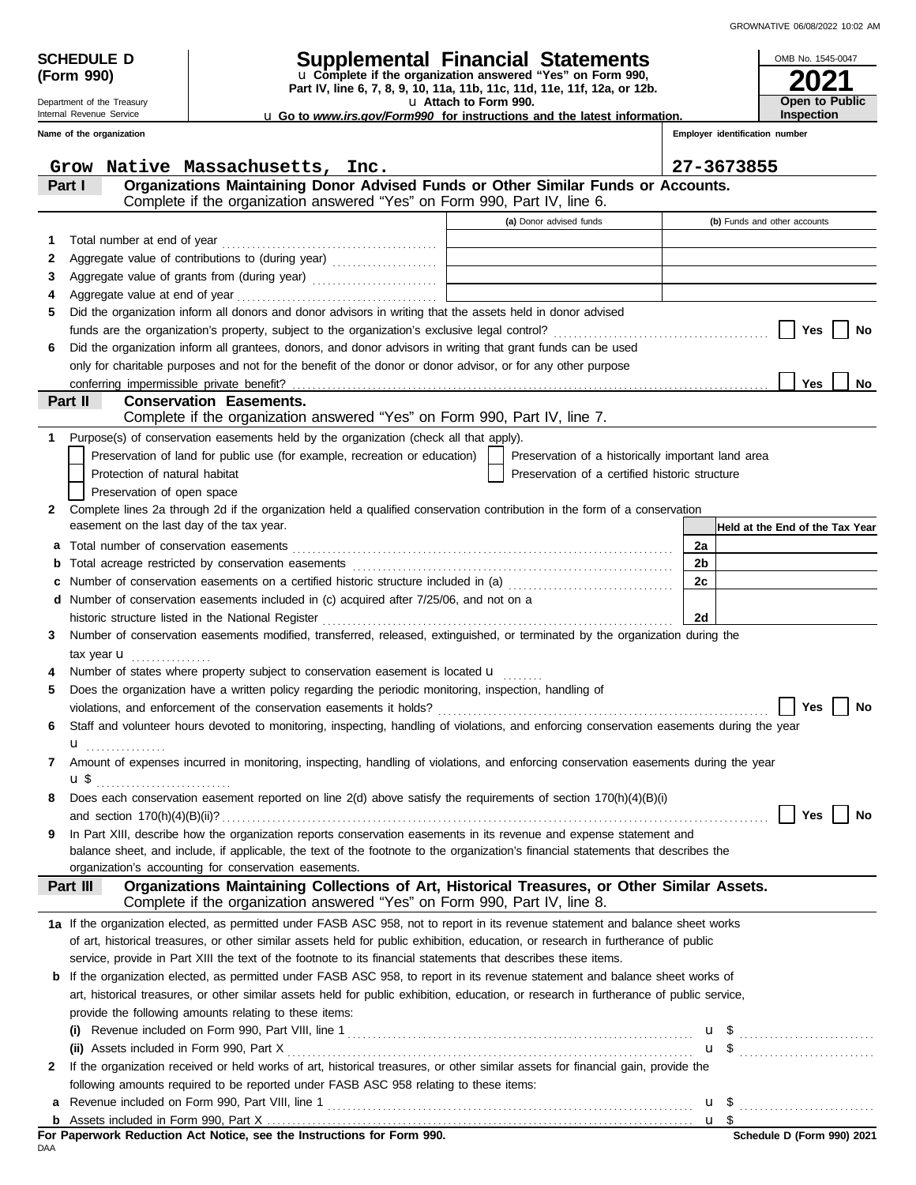OMB No. 1545-0047

| (Form 990)                                           |                                                                                                                                                                     | u Complete if the organization answered "Yes" on Form 990,<br>Part IV, line 6, 7, 8, 9, 10, 11a, 11b, 11c, 11d, 11e, 11f, 12a, or 12b. |    |                                |                                 |
|------------------------------------------------------|---------------------------------------------------------------------------------------------------------------------------------------------------------------------|----------------------------------------------------------------------------------------------------------------------------------------|----|--------------------------------|---------------------------------|
| Department of the Treasury                           |                                                                                                                                                                     | u Attach to Form 990.                                                                                                                  |    |                                | Open to Public                  |
| Internal Revenue Service<br>Name of the organization |                                                                                                                                                                     | <b>u</b> Go to www.irs.gov/Form990 for instructions and the latest information.                                                        |    | Employer identification number | Inspection                      |
|                                                      |                                                                                                                                                                     |                                                                                                                                        |    |                                |                                 |
|                                                      | Grow Native Massachusetts, Inc.                                                                                                                                     |                                                                                                                                        |    | 27-3673855                     |                                 |
| Part I                                               | Organizations Maintaining Donor Advised Funds or Other Similar Funds or Accounts.                                                                                   |                                                                                                                                        |    |                                |                                 |
|                                                      | Complete if the organization answered "Yes" on Form 990, Part IV, line 6.                                                                                           |                                                                                                                                        |    |                                |                                 |
|                                                      |                                                                                                                                                                     | (a) Donor advised funds                                                                                                                |    | (b) Funds and other accounts   |                                 |
| 1                                                    |                                                                                                                                                                     |                                                                                                                                        |    |                                |                                 |
| 2                                                    |                                                                                                                                                                     |                                                                                                                                        |    |                                |                                 |
| 3                                                    | Aggregate value of grants from (during year)                                                                                                                        |                                                                                                                                        |    |                                |                                 |
| 4                                                    |                                                                                                                                                                     |                                                                                                                                        |    |                                |                                 |
| 5                                                    | Did the organization inform all donors and donor advisors in writing that the assets held in donor advised                                                          |                                                                                                                                        |    |                                |                                 |
|                                                      |                                                                                                                                                                     |                                                                                                                                        |    |                                | Yes<br>No                       |
| 6                                                    | Did the organization inform all grantees, donors, and donor advisors in writing that grant funds can be used                                                        |                                                                                                                                        |    |                                |                                 |
|                                                      | only for charitable purposes and not for the benefit of the donor or donor advisor, or for any other purpose                                                        |                                                                                                                                        |    |                                |                                 |
| conferring impermissible private benefit?            |                                                                                                                                                                     |                                                                                                                                        |    |                                | <b>Yes</b><br>No                |
| Part II                                              | <b>Conservation Easements.</b><br>Complete if the organization answered "Yes" on Form 990, Part IV, line 7.                                                         |                                                                                                                                        |    |                                |                                 |
|                                                      |                                                                                                                                                                     |                                                                                                                                        |    |                                |                                 |
| 1                                                    | Purpose(s) of conservation easements held by the organization (check all that apply).<br>Preservation of land for public use (for example, recreation or education) | Preservation of a historically important land area                                                                                     |    |                                |                                 |
| Protection of natural habitat                        |                                                                                                                                                                     | Preservation of a certified historic structure                                                                                         |    |                                |                                 |
| Preservation of open space                           |                                                                                                                                                                     |                                                                                                                                        |    |                                |                                 |
| $\mathbf{2}$                                         | Complete lines 2a through 2d if the organization held a qualified conservation contribution in the form of a conservation                                           |                                                                                                                                        |    |                                |                                 |
| easement on the last day of the tax year.            |                                                                                                                                                                     |                                                                                                                                        |    |                                | Held at the End of the Tax Year |
|                                                      |                                                                                                                                                                     |                                                                                                                                        | 2a |                                |                                 |
|                                                      |                                                                                                                                                                     |                                                                                                                                        | 2b |                                |                                 |
|                                                      | Number of conservation easements on a certified historic structure included in (a) [11] Number of conservation                                                      |                                                                                                                                        | 2c |                                |                                 |
|                                                      | d Number of conservation easements included in (c) acquired after 7/25/06, and not on a                                                                             |                                                                                                                                        |    |                                |                                 |
|                                                      |                                                                                                                                                                     |                                                                                                                                        | 2d |                                |                                 |
| 3                                                    | Number of conservation easements modified, transferred, released, extinguished, or terminated by the organization during the                                        |                                                                                                                                        |    |                                |                                 |
| tax year $\mathbf u$                                 |                                                                                                                                                                     |                                                                                                                                        |    |                                |                                 |
|                                                      | Number of states where property subject to conservation easement is located <b>u</b>                                                                                |                                                                                                                                        |    |                                |                                 |
| 5                                                    | Does the organization have a written policy regarding the periodic monitoring, inspection, handling of                                                              |                                                                                                                                        |    |                                |                                 |
|                                                      |                                                                                                                                                                     |                                                                                                                                        |    |                                | <b>Yes</b><br>No                |
|                                                      | Staff and volunteer hours devoted to monitoring, inspecting, handling of violations, and enforcing conservation easements during the year                           |                                                                                                                                        |    |                                |                                 |
| u                                                    |                                                                                                                                                                     |                                                                                                                                        |    |                                |                                 |
|                                                      | Amount of expenses incurred in monitoring, inspecting, handling of violations, and enforcing conservation easements during the year                                 |                                                                                                                                        |    |                                |                                 |
| <b>u</b> \$                                          |                                                                                                                                                                     |                                                                                                                                        |    |                                |                                 |
| 8                                                    | Does each conservation easement reported on line 2(d) above satisfy the requirements of section 170(h)(4)(B)(i)                                                     |                                                                                                                                        |    |                                |                                 |
|                                                      |                                                                                                                                                                     |                                                                                                                                        |    |                                | Yes<br>No                       |
| 9                                                    | In Part XIII, describe how the organization reports conservation easements in its revenue and expense statement and                                                 |                                                                                                                                        |    |                                |                                 |
|                                                      | balance sheet, and include, if applicable, the text of the footnote to the organization's financial statements that describes the                                   |                                                                                                                                        |    |                                |                                 |
| Part III                                             | organization's accounting for conservation easements.<br>Organizations Maintaining Collections of Art, Historical Treasures, or Other Similar Assets.               |                                                                                                                                        |    |                                |                                 |
|                                                      | Complete if the organization answered "Yes" on Form 990, Part IV, line 8.                                                                                           |                                                                                                                                        |    |                                |                                 |
|                                                      | 1a If the organization elected, as permitted under FASB ASC 958, not to report in its revenue statement and balance sheet works                                     |                                                                                                                                        |    |                                |                                 |
|                                                      | of art, historical treasures, or other similar assets held for public exhibition, education, or research in furtherance of public                                   |                                                                                                                                        |    |                                |                                 |
|                                                      | service, provide in Part XIII the text of the footnote to its financial statements that describes these items.                                                      |                                                                                                                                        |    |                                |                                 |
|                                                      | <b>b</b> If the organization elected, as permitted under FASB ASC 958, to report in its revenue statement and balance sheet works of                                |                                                                                                                                        |    |                                |                                 |
|                                                      | art, historical treasures, or other similar assets held for public exhibition, education, or research in furtherance of public service,                             |                                                                                                                                        |    |                                |                                 |
|                                                      | provide the following amounts relating to these items:                                                                                                              |                                                                                                                                        |    |                                |                                 |
|                                                      |                                                                                                                                                                     |                                                                                                                                        |    |                                |                                 |
|                                                      |                                                                                                                                                                     |                                                                                                                                        |    |                                | $\mathbf{u}$ \$ $\ldots$        |
| 2                                                    | If the organization received or held works of art, historical treasures, or other similar assets for financial gain, provide the                                    |                                                                                                                                        |    |                                |                                 |
|                                                      | following amounts required to be reported under FASB ASC 958 relating to these items:                                                                               |                                                                                                                                        |    |                                |                                 |
| a                                                    |                                                                                                                                                                     |                                                                                                                                        |    |                                |                                 |

**SCHEDULE D Supplemental Financial Statements**

DAA **For Paperwork Reduction Act Notice, see the Instructions for Form 990.** <u>u \$</u>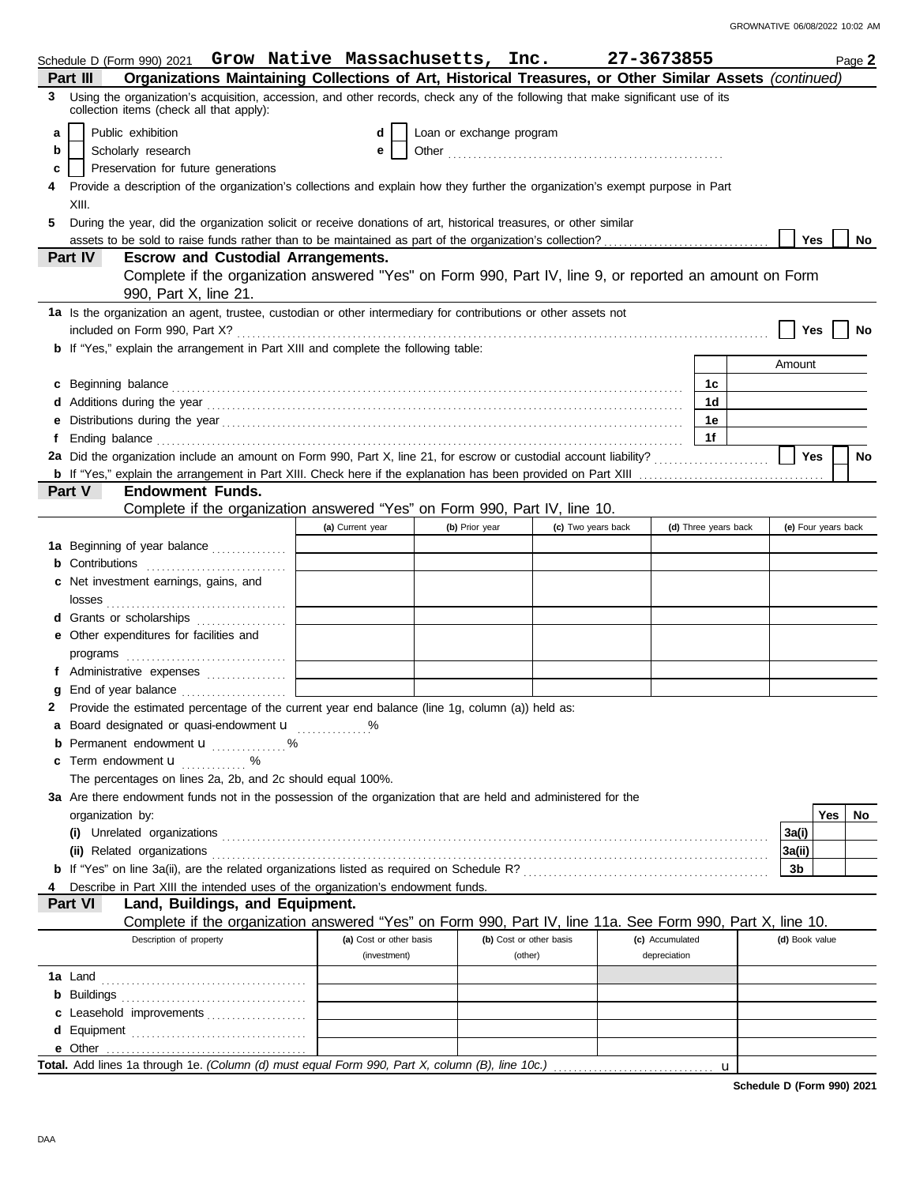|   | Schedule D (Form 990) 2021 $\,$ Grow Native Massachusetts, Inc.                                                                                                                                                                      |                         |                          |                         | 27-3673855         |              |                      |                | Page 2              |  |
|---|--------------------------------------------------------------------------------------------------------------------------------------------------------------------------------------------------------------------------------------|-------------------------|--------------------------|-------------------------|--------------------|--------------|----------------------|----------------|---------------------|--|
|   | Organizations Maintaining Collections of Art, Historical Treasures, or Other Similar Assets (continued)<br>Part III                                                                                                                  |                         |                          |                         |                    |              |                      |                |                     |  |
| 3 | Using the organization's acquisition, accession, and other records, check any of the following that make significant use of its<br>collection items (check all that apply):                                                          |                         |                          |                         |                    |              |                      |                |                     |  |
| a | Public exhibition                                                                                                                                                                                                                    | d                       | Loan or exchange program |                         |                    |              |                      |                |                     |  |
| b | Scholarly research                                                                                                                                                                                                                   | e                       |                          |                         |                    |              |                      |                |                     |  |
| c | Preservation for future generations                                                                                                                                                                                                  |                         |                          |                         |                    |              |                      |                |                     |  |
|   | Provide a description of the organization's collections and explain how they further the organization's exempt purpose in Part                                                                                                       |                         |                          |                         |                    |              |                      |                |                     |  |
|   | XIII.                                                                                                                                                                                                                                |                         |                          |                         |                    |              |                      |                |                     |  |
| 5 | During the year, did the organization solicit or receive donations of art, historical treasures, or other similar                                                                                                                    |                         |                          |                         |                    |              |                      |                |                     |  |
|   |                                                                                                                                                                                                                                      |                         |                          |                         |                    |              |                      | <b>Yes</b>     | No                  |  |
|   | Part IV<br><b>Escrow and Custodial Arrangements.</b>                                                                                                                                                                                 |                         |                          |                         |                    |              |                      |                |                     |  |
|   | Complete if the organization answered "Yes" on Form 990, Part IV, line 9, or reported an amount on Form                                                                                                                              |                         |                          |                         |                    |              |                      |                |                     |  |
|   | 990, Part X, line 21.                                                                                                                                                                                                                |                         |                          |                         |                    |              |                      |                |                     |  |
|   | 1a Is the organization an agent, trustee, custodian or other intermediary for contributions or other assets not                                                                                                                      |                         |                          |                         |                    |              |                      |                |                     |  |
|   |                                                                                                                                                                                                                                      |                         |                          |                         |                    |              |                      | Yes            | No                  |  |
|   | b If "Yes," explain the arrangement in Part XIII and complete the following table:                                                                                                                                                   |                         |                          |                         |                    |              |                      |                |                     |  |
|   |                                                                                                                                                                                                                                      |                         |                          |                         |                    |              |                      | Amount         |                     |  |
|   | c Beginning balance <b>contract to the contract of the contract of the contract of the contract of the contract of the contract of the contract of the contract of the contract of the contract of the contract of the contract </b> |                         |                          |                         |                    |              | 1с                   |                |                     |  |
|   |                                                                                                                                                                                                                                      |                         |                          |                         |                    |              | 1 <sub>d</sub>       |                |                     |  |
| е |                                                                                                                                                                                                                                      |                         |                          |                         |                    |              | 1e                   |                |                     |  |
|   | Ending balance <b>construction and the construction of the construction</b> of the construction of the construction of the construction of the construction of the construction of the construction of the construction of the cons  |                         |                          |                         |                    |              | 1f                   |                |                     |  |
|   | 2a Did the organization include an amount on Form 990, Part X, line 21, for escrow or custodial account liability?                                                                                                                   |                         |                          |                         |                    |              |                      | Yes            | No                  |  |
|   |                                                                                                                                                                                                                                      |                         |                          |                         |                    |              |                      |                |                     |  |
|   | Part V<br><b>Endowment Funds.</b>                                                                                                                                                                                                    |                         |                          |                         |                    |              |                      |                |                     |  |
|   | Complete if the organization answered "Yes" on Form 990, Part IV, line 10.                                                                                                                                                           |                         |                          |                         |                    |              |                      |                |                     |  |
|   |                                                                                                                                                                                                                                      | (a) Current year        | (b) Prior year           |                         | (c) Two years back |              | (d) Three years back |                | (e) Four years back |  |
|   | 1a Beginning of year balance                                                                                                                                                                                                         |                         |                          |                         |                    |              |                      |                |                     |  |
|   | <b>b</b> Contributions <b>contributions</b>                                                                                                                                                                                          |                         |                          |                         |                    |              |                      |                |                     |  |
|   | c Net investment earnings, gains, and                                                                                                                                                                                                |                         |                          |                         |                    |              |                      |                |                     |  |
|   | d Grants or scholarships                                                                                                                                                                                                             |                         |                          |                         |                    |              |                      |                |                     |  |
|   | e Other expenditures for facilities and                                                                                                                                                                                              |                         |                          |                         |                    |              |                      |                |                     |  |
|   |                                                                                                                                                                                                                                      |                         |                          |                         |                    |              |                      |                |                     |  |
|   | f Administrative expenses                                                                                                                                                                                                            |                         |                          |                         |                    |              |                      |                |                     |  |
|   |                                                                                                                                                                                                                                      |                         |                          |                         |                    |              |                      |                |                     |  |
|   | Provide the estimated percentage of the current year end balance (line 1g, column (a)) held as:                                                                                                                                      |                         |                          |                         |                    |              |                      |                |                     |  |
|   | a Board designated or quasi-endowment u                                                                                                                                                                                              |                         |                          |                         |                    |              |                      |                |                     |  |
|   | <b>b</b> Permanent endowment <b>u</b> %                                                                                                                                                                                              |                         |                          |                         |                    |              |                      |                |                     |  |
|   | c Term endowment <b>u</b> %                                                                                                                                                                                                          |                         |                          |                         |                    |              |                      |                |                     |  |
|   | The percentages on lines 2a, 2b, and 2c should equal 100%.                                                                                                                                                                           |                         |                          |                         |                    |              |                      |                |                     |  |
|   | 3a Are there endowment funds not in the possession of the organization that are held and administered for the                                                                                                                        |                         |                          |                         |                    |              |                      |                |                     |  |
|   | organization by:                                                                                                                                                                                                                     |                         |                          |                         |                    |              |                      |                | Yes<br>No.          |  |
|   |                                                                                                                                                                                                                                      |                         |                          |                         |                    |              |                      | 3a(i)          |                     |  |
|   |                                                                                                                                                                                                                                      |                         |                          |                         |                    |              |                      | 3a(ii)         |                     |  |
|   |                                                                                                                                                                                                                                      |                         |                          |                         |                    |              |                      | 3b             |                     |  |
|   | Describe in Part XIII the intended uses of the organization's endowment funds.                                                                                                                                                       |                         |                          |                         |                    |              |                      |                |                     |  |
|   | Land, Buildings, and Equipment.<br><b>Part VI</b>                                                                                                                                                                                    |                         |                          |                         |                    |              |                      |                |                     |  |
|   | Complete if the organization answered "Yes" on Form 990, Part IV, line 11a. See Form 990, Part X, line 10.                                                                                                                           |                         |                          |                         |                    |              |                      |                |                     |  |
|   | Description of property                                                                                                                                                                                                              | (a) Cost or other basis |                          | (b) Cost or other basis | (c) Accumulated    |              |                      | (d) Book value |                     |  |
|   |                                                                                                                                                                                                                                      | (investment)            |                          | (other)                 |                    | depreciation |                      |                |                     |  |
|   |                                                                                                                                                                                                                                      |                         |                          |                         |                    |              |                      |                |                     |  |
|   |                                                                                                                                                                                                                                      |                         |                          |                         |                    |              |                      |                |                     |  |
|   | c Leasehold improvements                                                                                                                                                                                                             |                         |                          |                         |                    |              |                      |                |                     |  |
|   |                                                                                                                                                                                                                                      |                         |                          |                         |                    |              |                      |                |                     |  |
|   |                                                                                                                                                                                                                                      |                         |                          |                         |                    |              |                      |                |                     |  |
|   | Total. Add lines 1a through 1e. (Column (d) must equal Form 990, Part X, column (B), line 10c.)                                                                                                                                      |                         |                          |                         |                    |              | $\mathbf u$          |                |                     |  |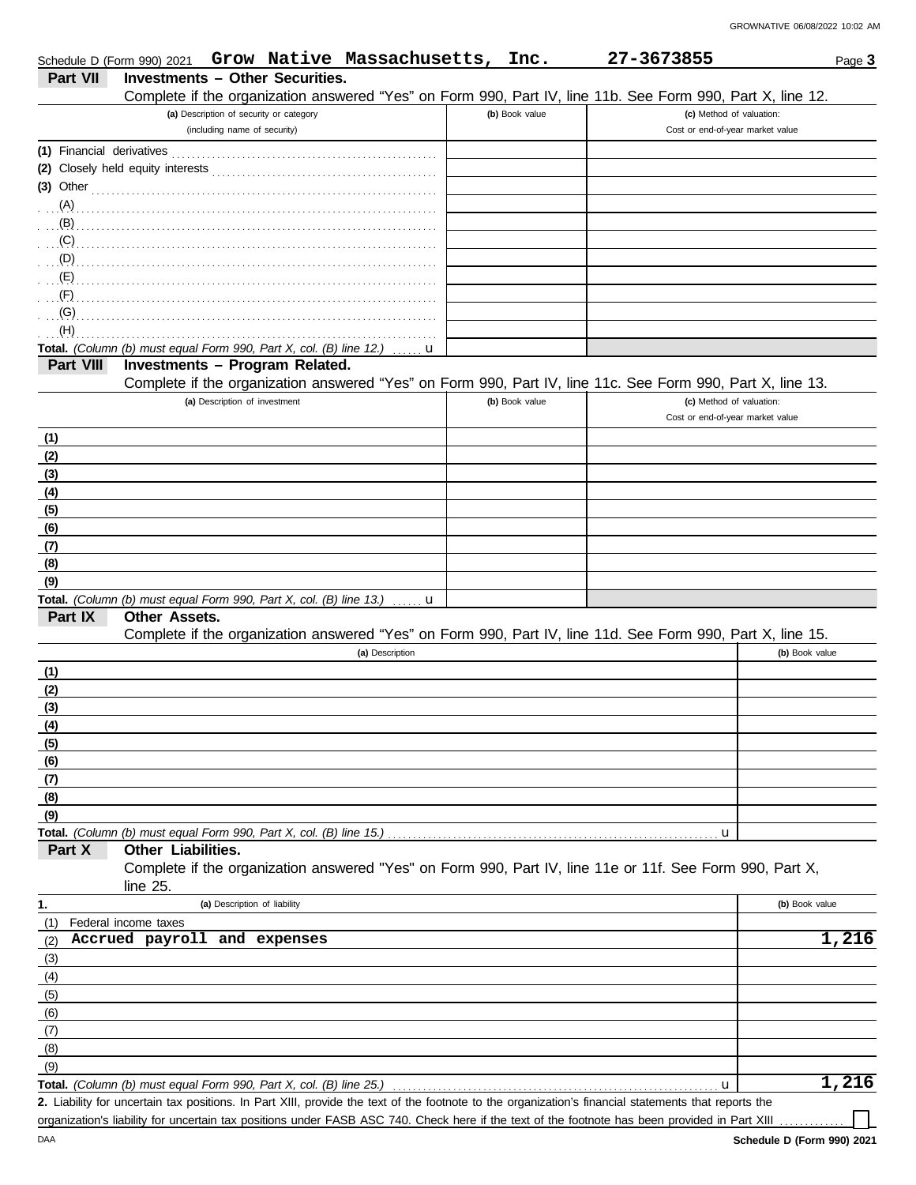|                           |                                                                                                      |                               |                                         | Schedule D (Form 990) 2021 Grow Native Massachusetts, Inc.                                                                                           |                | 27-3673855                       |                | Page 3 |
|---------------------------|------------------------------------------------------------------------------------------------------|-------------------------------|-----------------------------------------|------------------------------------------------------------------------------------------------------------------------------------------------------|----------------|----------------------------------|----------------|--------|
| Part VII                  | <b>Investments - Other Securities.</b>                                                               |                               |                                         |                                                                                                                                                      |                |                                  |                |        |
|                           |                                                                                                      |                               |                                         | Complete if the organization answered "Yes" on Form 990, Part IV, line 11b. See Form 990, Part X, line 12.                                           |                |                                  |                |        |
|                           |                                                                                                      |                               | (a) Description of security or category |                                                                                                                                                      | (b) Book value | (c) Method of valuation:         |                |        |
|                           |                                                                                                      | (including name of security)  |                                         |                                                                                                                                                      |                | Cost or end-of-year market value |                |        |
|                           |                                                                                                      |                               |                                         |                                                                                                                                                      |                |                                  |                |        |
|                           |                                                                                                      |                               |                                         |                                                                                                                                                      |                |                                  |                |        |
|                           |                                                                                                      |                               |                                         | $(3)$ Other                                                                                                                                          |                |                                  |                |        |
|                           |                                                                                                      |                               |                                         |                                                                                                                                                      |                |                                  |                |        |
|                           |                                                                                                      |                               |                                         |                                                                                                                                                      |                |                                  |                |        |
|                           |                                                                                                      |                               |                                         |                                                                                                                                                      |                |                                  |                |        |
|                           |                                                                                                      |                               |                                         |                                                                                                                                                      |                |                                  |                |        |
|                           |                                                                                                      |                               |                                         |                                                                                                                                                      |                |                                  |                |        |
| $\mathcal{F}(\mathsf{F})$ |                                                                                                      |                               |                                         |                                                                                                                                                      |                |                                  |                |        |
|                           |                                                                                                      |                               |                                         |                                                                                                                                                      |                |                                  |                |        |
| (H)                       |                                                                                                      |                               |                                         |                                                                                                                                                      |                |                                  |                |        |
| Part VIII                 | Total. (Column (b) must equal Form 990, Part X, col. (B) line 12.)<br>Investments - Program Related. |                               |                                         | <b>.u</b>                                                                                                                                            |                |                                  |                |        |
|                           |                                                                                                      |                               |                                         | Complete if the organization answered "Yes" on Form 990, Part IV, line 11c. See Form 990, Part X, line 13.                                           |                |                                  |                |        |
|                           |                                                                                                      | (a) Description of investment |                                         |                                                                                                                                                      | (b) Book value | (c) Method of valuation:         |                |        |
|                           |                                                                                                      |                               |                                         |                                                                                                                                                      |                | Cost or end-of-year market value |                |        |
| (1)                       |                                                                                                      |                               |                                         |                                                                                                                                                      |                |                                  |                |        |
| (2)                       |                                                                                                      |                               |                                         |                                                                                                                                                      |                |                                  |                |        |
| (3)                       |                                                                                                      |                               |                                         |                                                                                                                                                      |                |                                  |                |        |
| (4)                       |                                                                                                      |                               |                                         |                                                                                                                                                      |                |                                  |                |        |
| (5)                       |                                                                                                      |                               |                                         |                                                                                                                                                      |                |                                  |                |        |
| (6)                       |                                                                                                      |                               |                                         |                                                                                                                                                      |                |                                  |                |        |
| (7)                       |                                                                                                      |                               |                                         |                                                                                                                                                      |                |                                  |                |        |
| (8)                       |                                                                                                      |                               |                                         |                                                                                                                                                      |                |                                  |                |        |
| (9)                       |                                                                                                      |                               |                                         |                                                                                                                                                      |                |                                  |                |        |
|                           |                                                                                                      |                               |                                         | Total. (Column (b) must equal Form 990, Part X, col. (B) line 13.) $\mathbf u$                                                                       |                |                                  |                |        |
| Part IX                   | Other Assets.                                                                                        |                               |                                         |                                                                                                                                                      |                |                                  |                |        |
|                           |                                                                                                      |                               |                                         | Complete if the organization answered "Yes" on Form 990, Part IV, line 11d. See Form 990, Part X, line 15.                                           |                |                                  |                |        |
|                           |                                                                                                      |                               |                                         | (a) Description                                                                                                                                      |                |                                  | (b) Book value |        |
| (1)                       |                                                                                                      |                               |                                         |                                                                                                                                                      |                |                                  |                |        |
| (2)                       |                                                                                                      |                               |                                         |                                                                                                                                                      |                |                                  |                |        |
| (3)                       |                                                                                                      |                               |                                         |                                                                                                                                                      |                |                                  |                |        |
| (4)                       |                                                                                                      |                               |                                         |                                                                                                                                                      |                |                                  |                |        |
| (5)                       |                                                                                                      |                               |                                         |                                                                                                                                                      |                |                                  |                |        |
| (6)                       |                                                                                                      |                               |                                         |                                                                                                                                                      |                |                                  |                |        |
| (7)                       |                                                                                                      |                               |                                         |                                                                                                                                                      |                |                                  |                |        |
| (8)                       |                                                                                                      |                               |                                         |                                                                                                                                                      |                |                                  |                |        |
| (9)                       |                                                                                                      |                               |                                         |                                                                                                                                                      |                |                                  |                |        |
|                           | Total. (Column (b) must equal Form 990, Part X, col. (B) line 15.)                                   |                               |                                         |                                                                                                                                                      |                | u                                |                |        |
| Part X                    | Other Liabilities.                                                                                   |                               |                                         |                                                                                                                                                      |                |                                  |                |        |
|                           | line $25$ .                                                                                          |                               |                                         | Complete if the organization answered "Yes" on Form 990, Part IV, line 11e or 11f. See Form 990, Part X,                                             |                |                                  |                |        |
| 1.                        |                                                                                                      | (a) Description of liability  |                                         |                                                                                                                                                      |                |                                  | (b) Book value |        |
| (1)                       | Federal income taxes                                                                                 |                               |                                         |                                                                                                                                                      |                |                                  |                |        |
| (2)                       | Accrued payroll and expenses                                                                         |                               |                                         |                                                                                                                                                      |                |                                  |                | 1,216  |
| (3)                       |                                                                                                      |                               |                                         |                                                                                                                                                      |                |                                  |                |        |
| (4)                       |                                                                                                      |                               |                                         |                                                                                                                                                      |                |                                  |                |        |
| (5)                       |                                                                                                      |                               |                                         |                                                                                                                                                      |                |                                  |                |        |
| (6)                       |                                                                                                      |                               |                                         |                                                                                                                                                      |                |                                  |                |        |
| (7)                       |                                                                                                      |                               |                                         |                                                                                                                                                      |                |                                  |                |        |
| (8)                       |                                                                                                      |                               |                                         |                                                                                                                                                      |                |                                  |                |        |
| (9)                       |                                                                                                      |                               |                                         |                                                                                                                                                      |                |                                  |                |        |
|                           | Total. (Column (b) must equal Form 990, Part X, col. (B) line 25.)                                   |                               |                                         |                                                                                                                                                      |                | u                                |                | 1,216  |
|                           |                                                                                                      |                               |                                         | 2. Liability for uncertain tax positions. In Part XIII, provide the text of the footnote to the organization's financial statements that reports the |                |                                  |                |        |

organization's liability for uncertain tax positions under FASB ASC 740. Check here if the text of the footnote has been provided in Part XIII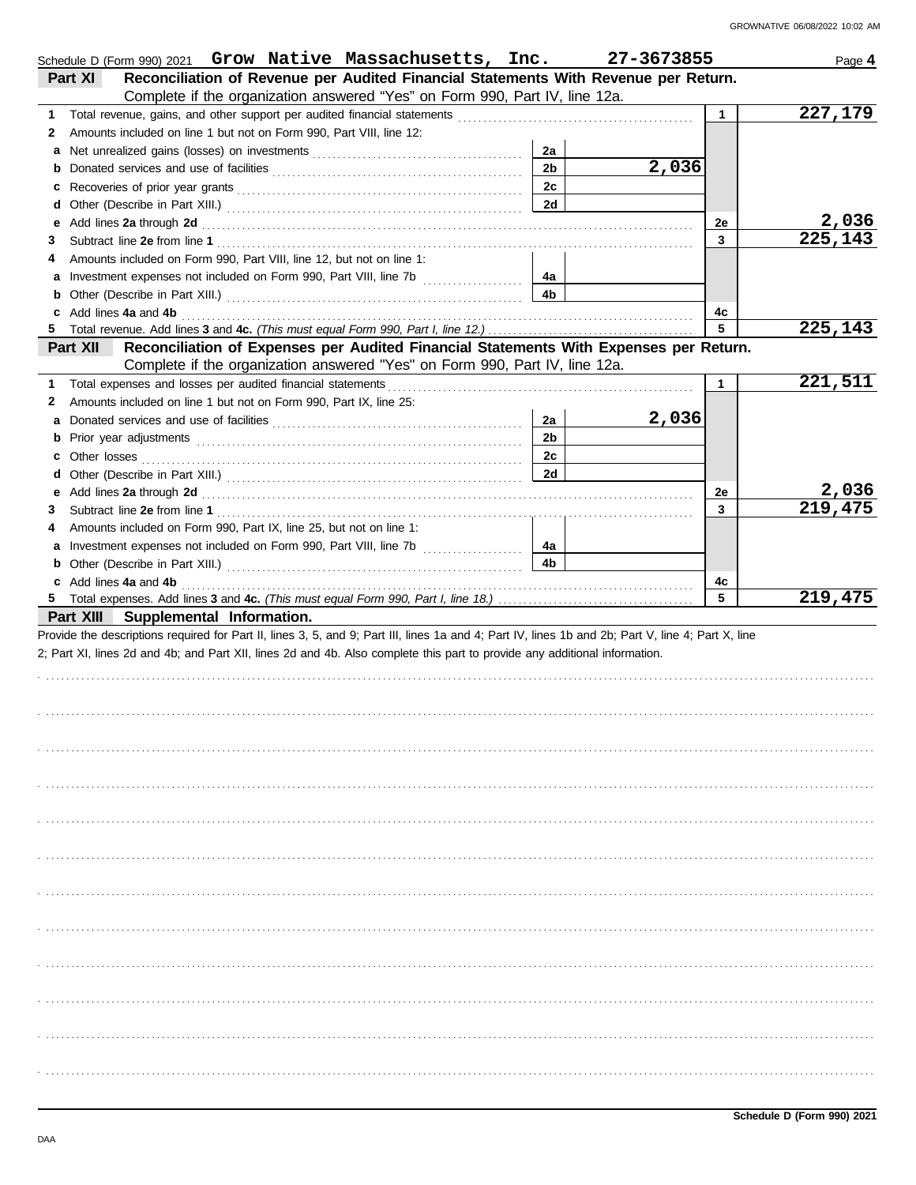| Schedule D (Form 990) 2021 Grow Native Massachusetts, Inc.                                                                                                                                                                         |                | 27-3673855 |              | Page 4  |
|------------------------------------------------------------------------------------------------------------------------------------------------------------------------------------------------------------------------------------|----------------|------------|--------------|---------|
| Reconciliation of Revenue per Audited Financial Statements With Revenue per Return.<br>Part XI                                                                                                                                     |                |            |              |         |
| Complete if the organization answered "Yes" on Form 990, Part IV, line 12a.                                                                                                                                                        |                |            |              |         |
| 1                                                                                                                                                                                                                                  |                |            | $\mathbf{1}$ | 227,179 |
| Amounts included on line 1 but not on Form 990, Part VIII, line 12:<br>2                                                                                                                                                           |                |            |              |         |
|                                                                                                                                                                                                                                    | 2a             |            |              |         |
|                                                                                                                                                                                                                                    | 2 <sub>b</sub> | 2,036      |              |         |
|                                                                                                                                                                                                                                    | 2c             |            |              |         |
|                                                                                                                                                                                                                                    | 2d             |            |              |         |
| e Add lines 2a through 2d (a) and the contract of the Add lines 2a through 2d (a) and the contract of the Add lines 2a through 2d (a) and the contract of the Add lines 2a through 2d (a) and the contract of the Contract of      |                |            | 2e           | 2,036   |
| 3                                                                                                                                                                                                                                  |                |            | 3            | 225,143 |
| Amounts included on Form 990, Part VIII, line 12, but not on line 1:<br>4                                                                                                                                                          |                |            |              |         |
|                                                                                                                                                                                                                                    | 4a             |            |              |         |
|                                                                                                                                                                                                                                    | 4b             |            |              |         |
| c Add lines 4a and 4b <b>contract and 4b</b> and 4b and 4b and 4b and 4b and 4b and 4b and 4b and 4b and 4b and 4b and 4b and 4b and 4b and 4b and 4b and 4b and 4b and 4b and 4b and 4b and 4b and 4b and 4b and 4b and 4b and 4b |                |            | 4с           |         |
|                                                                                                                                                                                                                                    |                |            | 5            | 225,143 |
| Reconciliation of Expenses per Audited Financial Statements With Expenses per Return.<br>Part XII                                                                                                                                  |                |            |              |         |
| Complete if the organization answered "Yes" on Form 990, Part IV, line 12a.                                                                                                                                                        |                |            |              |         |
| 1                                                                                                                                                                                                                                  |                |            | $\mathbf{1}$ | 221,511 |
| Amounts included on line 1 but not on Form 990, Part IX, line 25:<br>2                                                                                                                                                             |                |            |              |         |
| а                                                                                                                                                                                                                                  | 2a             | 2,036      |              |         |
|                                                                                                                                                                                                                                    | 2 <sub>b</sub> |            |              |         |
|                                                                                                                                                                                                                                    | 2c             |            |              |         |
|                                                                                                                                                                                                                                    | 2d             |            |              |         |
|                                                                                                                                                                                                                                    |                |            | 2e           | 2,036   |
|                                                                                                                                                                                                                                    |                |            | 3            | 219,475 |
| Amounts included on Form 990, Part IX, line 25, but not on line 1:<br>4                                                                                                                                                            |                |            |              |         |
|                                                                                                                                                                                                                                    | 4а             |            |              |         |
|                                                                                                                                                                                                                                    | 4b             |            |              |         |
| c Add lines 4a and 4b                                                                                                                                                                                                              |                |            | 4c           |         |
|                                                                                                                                                                                                                                    |                |            | 5            | 219,475 |
| Part XIII Supplemental Information.                                                                                                                                                                                                |                |            |              |         |
| Provide the descriptions required for Part II, lines 3, 5, and 9; Part III, lines 1a and 4; Part IV, lines 1b and 2b; Part V, line 4; Part X, line                                                                                 |                |            |              |         |
| 2; Part XI, lines 2d and 4b; and Part XII, lines 2d and 4b. Also complete this part to provide any additional information.                                                                                                         |                |            |              |         |
|                                                                                                                                                                                                                                    |                |            |              |         |
|                                                                                                                                                                                                                                    |                |            |              |         |
|                                                                                                                                                                                                                                    |                |            |              |         |
|                                                                                                                                                                                                                                    |                |            |              |         |
|                                                                                                                                                                                                                                    |                |            |              |         |
|                                                                                                                                                                                                                                    |                |            |              |         |
|                                                                                                                                                                                                                                    |                |            |              |         |
|                                                                                                                                                                                                                                    |                |            |              |         |
|                                                                                                                                                                                                                                    |                |            |              |         |
|                                                                                                                                                                                                                                    |                |            |              |         |
|                                                                                                                                                                                                                                    |                |            |              |         |
|                                                                                                                                                                                                                                    |                |            |              |         |
|                                                                                                                                                                                                                                    |                |            |              |         |
|                                                                                                                                                                                                                                    |                |            |              |         |
|                                                                                                                                                                                                                                    |                |            |              |         |
|                                                                                                                                                                                                                                    |                |            |              |         |
|                                                                                                                                                                                                                                    |                |            |              |         |
|                                                                                                                                                                                                                                    |                |            |              |         |
|                                                                                                                                                                                                                                    |                |            |              |         |
|                                                                                                                                                                                                                                    |                |            |              |         |
|                                                                                                                                                                                                                                    |                |            |              |         |
|                                                                                                                                                                                                                                    |                |            |              |         |
|                                                                                                                                                                                                                                    |                |            |              |         |
|                                                                                                                                                                                                                                    |                |            |              |         |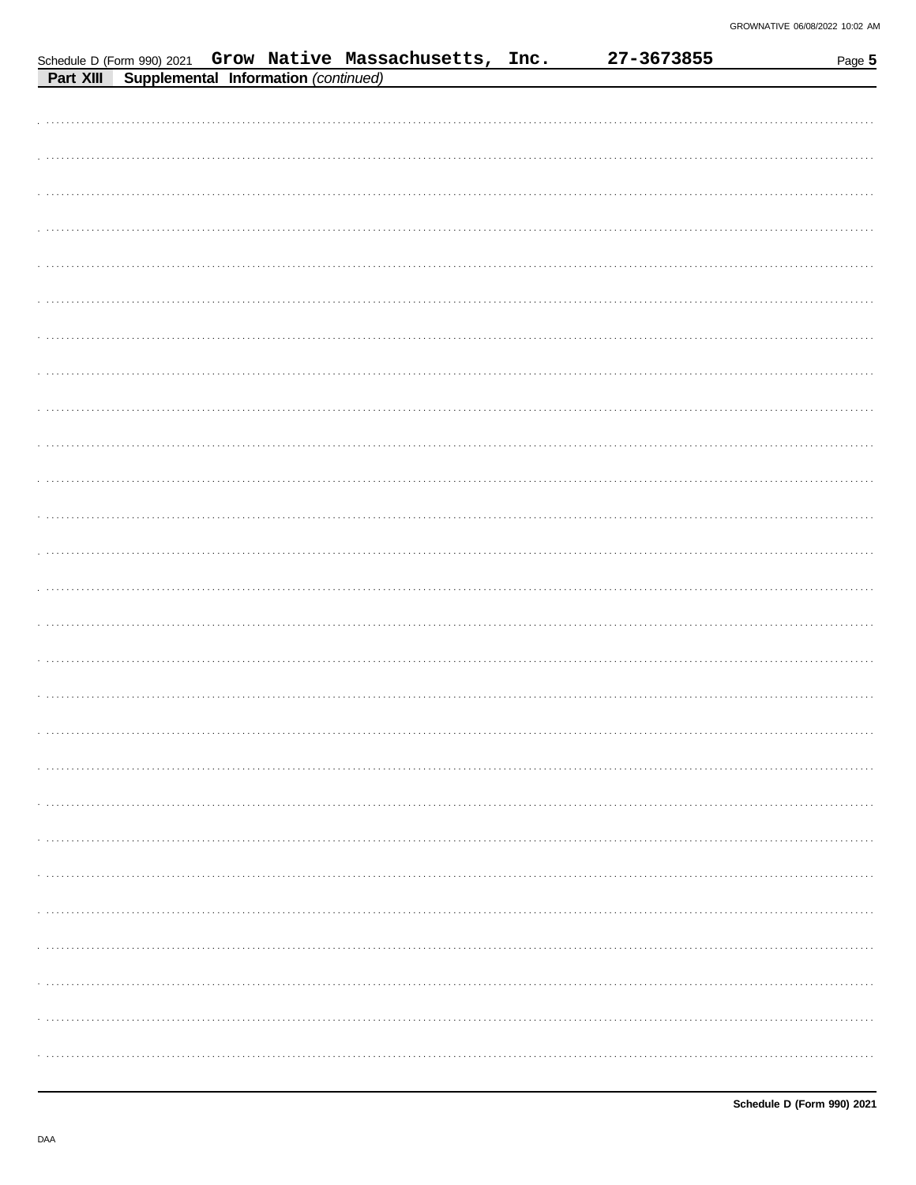|           |  |                                      | Schedule D (Form 990) 2021 Grow Native Massachusetts, Inc. |  | 27-3673855 | Page 5 |
|-----------|--|--------------------------------------|------------------------------------------------------------|--|------------|--------|
| Part XIII |  | Supplemental Information (continued) |                                                            |  |            |        |
|           |  |                                      |                                                            |  |            |        |
|           |  |                                      |                                                            |  |            |        |
|           |  |                                      |                                                            |  |            |        |
|           |  |                                      |                                                            |  |            |        |
|           |  |                                      |                                                            |  |            |        |
|           |  |                                      |                                                            |  |            |        |
|           |  |                                      |                                                            |  |            | .      |
|           |  |                                      |                                                            |  |            |        |
|           |  |                                      |                                                            |  |            |        |
|           |  |                                      |                                                            |  |            |        |
|           |  |                                      |                                                            |  |            |        |
|           |  |                                      |                                                            |  |            |        |
|           |  |                                      |                                                            |  |            |        |
|           |  |                                      |                                                            |  |            |        |
|           |  |                                      |                                                            |  |            |        |
|           |  |                                      |                                                            |  |            |        |
|           |  |                                      |                                                            |  |            |        |
|           |  |                                      |                                                            |  |            |        |
|           |  |                                      |                                                            |  |            |        |
|           |  |                                      |                                                            |  |            |        |
|           |  |                                      |                                                            |  |            |        |
|           |  |                                      |                                                            |  |            |        |
|           |  |                                      |                                                            |  |            |        |
|           |  |                                      |                                                            |  |            |        |
|           |  |                                      |                                                            |  |            |        |
|           |  |                                      |                                                            |  |            |        |
|           |  |                                      |                                                            |  |            |        |
|           |  |                                      |                                                            |  |            |        |
|           |  |                                      |                                                            |  |            |        |
|           |  |                                      |                                                            |  |            |        |
|           |  |                                      |                                                            |  |            |        |
|           |  |                                      |                                                            |  |            |        |
|           |  |                                      |                                                            |  |            |        |
|           |  |                                      |                                                            |  |            |        |
|           |  |                                      |                                                            |  |            |        |
|           |  |                                      |                                                            |  |            |        |
|           |  |                                      |                                                            |  |            |        |
|           |  |                                      |                                                            |  |            |        |
|           |  |                                      |                                                            |  |            |        |
|           |  |                                      |                                                            |  |            |        |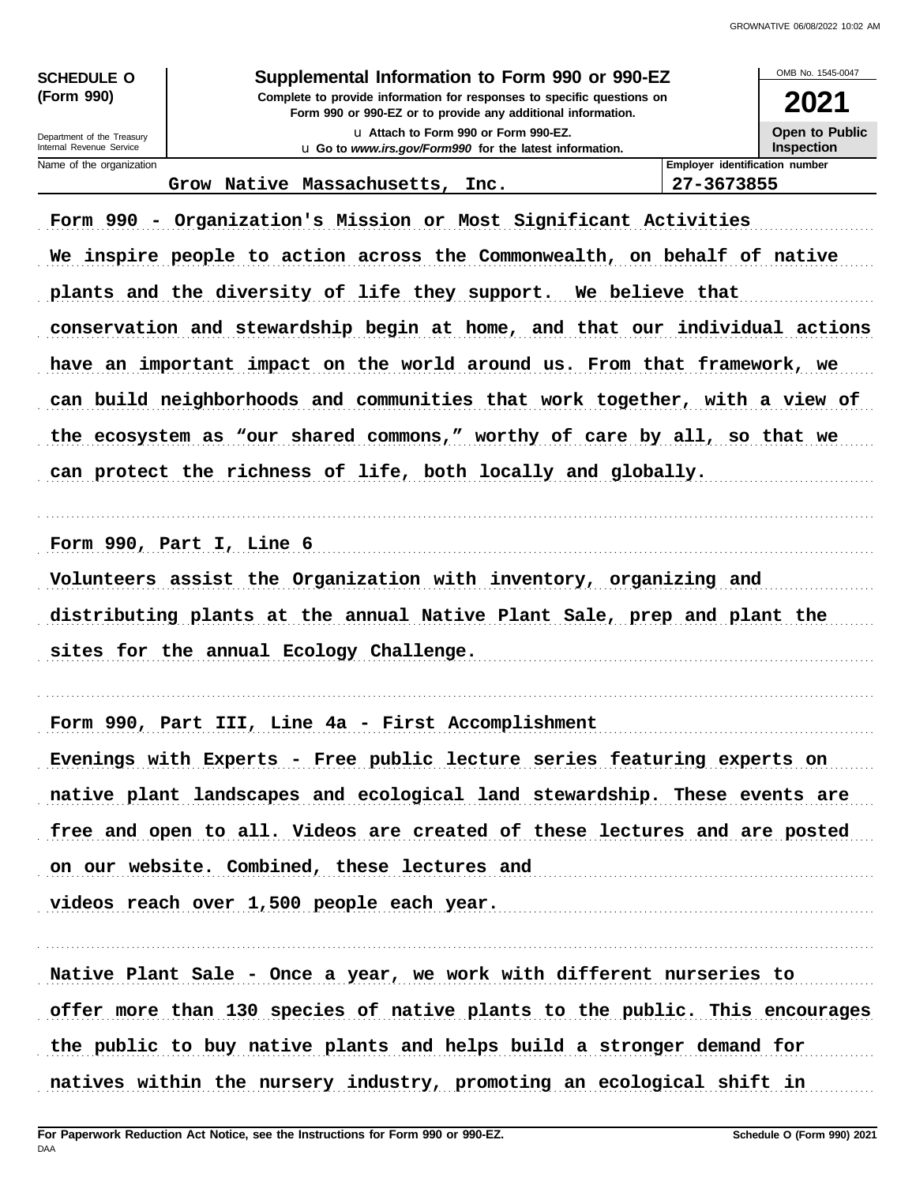| <b>SCHEDULE O</b> |  |
|-------------------|--|
| (Form 990)        |  |

Department of the Treasury Internal Revenue Service Name of the organization

### Supplemental Information to Form 990 or 990-EZ

Complete to provide information for responses to specific questions on Form 990 or 990-EZ or to provide any additional information.

u Attach to Form 990 or Form 990-EZ. u Go to www.irs.gov/Form990 for the latest information.



Employer identification number

27-3673855

OMB No 1545-0047

Grow Native Massachusetts, Inc.

Form 990 - Organization's Mission or Most Significant Activities We inspire people to action across the Commonwealth, on behalf of native plants and the diversity of life they support. We believe that conservation and stewardship begin at home, and that our individual actions have an important impact on the world around us. From that framework, we can build neighborhoods and communities that work together, with a view of the ecosystem as "our shared commons," worthy of care by all, so that we can protect the richness of life, both locally and globally.

Form 990, Part I, Line  $6$ 

Volunteers assist the Organization with inventory, organizing and distributing plants at the annual Native Plant Sale, prep and plant the sites for the annual Ecology Challenge.

Form 990, Part III, Line 4a - First Accomplishment

Evenings with Experts - Free public lecture series featuring experts on native plant landscapes and ecological land stewardship. These events are free and open to all. Videos are created of these lectures and are posted on our website. Combined, these lectures and videos reach over 1,500 people each year.

Native Plant Sale - Once a year, we work with different nurseries to offer more than 130 species of native plants to the public. This encourages the public to buy native plants and helps build a stronger demand for natives within the nursery industry, promoting an ecological shift in